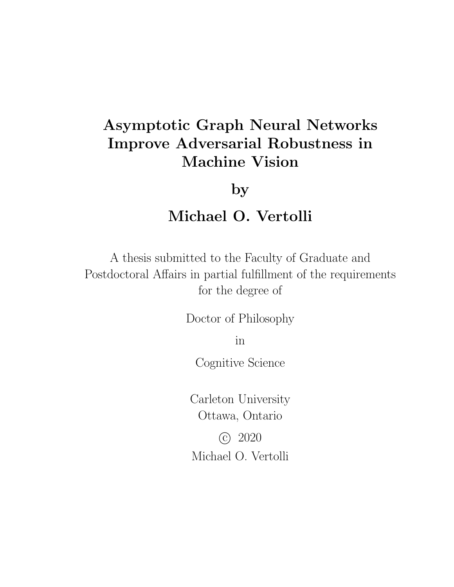## Asymptotic Graph Neural Networks Improve Adversarial Robustness in Machine Vision

by

### Michael O. Vertolli

A thesis submitted to the Faculty of Graduate and Postdoctoral Affairs in partial fulfillment of the requirements for the degree of

Doctor of Philosophy

in

Cognitive Science

Carleton University Ottawa, Ontario

 c 2020 Michael O. Vertolli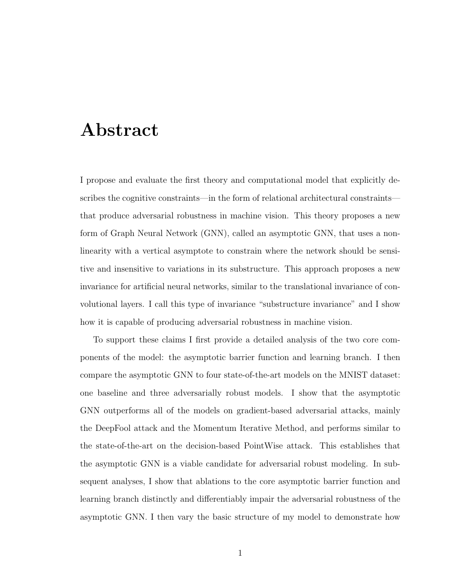### Abstract

I propose and evaluate the first theory and computational model that explicitly describes the cognitive constraints—in the form of relational architectural constraints that produce adversarial robustness in machine vision. This theory proposes a new form of Graph Neural Network (GNN), called an asymptotic GNN, that uses a nonlinearity with a vertical asymptote to constrain where the network should be sensitive and insensitive to variations in its substructure. This approach proposes a new invariance for artificial neural networks, similar to the translational invariance of convolutional layers. I call this type of invariance "substructure invariance" and I show how it is capable of producing adversarial robustness in machine vision.

To support these claims I first provide a detailed analysis of the two core components of the model: the asymptotic barrier function and learning branch. I then compare the asymptotic GNN to four state-of-the-art models on the MNIST dataset: one baseline and three adversarially robust models. I show that the asymptotic GNN outperforms all of the models on gradient-based adversarial attacks, mainly the DeepFool attack and the Momentum Iterative Method, and performs similar to the state-of-the-art on the decision-based PointWise attack. This establishes that the asymptotic GNN is a viable candidate for adversarial robust modeling. In subsequent analyses, I show that ablations to the core asymptotic barrier function and learning branch distinctly and differentiably impair the adversarial robustness of the asymptotic GNN. I then vary the basic structure of my model to demonstrate how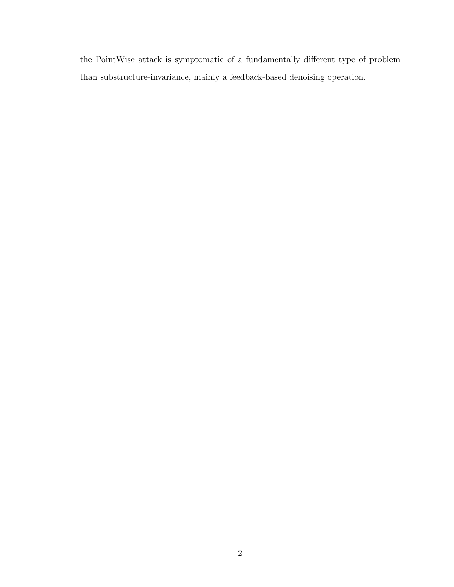the PointWise attack is symptomatic of a fundamentally different type of problem than substructure-invariance, mainly a feedback-based denoising operation.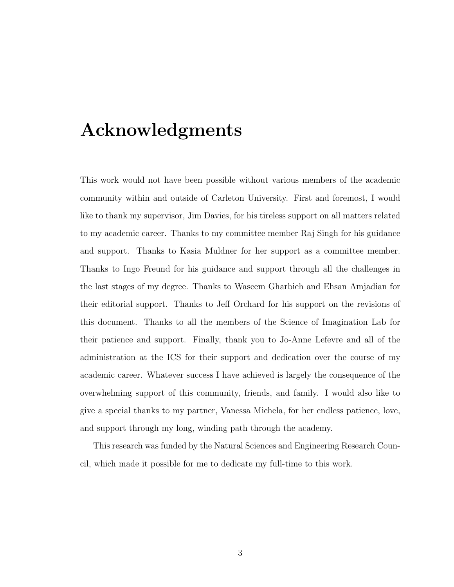## Acknowledgments

This work would not have been possible without various members of the academic community within and outside of Carleton University. First and foremost, I would like to thank my supervisor, Jim Davies, for his tireless support on all matters related to my academic career. Thanks to my committee member Raj Singh for his guidance and support. Thanks to Kasia Muldner for her support as a committee member. Thanks to Ingo Freund for his guidance and support through all the challenges in the last stages of my degree. Thanks to Waseem Gharbieh and Ehsan Amjadian for their editorial support. Thanks to Jeff Orchard for his support on the revisions of this document. Thanks to all the members of the Science of Imagination Lab for their patience and support. Finally, thank you to Jo-Anne Lefevre and all of the administration at the ICS for their support and dedication over the course of my academic career. Whatever success I have achieved is largely the consequence of the overwhelming support of this community, friends, and family. I would also like to give a special thanks to my partner, Vanessa Michela, for her endless patience, love, and support through my long, winding path through the academy.

This research was funded by the Natural Sciences and Engineering Research Council, which made it possible for me to dedicate my full-time to this work.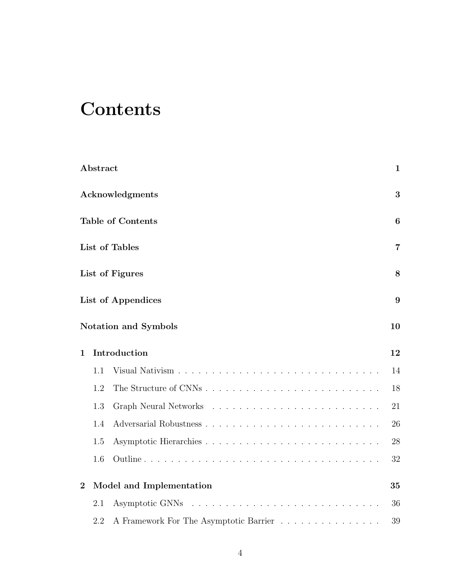## **Contents**

|                | Abstract |                                        | $\mathbf{1}$    |
|----------------|----------|----------------------------------------|-----------------|
|                |          | Acknowledgments                        | 3               |
|                |          | <b>Table of Contents</b>               | $6\phantom{.}6$ |
|                |          | List of Tables                         | 7               |
|                |          | List of Figures                        | 8               |
|                |          | List of Appendices                     | 9               |
|                |          | Notation and Symbols                   | 10              |
| $\mathbf 1$    |          | Introduction                           | 12              |
|                | 1.1      |                                        | 14              |
|                | 1.2      |                                        | 18              |
|                | 1.3      |                                        | 21              |
|                | 1.4      |                                        | 26              |
|                | 1.5      |                                        | 28              |
|                | 1.6      |                                        | 32              |
| $\overline{2}$ |          | Model and Implementation               | 35              |
|                | 2.1      |                                        | 36              |
|                | 2.2      | A Framework For The Asymptotic Barrier | 39              |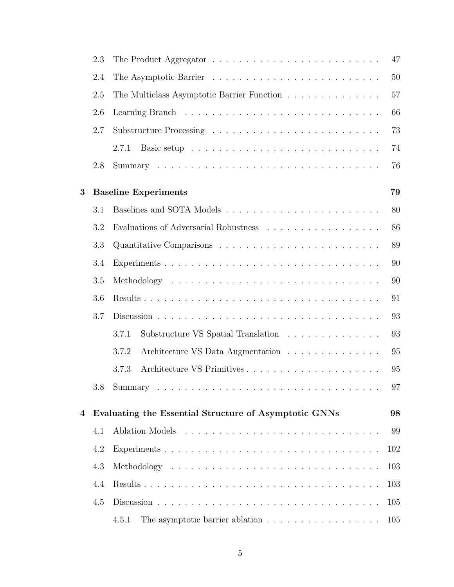|   | 2.3     |                                                       | 47  |
|---|---------|-------------------------------------------------------|-----|
|   | 2.4     |                                                       | 50  |
|   | 2.5     | The Multiclass Asymptotic Barrier Function            | 57  |
|   | 2.6     |                                                       | 66  |
|   | 2.7     |                                                       | 73  |
|   |         | 2.7.1                                                 | 74  |
|   | 2.8     |                                                       | 76  |
| 3 |         | <b>Baseline Experiments</b>                           | 79  |
|   | 3.1     |                                                       | 80  |
|   | 3.2     | Evaluations of Adversarial Robustness                 | 86  |
|   | 3.3     |                                                       | 89  |
|   | 3.4     |                                                       | 90  |
|   | 3.5     |                                                       | 90  |
|   | 3.6     |                                                       | 91  |
|   | 3.7     |                                                       | 93  |
|   |         | 3.7.1<br>Substructure VS Spatial Translation          | 93  |
|   |         | Architecture VS Data Augmentation<br>3.7.2            | 95  |
|   |         | 3.7.3                                                 | 95  |
|   | $3.8\,$ |                                                       | 97  |
| 4 |         | Evaluating the Essential Structure of Asymptotic GNNs | 98  |
|   | 4.1     |                                                       | 99  |
|   | 4.2     |                                                       | 102 |
|   | 4.3     |                                                       | 103 |
|   | 4.4     |                                                       | 103 |
|   | 4.5     |                                                       | 105 |
|   |         | 4.5.1<br>The asymptotic barrier ablation              | 105 |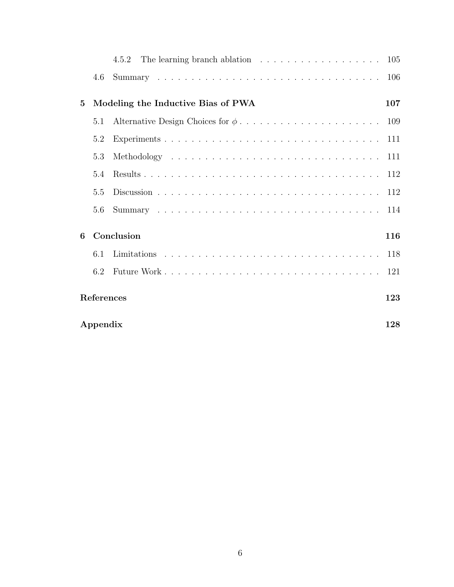|            |                 |                                    | 105 |
|------------|-----------------|------------------------------------|-----|
|            | 4.6             |                                    | 106 |
| $\bf{5}$   |                 | Modeling the Inductive Bias of PWA | 107 |
|            | 5.1             |                                    |     |
|            | 5.2             |                                    |     |
|            | 5.3             |                                    | 111 |
|            | 5.4             |                                    | 112 |
|            | 5.5             |                                    | 112 |
|            | 5.6             |                                    | 114 |
| 6          |                 | Conclusion                         | 116 |
|            | 6.1             |                                    |     |
|            | 6.2             |                                    | 121 |
| References |                 |                                    | 123 |
|            | Appendix<br>128 |                                    |     |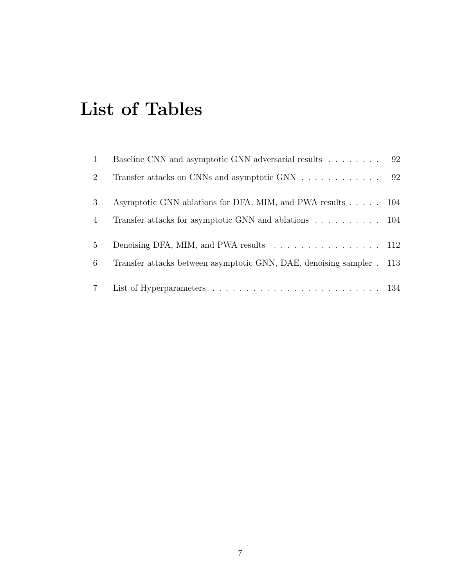## List of Tables

| $\mathbf{1}$    | Baseline CNN and asymptotic GNN adversarial results 92                |  |
|-----------------|-----------------------------------------------------------------------|--|
| 2               | Transfer attacks on CNNs and asymptotic GNN 92                        |  |
| 3               | Asymptotic GNN ablations for DFA, MIM, and PWA results 104            |  |
| $\overline{4}$  | Transfer attacks for asymptotic GNN and ablations 104                 |  |
| $5^{\circ}$     | Denoising DFA, MIM, and PWA results 112                               |  |
| 6               | Transfer attacks between asymptotic GNN, DAE, denoising sampler . 113 |  |
| $7\overline{ }$ |                                                                       |  |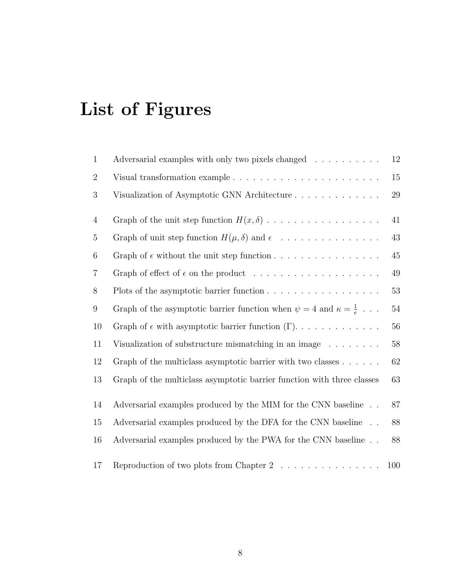# List of Figures

| $\mathbf{1}$     | Adversarial examples with only two pixels changed                                   | $12\,$ |
|------------------|-------------------------------------------------------------------------------------|--------|
| $\overline{2}$   |                                                                                     | 15     |
| $\boldsymbol{3}$ | Visualization of Asymptotic GNN Architecture                                        | $29\,$ |
| $\overline{4}$   |                                                                                     | 41     |
| $\overline{5}$   | Graph of unit step function $H(\mu, \delta)$ and $\epsilon$                         | $43\,$ |
| $6\phantom{.}6$  | Graph of $\epsilon$ without the unit step function                                  | $45\,$ |
| $\overline{7}$   |                                                                                     | $49\,$ |
| 8                |                                                                                     | $53\,$ |
| $\boldsymbol{9}$ | Graph of the asymptotic barrier function when $\psi = 4$ and $\kappa = \frac{1}{e}$ | $54\,$ |
| 10               | Graph of $\epsilon$ with asymptotic barrier function $(\Gamma)$                     | 56     |
| 11               | Visualization of substructure mismatching in an image $\ldots \ldots$               | $58\,$ |
| 12               | Graph of the multiclass asymptotic barrier with two classes $\dots \dots$           | $62\,$ |
| 13               | Graph of the multiclass asymptotic barrier function with three classes              | 63     |
| 14               | Adversarial examples produced by the MIM for the CNN baseline                       | 87     |
| 15               | Adversarial examples produced by the DFA for the CNN baseline                       | 88     |
| 16               | Adversarial examples produced by the PWA for the CNN baseline                       | 88     |
| 17               | Reproduction of two plots from Chapter $2 \ldots \ldots \ldots \ldots$              | 100    |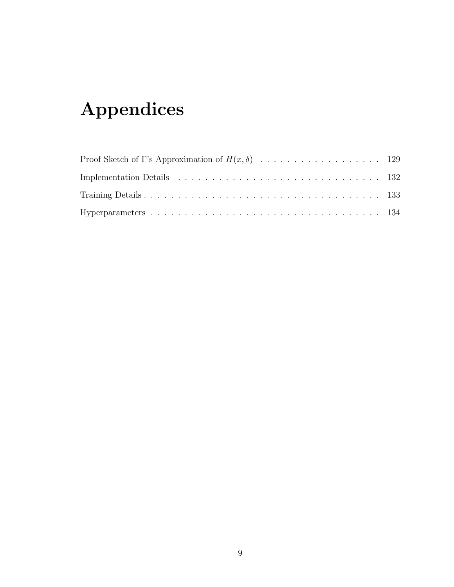# Appendices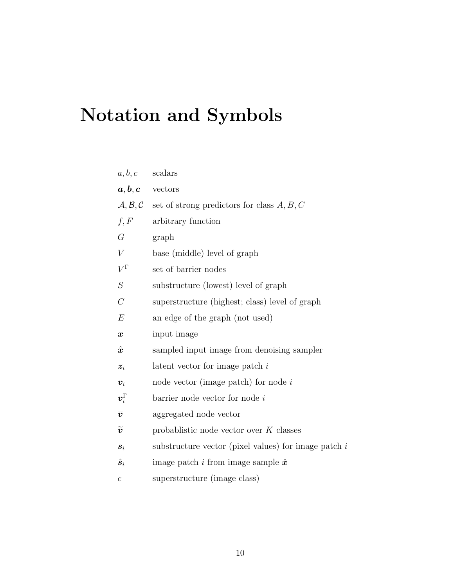# Notation and Symbols

| a, b, c               | scalars                                                                              |
|-----------------------|--------------------------------------------------------------------------------------|
| $a, b, c$ vectors     |                                                                                      |
|                       | $\mathcal{A}, \mathcal{B}, \mathcal{C}$ set of strong predictors for class $A, B, C$ |
| f, F                  | arbitrary function                                                                   |
| G                     | graph                                                                                |
| V                     | base (middle) level of graph                                                         |
| $V^{\Gamma}$          | set of barrier nodes                                                                 |
| $\cal S$              | substructure (lowest) level of graph                                                 |
| $\mathcal{C}$         | superstructure (highest; class) level of graph                                       |
| E                     | an edge of the graph (not used)                                                      |
| $\pmb{x}$             | input image                                                                          |
| $\hat{\bm{x}}$        | sampled input image from denoising sampler                                           |
| $\boldsymbol{z}_i$    | latent vector for image patch $i$                                                    |
| $\boldsymbol{v}_i$    | node vector (image patch) for node $i$                                               |
| $\bm{v}_i^{\Gamma}$   | $barrier$ node vector for node $i$                                                   |
| $\overline{v}$        | aggregated node vector                                                               |
| $\widetilde{\bm{v}}$  | probablistic node vector over $K$ classes                                            |
| $s_i$                 | substructure vector (pixel values) for image patch $i$                               |
| $\hat{\bm{s}}_i$      | image patch i from image sample $\hat{x}$                                            |
| $\mathcal{C}_{0}^{0}$ | superstructure (image class)                                                         |
|                       |                                                                                      |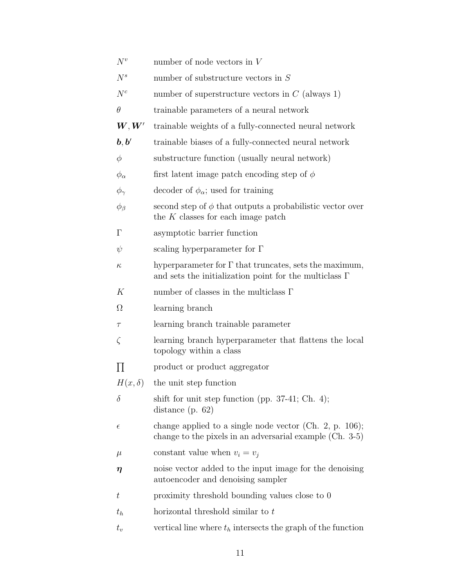- $N^v$  number of node vectors in V
- $N<sup>s</sup>$  number of substructure vectors in S
- $N<sup>c</sup>$  number of superstructure vectors in C (always 1)
- $\theta$  trainable parameters of a neural network
- $W, W'$ trainable weights of a fully-connected neural network
- $\bm{b}, \bm{b}'$ trainable biases of a fully-connected neural network
- $\phi$  substructure function (usually neural network)
- $\phi_{\alpha}$  first latent image patch encoding step of  $\phi$
- $\phi_{\gamma}$  decoder of  $\phi_{\alpha}$ ; used for training
- $\phi_{\beta}$  second step of  $\phi$  that outputs a probabilistic vector over the  $K$  classes for each image patch
- Γ asymptotic barrier function
- $\psi$  scaling hyperparameter for Γ
- $\kappa$  hyperparameter for  $\Gamma$  that truncates, sets the maximum, and sets the initialization point for the multiclass Γ
- $K$  number of classes in the multiclass  $\Gamma$
- $\Omega$  learning branch
- τ learning branch trainable parameter
- $\zeta$  learning branch hyperparameter that flattens the local topology within a class
- $\Pi$ product or product aggregator
- $H(x, \delta)$  the unit step function
- $\delta$  shift for unit step function (pp. 37-41; Ch. 4); distance (p. 62)
- $\epsilon$  change applied to a single node vector (Ch. 2, p. 106); change to the pixels in an adversarial example (Ch. 3-5)
- $\mu$  constant value when  $v_i = v_j$
- $\eta$  noise vector added to the input image for the denoising autoencoder and denoising sampler
- $t \rightarrow$  proximity threshold bounding values close to 0
- $t_h$  horizontal threshold similar to  $t$
- $t_v$  vertical line where  $t_h$  intersects the graph of the function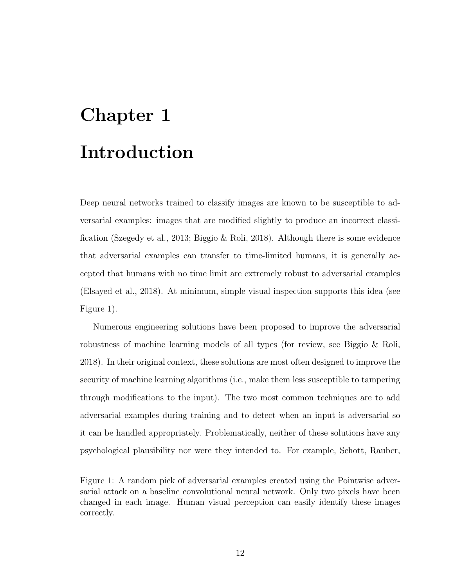# Chapter 1 Introduction

Deep neural networks trained to classify images are known to be susceptible to adversarial examples: images that are modified slightly to produce an incorrect classification (Szegedy et al., 2013; Biggio & Roli, 2018). Although there is some evidence that adversarial examples can transfer to time-limited humans, it is generally accepted that humans with no time limit are extremely robust to adversarial examples (Elsayed et al., 2018). At minimum, simple visual inspection supports this idea (see Figure 1).

Numerous engineering solutions have been proposed to improve the adversarial robustness of machine learning models of all types (for review, see Biggio & Roli, 2018). In their original context, these solutions are most often designed to improve the security of machine learning algorithms (i.e., make them less susceptible to tampering through modifications to the input). The two most common techniques are to add adversarial examples during training and to detect when an input is adversarial so it can be handled appropriately. Problematically, neither of these solutions have any psychological plausibility nor were they intended to. For example, Schott, Rauber,

Figure 1: A random pick of adversarial examples created using the Pointwise adversarial attack on a baseline convolutional neural network. Only two pixels have been changed in each image. Human visual perception can easily identify these images correctly.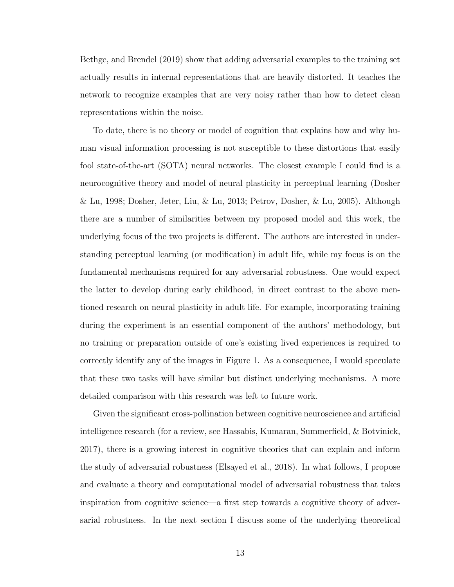Bethge, and Brendel (2019) show that adding adversarial examples to the training set actually results in internal representations that are heavily distorted. It teaches the network to recognize examples that are very noisy rather than how to detect clean representations within the noise.

To date, there is no theory or model of cognition that explains how and why human visual information processing is not susceptible to these distortions that easily fool state-of-the-art (SOTA) neural networks. The closest example I could find is a neurocognitive theory and model of neural plasticity in perceptual learning (Dosher & Lu, 1998; Dosher, Jeter, Liu, & Lu, 2013; Petrov, Dosher, & Lu, 2005). Although there are a number of similarities between my proposed model and this work, the underlying focus of the two projects is different. The authors are interested in understanding perceptual learning (or modification) in adult life, while my focus is on the fundamental mechanisms required for any adversarial robustness. One would expect the latter to develop during early childhood, in direct contrast to the above mentioned research on neural plasticity in adult life. For example, incorporating training during the experiment is an essential component of the authors' methodology, but no training or preparation outside of one's existing lived experiences is required to correctly identify any of the images in Figure 1. As a consequence, I would speculate that these two tasks will have similar but distinct underlying mechanisms. A more detailed comparison with this research was left to future work.

Given the significant cross-pollination between cognitive neuroscience and artificial intelligence research (for a review, see Hassabis, Kumaran, Summerfield, & Botvinick, 2017), there is a growing interest in cognitive theories that can explain and inform the study of adversarial robustness (Elsayed et al., 2018). In what follows, I propose and evaluate a theory and computational model of adversarial robustness that takes inspiration from cognitive science—a first step towards a cognitive theory of adversarial robustness. In the next section I discuss some of the underlying theoretical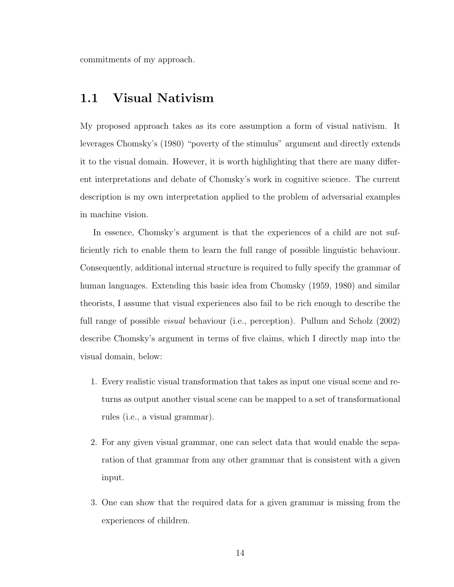commitments of my approach.

### 1.1 Visual Nativism

My proposed approach takes as its core assumption a form of visual nativism. It leverages Chomsky's (1980) "poverty of the stimulus" argument and directly extends it to the visual domain. However, it is worth highlighting that there are many different interpretations and debate of Chomsky's work in cognitive science. The current description is my own interpretation applied to the problem of adversarial examples in machine vision.

In essence, Chomsky's argument is that the experiences of a child are not sufficiently rich to enable them to learn the full range of possible linguistic behaviour. Consequently, additional internal structure is required to fully specify the grammar of human languages. Extending this basic idea from Chomsky (1959, 1980) and similar theorists, I assume that visual experiences also fail to be rich enough to describe the full range of possible *visual* behaviour (i.e., perception). Pullum and Scholz (2002) describe Chomsky's argument in terms of five claims, which I directly map into the visual domain, below:

- 1. Every realistic visual transformation that takes as input one visual scene and returns as output another visual scene can be mapped to a set of transformational rules (i.e., a visual grammar).
- 2. For any given visual grammar, one can select data that would enable the separation of that grammar from any other grammar that is consistent with a given input.
- 3. One can show that the required data for a given grammar is missing from the experiences of children.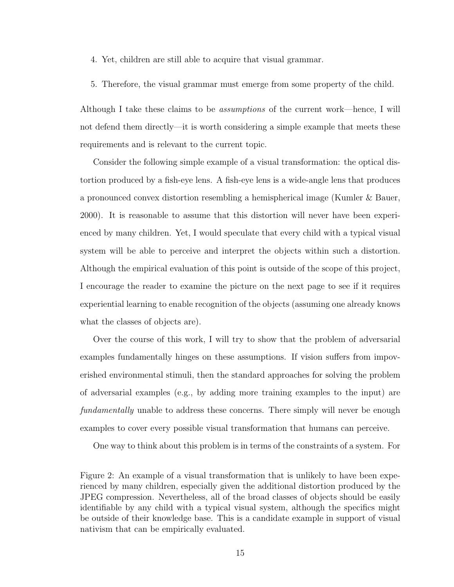- 4. Yet, children are still able to acquire that visual grammar.
- 5. Therefore, the visual grammar must emerge from some property of the child.

Although I take these claims to be assumptions of the current work—hence, I will not defend them directly—it is worth considering a simple example that meets these requirements and is relevant to the current topic.

Consider the following simple example of a visual transformation: the optical distortion produced by a fish-eye lens. A fish-eye lens is a wide-angle lens that produces a pronounced convex distortion resembling a hemispherical image (Kumler & Bauer, 2000). It is reasonable to assume that this distortion will never have been experienced by many children. Yet, I would speculate that every child with a typical visual system will be able to perceive and interpret the objects within such a distortion. Although the empirical evaluation of this point is outside of the scope of this project, I encourage the reader to examine the picture on the next page to see if it requires experiential learning to enable recognition of the objects (assuming one already knows what the classes of objects are).

Over the course of this work, I will try to show that the problem of adversarial examples fundamentally hinges on these assumptions. If vision suffers from impoverished environmental stimuli, then the standard approaches for solving the problem of adversarial examples (e.g., by adding more training examples to the input) are fundamentally unable to address these concerns. There simply will never be enough examples to cover every possible visual transformation that humans can perceive.

One way to think about this problem is in terms of the constraints of a system. For

Figure 2: An example of a visual transformation that is unlikely to have been experienced by many children, especially given the additional distortion produced by the JPEG compression. Nevertheless, all of the broad classes of objects should be easily identifiable by any child with a typical visual system, although the specifics might be outside of their knowledge base. This is a candidate example in support of visual nativism that can be empirically evaluated.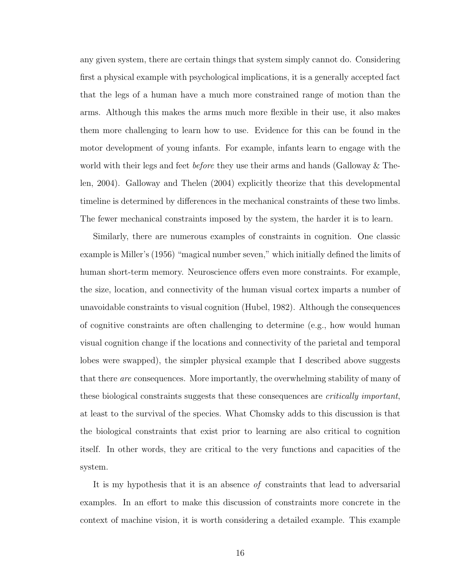any given system, there are certain things that system simply cannot do. Considering first a physical example with psychological implications, it is a generally accepted fact that the legs of a human have a much more constrained range of motion than the arms. Although this makes the arms much more flexible in their use, it also makes them more challenging to learn how to use. Evidence for this can be found in the motor development of young infants. For example, infants learn to engage with the world with their legs and feet *before* they use their arms and hands (Galloway & Thelen, 2004). Galloway and Thelen (2004) explicitly theorize that this developmental timeline is determined by differences in the mechanical constraints of these two limbs. The fewer mechanical constraints imposed by the system, the harder it is to learn.

Similarly, there are numerous examples of constraints in cognition. One classic example is Miller's (1956) "magical number seven," which initially defined the limits of human short-term memory. Neuroscience offers even more constraints. For example, the size, location, and connectivity of the human visual cortex imparts a number of unavoidable constraints to visual cognition (Hubel, 1982). Although the consequences of cognitive constraints are often challenging to determine (e.g., how would human visual cognition change if the locations and connectivity of the parietal and temporal lobes were swapped), the simpler physical example that I described above suggests that there are consequences. More importantly, the overwhelming stability of many of these biological constraints suggests that these consequences are *critically important*, at least to the survival of the species. What Chomsky adds to this discussion is that the biological constraints that exist prior to learning are also critical to cognition itself. In other words, they are critical to the very functions and capacities of the system.

It is my hypothesis that it is an absence of constraints that lead to adversarial examples. In an effort to make this discussion of constraints more concrete in the context of machine vision, it is worth considering a detailed example. This example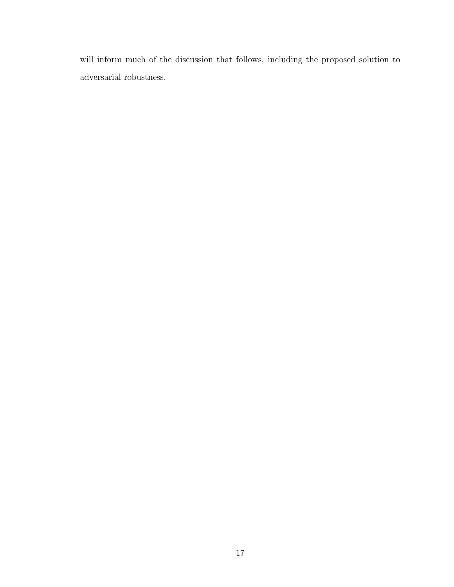will inform much of the discussion that follows, including the proposed solution to adversarial robustness.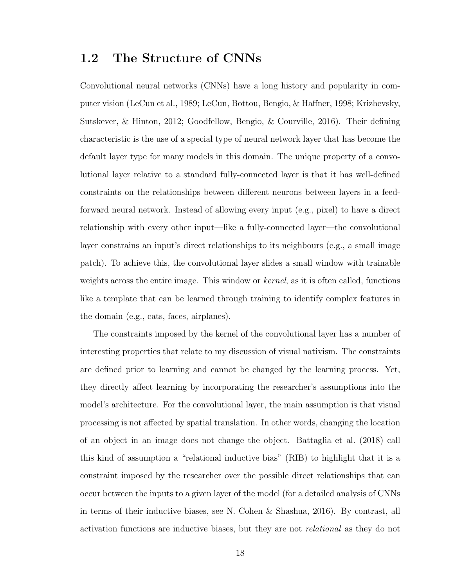### 1.2 The Structure of CNNs

Convolutional neural networks (CNNs) have a long history and popularity in computer vision (LeCun et al., 1989; LeCun, Bottou, Bengio, & Haffner, 1998; Krizhevsky, Sutskever, & Hinton, 2012; Goodfellow, Bengio, & Courville, 2016). Their defining characteristic is the use of a special type of neural network layer that has become the default layer type for many models in this domain. The unique property of a convolutional layer relative to a standard fully-connected layer is that it has well-defined constraints on the relationships between different neurons between layers in a feedforward neural network. Instead of allowing every input (e.g., pixel) to have a direct relationship with every other input—like a fully-connected layer—the convolutional layer constrains an input's direct relationships to its neighbours (e.g., a small image patch). To achieve this, the convolutional layer slides a small window with trainable weights across the entire image. This window or *kernel*, as it is often called, functions like a template that can be learned through training to identify complex features in the domain (e.g., cats, faces, airplanes).

The constraints imposed by the kernel of the convolutional layer has a number of interesting properties that relate to my discussion of visual nativism. The constraints are defined prior to learning and cannot be changed by the learning process. Yet, they directly affect learning by incorporating the researcher's assumptions into the model's architecture. For the convolutional layer, the main assumption is that visual processing is not affected by spatial translation. In other words, changing the location of an object in an image does not change the object. Battaglia et al. (2018) call this kind of assumption a "relational inductive bias" (RIB) to highlight that it is a constraint imposed by the researcher over the possible direct relationships that can occur between the inputs to a given layer of the model (for a detailed analysis of CNNs in terms of their inductive biases, see N. Cohen & Shashua, 2016). By contrast, all activation functions are inductive biases, but they are not relational as they do not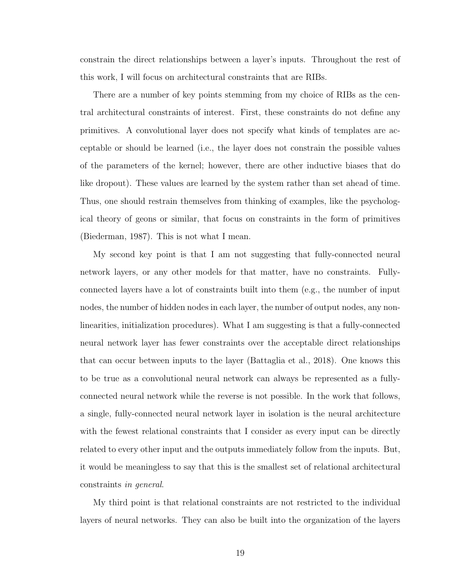constrain the direct relationships between a layer's inputs. Throughout the rest of this work, I will focus on architectural constraints that are RIBs.

There are a number of key points stemming from my choice of RIBs as the central architectural constraints of interest. First, these constraints do not define any primitives. A convolutional layer does not specify what kinds of templates are acceptable or should be learned (i.e., the layer does not constrain the possible values of the parameters of the kernel; however, there are other inductive biases that do like dropout). These values are learned by the system rather than set ahead of time. Thus, one should restrain themselves from thinking of examples, like the psychological theory of geons or similar, that focus on constraints in the form of primitives (Biederman, 1987). This is not what I mean.

My second key point is that I am not suggesting that fully-connected neural network layers, or any other models for that matter, have no constraints. Fullyconnected layers have a lot of constraints built into them (e.g., the number of input nodes, the number of hidden nodes in each layer, the number of output nodes, any nonlinearities, initialization procedures). What I am suggesting is that a fully-connected neural network layer has fewer constraints over the acceptable direct relationships that can occur between inputs to the layer (Battaglia et al., 2018). One knows this to be true as a convolutional neural network can always be represented as a fullyconnected neural network while the reverse is not possible. In the work that follows, a single, fully-connected neural network layer in isolation is the neural architecture with the fewest relational constraints that I consider as every input can be directly related to every other input and the outputs immediately follow from the inputs. But, it would be meaningless to say that this is the smallest set of relational architectural constraints in general.

My third point is that relational constraints are not restricted to the individual layers of neural networks. They can also be built into the organization of the layers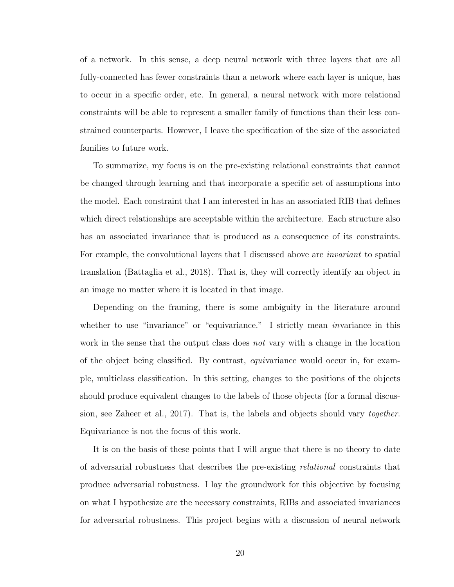of a network. In this sense, a deep neural network with three layers that are all fully-connected has fewer constraints than a network where each layer is unique, has to occur in a specific order, etc. In general, a neural network with more relational constraints will be able to represent a smaller family of functions than their less constrained counterparts. However, I leave the specification of the size of the associated families to future work.

To summarize, my focus is on the pre-existing relational constraints that cannot be changed through learning and that incorporate a specific set of assumptions into the model. Each constraint that I am interested in has an associated RIB that defines which direct relationships are acceptable within the architecture. Each structure also has an associated invariance that is produced as a consequence of its constraints. For example, the convolutional layers that I discussed above are *invariant* to spatial translation (Battaglia et al., 2018). That is, they will correctly identify an object in an image no matter where it is located in that image.

Depending on the framing, there is some ambiguity in the literature around whether to use "invariance" or "equivariance." I strictly mean *invariance* in this work in the sense that the output class does not vary with a change in the location of the object being classified. By contrast, equivariance would occur in, for example, multiclass classification. In this setting, changes to the positions of the objects should produce equivalent changes to the labels of those objects (for a formal discussion, see Zaheer et al., 2017). That is, the labels and objects should vary together. Equivariance is not the focus of this work.

It is on the basis of these points that I will argue that there is no theory to date of adversarial robustness that describes the pre-existing relational constraints that produce adversarial robustness. I lay the groundwork for this objective by focusing on what I hypothesize are the necessary constraints, RIBs and associated invariances for adversarial robustness. This project begins with a discussion of neural network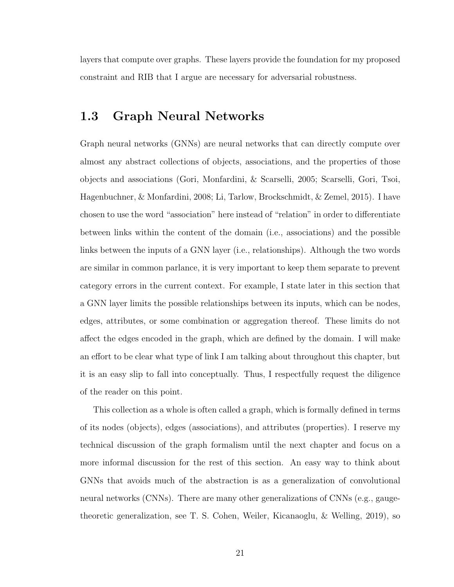layers that compute over graphs. These layers provide the foundation for my proposed constraint and RIB that I argue are necessary for adversarial robustness.

#### 1.3 Graph Neural Networks

Graph neural networks (GNNs) are neural networks that can directly compute over almost any abstract collections of objects, associations, and the properties of those objects and associations (Gori, Monfardini, & Scarselli, 2005; Scarselli, Gori, Tsoi, Hagenbuchner, & Monfardini, 2008; Li, Tarlow, Brockschmidt, & Zemel, 2015). I have chosen to use the word "association" here instead of "relation" in order to differentiate between links within the content of the domain (i.e., associations) and the possible links between the inputs of a GNN layer (i.e., relationships). Although the two words are similar in common parlance, it is very important to keep them separate to prevent category errors in the current context. For example, I state later in this section that a GNN layer limits the possible relationships between its inputs, which can be nodes, edges, attributes, or some combination or aggregation thereof. These limits do not affect the edges encoded in the graph, which are defined by the domain. I will make an effort to be clear what type of link I am talking about throughout this chapter, but it is an easy slip to fall into conceptually. Thus, I respectfully request the diligence of the reader on this point.

This collection as a whole is often called a graph, which is formally defined in terms of its nodes (objects), edges (associations), and attributes (properties). I reserve my technical discussion of the graph formalism until the next chapter and focus on a more informal discussion for the rest of this section. An easy way to think about GNNs that avoids much of the abstraction is as a generalization of convolutional neural networks (CNNs). There are many other generalizations of CNNs (e.g., gaugetheoretic generalization, see T. S. Cohen, Weiler, Kicanaoglu, & Welling, 2019), so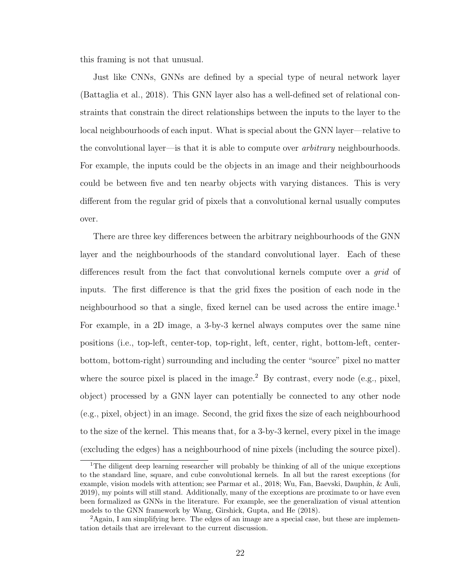this framing is not that unusual.

Just like CNNs, GNNs are defined by a special type of neural network layer (Battaglia et al., 2018). This GNN layer also has a well-defined set of relational constraints that constrain the direct relationships between the inputs to the layer to the local neighbourhoods of each input. What is special about the GNN layer—relative to the convolutional layer—is that it is able to compute over arbitrary neighbourhoods. For example, the inputs could be the objects in an image and their neighbourhoods could be between five and ten nearby objects with varying distances. This is very different from the regular grid of pixels that a convolutional kernal usually computes over.

There are three key differences between the arbitrary neighbourhoods of the GNN layer and the neighbourhoods of the standard convolutional layer. Each of these differences result from the fact that convolutional kernels compute over a grid of inputs. The first difference is that the grid fixes the position of each node in the neighbourhood so that a single, fixed kernel can be used across the entire image.<sup>1</sup> For example, in a 2D image, a 3-by-3 kernel always computes over the same nine positions (i.e., top-left, center-top, top-right, left, center, right, bottom-left, centerbottom, bottom-right) surrounding and including the center "source" pixel no matter where the source pixel is placed in the image.<sup>2</sup> By contrast, every node (e.g., pixel, object) processed by a GNN layer can potentially be connected to any other node (e.g., pixel, object) in an image. Second, the grid fixes the size of each neighbourhood to the size of the kernel. This means that, for a 3-by-3 kernel, every pixel in the image (excluding the edges) has a neighbourhood of nine pixels (including the source pixel).

<sup>1</sup>The diligent deep learning researcher will probably be thinking of all of the unique exceptions to the standard line, square, and cube convolutional kernels. In all but the rarest exceptions (for example, vision models with attention; see Parmar et al., 2018; Wu, Fan, Baevski, Dauphin, & Auli, 2019), my points will still stand. Additionally, many of the exceptions are proximate to or have even been formalized as GNNs in the literature. For example, see the generalization of visual attention models to the GNN framework by Wang, Girshick, Gupta, and He (2018).

<sup>&</sup>lt;sup>2</sup>Again, I am simplifying here. The edges of an image are a special case, but these are implementation details that are irrelevant to the current discussion.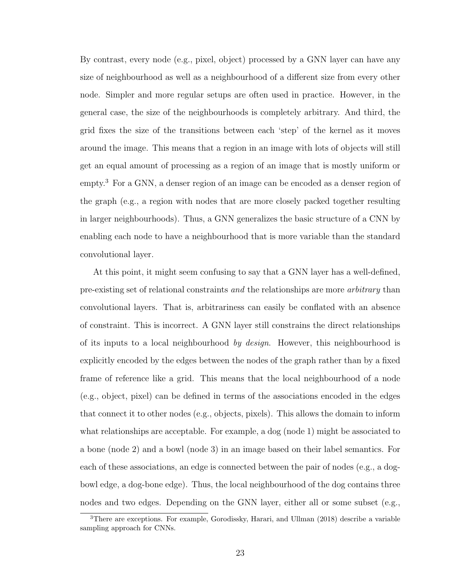By contrast, every node (e.g., pixel, object) processed by a GNN layer can have any size of neighbourhood as well as a neighbourhood of a different size from every other node. Simpler and more regular setups are often used in practice. However, in the general case, the size of the neighbourhoods is completely arbitrary. And third, the grid fixes the size of the transitions between each 'step' of the kernel as it moves around the image. This means that a region in an image with lots of objects will still get an equal amount of processing as a region of an image that is mostly uniform or empty.<sup>3</sup> For a GNN, a denser region of an image can be encoded as a denser region of the graph (e.g., a region with nodes that are more closely packed together resulting in larger neighbourhoods). Thus, a GNN generalizes the basic structure of a CNN by enabling each node to have a neighbourhood that is more variable than the standard convolutional layer.

At this point, it might seem confusing to say that a GNN layer has a well-defined, pre-existing set of relational constraints and the relationships are more arbitrary than convolutional layers. That is, arbitrariness can easily be conflated with an absence of constraint. This is incorrect. A GNN layer still constrains the direct relationships of its inputs to a local neighbourhood by design. However, this neighbourhood is explicitly encoded by the edges between the nodes of the graph rather than by a fixed frame of reference like a grid. This means that the local neighbourhood of a node (e.g., object, pixel) can be defined in terms of the associations encoded in the edges that connect it to other nodes (e.g., objects, pixels). This allows the domain to inform what relationships are acceptable. For example, a dog (node 1) might be associated to a bone (node 2) and a bowl (node 3) in an image based on their label semantics. For each of these associations, an edge is connected between the pair of nodes (e.g., a dogbowl edge, a dog-bone edge). Thus, the local neighbourhood of the dog contains three nodes and two edges. Depending on the GNN layer, either all or some subset (e.g.,

<sup>3</sup>There are exceptions. For example, Gorodissky, Harari, and Ullman (2018) describe a variable sampling approach for CNNs.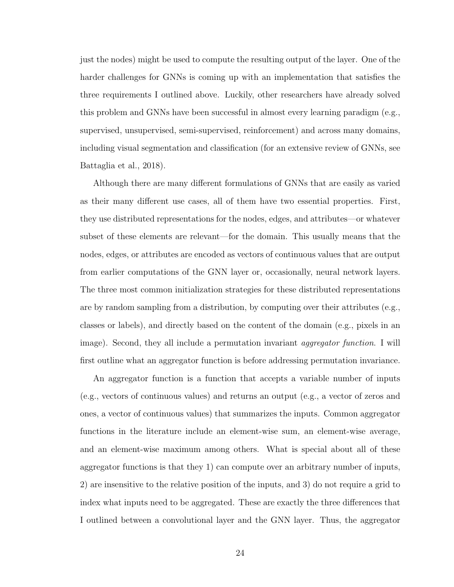just the nodes) might be used to compute the resulting output of the layer. One of the harder challenges for GNNs is coming up with an implementation that satisfies the three requirements I outlined above. Luckily, other researchers have already solved this problem and GNNs have been successful in almost every learning paradigm (e.g., supervised, unsupervised, semi-supervised, reinforcement) and across many domains, including visual segmentation and classification (for an extensive review of GNNs, see Battaglia et al., 2018).

Although there are many different formulations of GNNs that are easily as varied as their many different use cases, all of them have two essential properties. First, they use distributed representations for the nodes, edges, and attributes—or whatever subset of these elements are relevant—for the domain. This usually means that the nodes, edges, or attributes are encoded as vectors of continuous values that are output from earlier computations of the GNN layer or, occasionally, neural network layers. The three most common initialization strategies for these distributed representations are by random sampling from a distribution, by computing over their attributes (e.g., classes or labels), and directly based on the content of the domain (e.g., pixels in an image). Second, they all include a permutation invariant *aggregator function*. I will first outline what an aggregator function is before addressing permutation invariance.

An aggregator function is a function that accepts a variable number of inputs (e.g., vectors of continuous values) and returns an output (e.g., a vector of zeros and ones, a vector of continuous values) that summarizes the inputs. Common aggregator functions in the literature include an element-wise sum, an element-wise average, and an element-wise maximum among others. What is special about all of these aggregator functions is that they 1) can compute over an arbitrary number of inputs, 2) are insensitive to the relative position of the inputs, and 3) do not require a grid to index what inputs need to be aggregated. These are exactly the three differences that I outlined between a convolutional layer and the GNN layer. Thus, the aggregator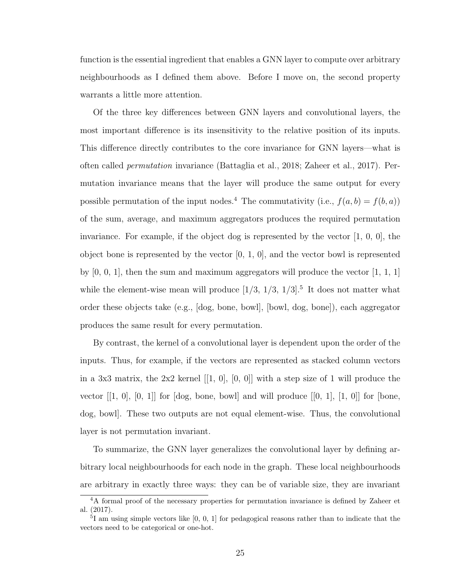function is the essential ingredient that enables a GNN layer to compute over arbitrary neighbourhoods as I defined them above. Before I move on, the second property warrants a little more attention.

Of the three key differences between GNN layers and convolutional layers, the most important difference is its insensitivity to the relative position of its inputs. This difference directly contributes to the core invariance for GNN layers—what is often called permutation invariance (Battaglia et al., 2018; Zaheer et al., 2017). Permutation invariance means that the layer will produce the same output for every possible permutation of the input nodes.<sup>4</sup> The commutativity (i.e.,  $f(a, b) = f(b, a)$ ) of the sum, average, and maximum aggregators produces the required permutation invariance. For example, if the object dog is represented by the vector  $[1, 0, 0]$ , the object bone is represented by the vector  $[0, 1, 0]$ , and the vector bowl is represented by  $[0, 0, 1]$ , then the sum and maximum aggregators will produce the vector  $[1, 1, 1]$ while the element-wise mean will produce  $[1/3, 1/3, 1/3]$ .<sup>5</sup> It does not matter what order these objects take (e.g., [dog, bone, bowl], [bowl, dog, bone]), each aggregator produces the same result for every permutation.

By contrast, the kernel of a convolutional layer is dependent upon the order of the inputs. Thus, for example, if the vectors are represented as stacked column vectors in a 3x3 matrix, the  $2x2$  kernel  $[[1, 0], [0, 0]]$  with a step size of 1 will produce the vector  $[[1, 0], [0, 1]]$  for  $[dog, bone, bowl]$  and will produce  $[[0, 1], [1, 0]]$  for  $[bone,$ dog, bowl]. These two outputs are not equal element-wise. Thus, the convolutional layer is not permutation invariant.

To summarize, the GNN layer generalizes the convolutional layer by defining arbitrary local neighbourhoods for each node in the graph. These local neighbourhoods are arbitrary in exactly three ways: they can be of variable size, they are invariant

<sup>4</sup>A formal proof of the necessary properties for permutation invariance is defined by Zaheer et al. (2017).

<sup>&</sup>lt;sup>5</sup>I am using simple vectors like [0, 0, 1] for pedagogical reasons rather than to indicate that the vectors need to be categorical or one-hot.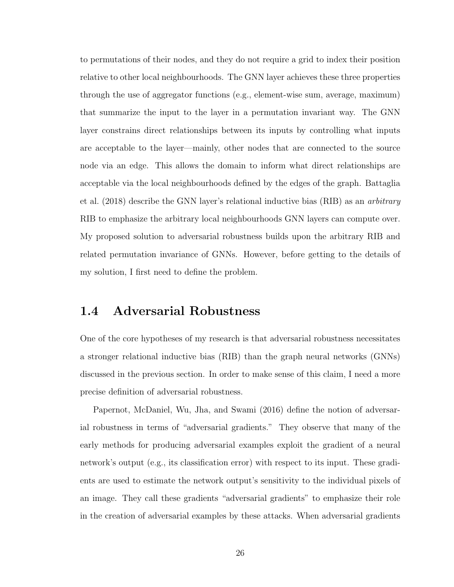to permutations of their nodes, and they do not require a grid to index their position relative to other local neighbourhoods. The GNN layer achieves these three properties through the use of aggregator functions (e.g., element-wise sum, average, maximum) that summarize the input to the layer in a permutation invariant way. The GNN layer constrains direct relationships between its inputs by controlling what inputs are acceptable to the layer—mainly, other nodes that are connected to the source node via an edge. This allows the domain to inform what direct relationships are acceptable via the local neighbourhoods defined by the edges of the graph. Battaglia et al. (2018) describe the GNN layer's relational inductive bias (RIB) as an arbitrary RIB to emphasize the arbitrary local neighbourhoods GNN layers can compute over. My proposed solution to adversarial robustness builds upon the arbitrary RIB and related permutation invariance of GNNs. However, before getting to the details of my solution, I first need to define the problem.

### 1.4 Adversarial Robustness

One of the core hypotheses of my research is that adversarial robustness necessitates a stronger relational inductive bias (RIB) than the graph neural networks (GNNs) discussed in the previous section. In order to make sense of this claim, I need a more precise definition of adversarial robustness.

Papernot, McDaniel, Wu, Jha, and Swami (2016) define the notion of adversarial robustness in terms of "adversarial gradients." They observe that many of the early methods for producing adversarial examples exploit the gradient of a neural network's output (e.g., its classification error) with respect to its input. These gradients are used to estimate the network output's sensitivity to the individual pixels of an image. They call these gradients "adversarial gradients" to emphasize their role in the creation of adversarial examples by these attacks. When adversarial gradients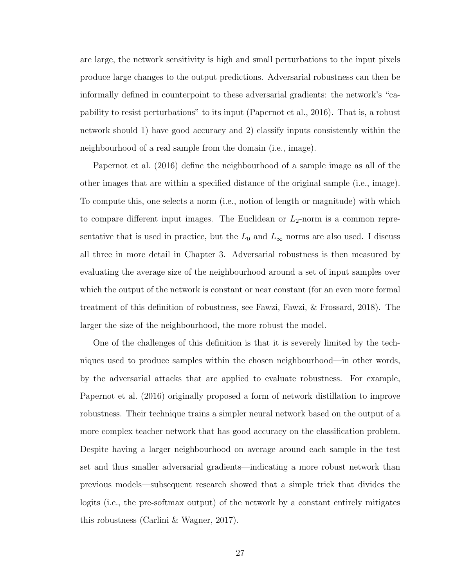are large, the network sensitivity is high and small perturbations to the input pixels produce large changes to the output predictions. Adversarial robustness can then be informally defined in counterpoint to these adversarial gradients: the network's "capability to resist perturbations" to its input (Papernot et al., 2016). That is, a robust network should 1) have good accuracy and 2) classify inputs consistently within the neighbourhood of a real sample from the domain (i.e., image).

Papernot et al. (2016) define the neighbourhood of a sample image as all of the other images that are within a specified distance of the original sample (i.e., image). To compute this, one selects a norm (i.e., notion of length or magnitude) with which to compare different input images. The Euclidean or  $L_2$ -norm is a common representative that is used in practice, but the  $L_0$  and  $L_{\infty}$  norms are also used. I discuss all three in more detail in Chapter 3. Adversarial robustness is then measured by evaluating the average size of the neighbourhood around a set of input samples over which the output of the network is constant or near constant (for an even more formal treatment of this definition of robustness, see Fawzi, Fawzi, & Frossard, 2018). The larger the size of the neighbourhood, the more robust the model.

One of the challenges of this definition is that it is severely limited by the techniques used to produce samples within the chosen neighbourhood—in other words, by the adversarial attacks that are applied to evaluate robustness. For example, Papernot et al. (2016) originally proposed a form of network distillation to improve robustness. Their technique trains a simpler neural network based on the output of a more complex teacher network that has good accuracy on the classification problem. Despite having a larger neighbourhood on average around each sample in the test set and thus smaller adversarial gradients—indicating a more robust network than previous models—subsequent research showed that a simple trick that divides the logits (i.e., the pre-softmax output) of the network by a constant entirely mitigates this robustness (Carlini & Wagner, 2017).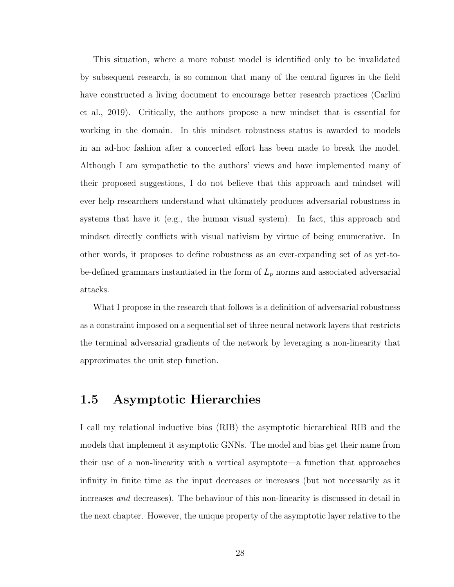This situation, where a more robust model is identified only to be invalidated by subsequent research, is so common that many of the central figures in the field have constructed a living document to encourage better research practices (Carlini et al., 2019). Critically, the authors propose a new mindset that is essential for working in the domain. In this mindset robustness status is awarded to models in an ad-hoc fashion after a concerted effort has been made to break the model. Although I am sympathetic to the authors' views and have implemented many of their proposed suggestions, I do not believe that this approach and mindset will ever help researchers understand what ultimately produces adversarial robustness in systems that have it (e.g., the human visual system). In fact, this approach and mindset directly conflicts with visual nativism by virtue of being enumerative. In other words, it proposes to define robustness as an ever-expanding set of as yet-tobe-defined grammars instantiated in the form of  $L_p$  norms and associated adversarial attacks.

What I propose in the research that follows is a definition of adversarial robustness as a constraint imposed on a sequential set of three neural network layers that restricts the terminal adversarial gradients of the network by leveraging a non-linearity that approximates the unit step function.

#### 1.5 Asymptotic Hierarchies

I call my relational inductive bias (RIB) the asymptotic hierarchical RIB and the models that implement it asymptotic GNNs. The model and bias get their name from their use of a non-linearity with a vertical asymptote—a function that approaches infinity in finite time as the input decreases or increases (but not necessarily as it increases and decreases). The behaviour of this non-linearity is discussed in detail in the next chapter. However, the unique property of the asymptotic layer relative to the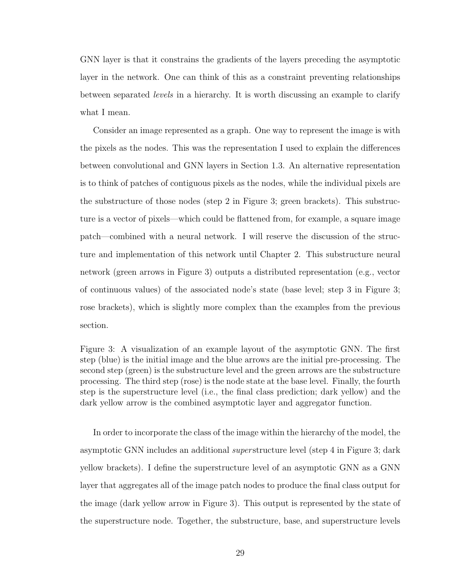GNN layer is that it constrains the gradients of the layers preceding the asymptotic layer in the network. One can think of this as a constraint preventing relationships between separated levels in a hierarchy. It is worth discussing an example to clarify what I mean.

Consider an image represented as a graph. One way to represent the image is with the pixels as the nodes. This was the representation I used to explain the differences between convolutional and GNN layers in Section 1.3. An alternative representation is to think of patches of contiguous pixels as the nodes, while the individual pixels are the substructure of those nodes (step 2 in Figure 3; green brackets). This substructure is a vector of pixels—which could be flattened from, for example, a square image patch—combined with a neural network. I will reserve the discussion of the structure and implementation of this network until Chapter 2. This substructure neural network (green arrows in Figure 3) outputs a distributed representation (e.g., vector of continuous values) of the associated node's state (base level; step 3 in Figure 3; rose brackets), which is slightly more complex than the examples from the previous section.

Figure 3: A visualization of an example layout of the asymptotic GNN. The first step (blue) is the initial image and the blue arrows are the initial pre-processing. The second step (green) is the substructure level and the green arrows are the substructure processing. The third step (rose) is the node state at the base level. Finally, the fourth step is the superstructure level (i.e., the final class prediction; dark yellow) and the dark yellow arrow is the combined asymptotic layer and aggregator function.

In order to incorporate the class of the image within the hierarchy of the model, the asymptotic GNN includes an additional *super* structure level (step 4 in Figure 3; dark yellow brackets). I define the superstructure level of an asymptotic GNN as a GNN layer that aggregates all of the image patch nodes to produce the final class output for the image (dark yellow arrow in Figure 3). This output is represented by the state of the superstructure node. Together, the substructure, base, and superstructure levels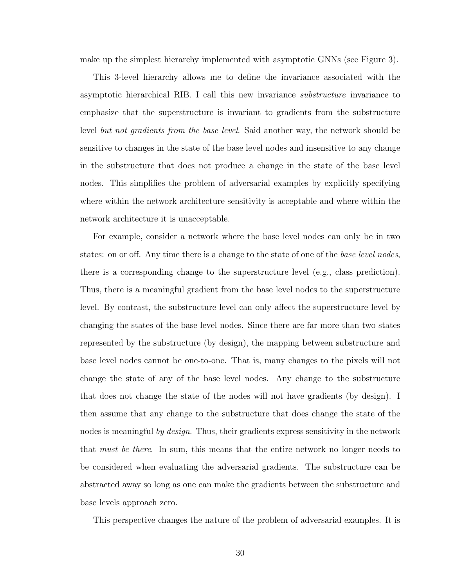make up the simplest hierarchy implemented with asymptotic GNNs (see Figure 3).

This 3-level hierarchy allows me to define the invariance associated with the asymptotic hierarchical RIB. I call this new invariance substructure invariance to emphasize that the superstructure is invariant to gradients from the substructure level but not gradients from the base level. Said another way, the network should be sensitive to changes in the state of the base level nodes and insensitive to any change in the substructure that does not produce a change in the state of the base level nodes. This simplifies the problem of adversarial examples by explicitly specifying where within the network architecture sensitivity is acceptable and where within the network architecture it is unacceptable.

For example, consider a network where the base level nodes can only be in two states: on or off. Any time there is a change to the state of one of the *base level nodes*, there is a corresponding change to the superstructure level (e.g., class prediction). Thus, there is a meaningful gradient from the base level nodes to the superstructure level. By contrast, the substructure level can only affect the superstructure level by changing the states of the base level nodes. Since there are far more than two states represented by the substructure (by design), the mapping between substructure and base level nodes cannot be one-to-one. That is, many changes to the pixels will not change the state of any of the base level nodes. Any change to the substructure that does not change the state of the nodes will not have gradients (by design). I then assume that any change to the substructure that does change the state of the nodes is meaningful by design. Thus, their gradients express sensitivity in the network that *must be there*. In sum, this means that the entire network no longer needs to be considered when evaluating the adversarial gradients. The substructure can be abstracted away so long as one can make the gradients between the substructure and base levels approach zero.

This perspective changes the nature of the problem of adversarial examples. It is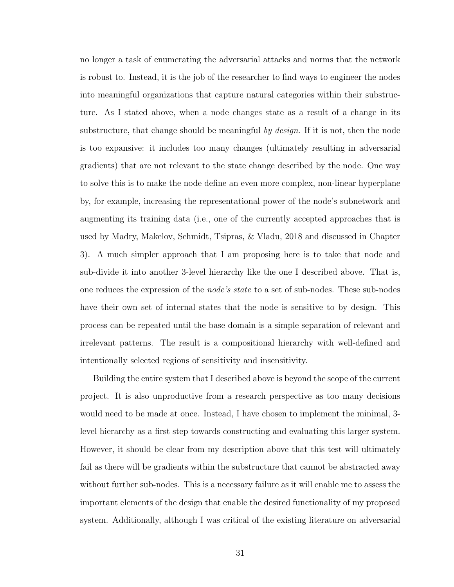no longer a task of enumerating the adversarial attacks and norms that the network is robust to. Instead, it is the job of the researcher to find ways to engineer the nodes into meaningful organizations that capture natural categories within their substructure. As I stated above, when a node changes state as a result of a change in its substructure, that change should be meaningful by design. If it is not, then the node is too expansive: it includes too many changes (ultimately resulting in adversarial gradients) that are not relevant to the state change described by the node. One way to solve this is to make the node define an even more complex, non-linear hyperplane by, for example, increasing the representational power of the node's subnetwork and augmenting its training data (i.e., one of the currently accepted approaches that is used by Madry, Makelov, Schmidt, Tsipras, & Vladu, 2018 and discussed in Chapter 3). A much simpler approach that I am proposing here is to take that node and sub-divide it into another 3-level hierarchy like the one I described above. That is, one reduces the expression of the *node's state* to a set of sub-nodes. These sub-nodes have their own set of internal states that the node is sensitive to by design. This process can be repeated until the base domain is a simple separation of relevant and irrelevant patterns. The result is a compositional hierarchy with well-defined and intentionally selected regions of sensitivity and insensitivity.

Building the entire system that I described above is beyond the scope of the current project. It is also unproductive from a research perspective as too many decisions would need to be made at once. Instead, I have chosen to implement the minimal, 3 level hierarchy as a first step towards constructing and evaluating this larger system. However, it should be clear from my description above that this test will ultimately fail as there will be gradients within the substructure that cannot be abstracted away without further sub-nodes. This is a necessary failure as it will enable me to assess the important elements of the design that enable the desired functionality of my proposed system. Additionally, although I was critical of the existing literature on adversarial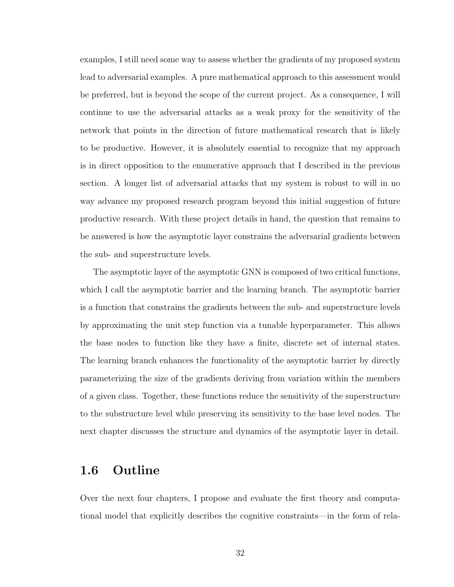examples, I still need some way to assess whether the gradients of my proposed system lead to adversarial examples. A pure mathematical approach to this assessment would be preferred, but is beyond the scope of the current project. As a consequence, I will continue to use the adversarial attacks as a weak proxy for the sensitivity of the network that points in the direction of future mathematical research that is likely to be productive. However, it is absolutely essential to recognize that my approach is in direct opposition to the enumerative approach that I described in the previous section. A longer list of adversarial attacks that my system is robust to will in no way advance my proposed research program beyond this initial suggestion of future productive research. With these project details in hand, the question that remains to be answered is how the asymptotic layer constrains the adversarial gradients between the sub- and superstructure levels.

The asymptotic layer of the asymptotic GNN is composed of two critical functions, which I call the asymptotic barrier and the learning branch. The asymptotic barrier is a function that constrains the gradients between the sub- and superstructure levels by approximating the unit step function via a tunable hyperparameter. This allows the base nodes to function like they have a finite, discrete set of internal states. The learning branch enhances the functionality of the asymptotic barrier by directly parameterizing the size of the gradients deriving from variation within the members of a given class. Together, these functions reduce the sensitivity of the superstructure to the substructure level while preserving its sensitivity to the base level nodes. The next chapter discusses the structure and dynamics of the asymptotic layer in detail.

### 1.6 Outline

Over the next four chapters, I propose and evaluate the first theory and computational model that explicitly describes the cognitive constraints—in the form of rela-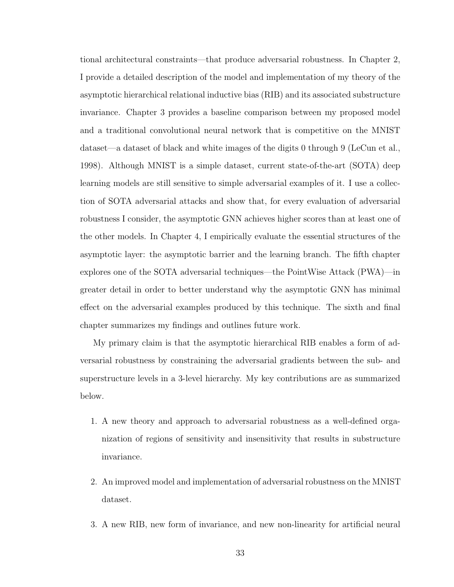tional architectural constraints—that produce adversarial robustness. In Chapter 2, I provide a detailed description of the model and implementation of my theory of the asymptotic hierarchical relational inductive bias (RIB) and its associated substructure invariance. Chapter 3 provides a baseline comparison between my proposed model and a traditional convolutional neural network that is competitive on the MNIST dataset—a dataset of black and white images of the digits 0 through 9 (LeCun et al., 1998). Although MNIST is a simple dataset, current state-of-the-art (SOTA) deep learning models are still sensitive to simple adversarial examples of it. I use a collection of SOTA adversarial attacks and show that, for every evaluation of adversarial robustness I consider, the asymptotic GNN achieves higher scores than at least one of the other models. In Chapter 4, I empirically evaluate the essential structures of the asymptotic layer: the asymptotic barrier and the learning branch. The fifth chapter explores one of the SOTA adversarial techniques—the PointWise Attack (PWA)—in greater detail in order to better understand why the asymptotic GNN has minimal effect on the adversarial examples produced by this technique. The sixth and final chapter summarizes my findings and outlines future work.

My primary claim is that the asymptotic hierarchical RIB enables a form of adversarial robustness by constraining the adversarial gradients between the sub- and superstructure levels in a 3-level hierarchy. My key contributions are as summarized below.

- 1. A new theory and approach to adversarial robustness as a well-defined organization of regions of sensitivity and insensitivity that results in substructure invariance.
- 2. An improved model and implementation of adversarial robustness on the MNIST dataset.
- 3. A new RIB, new form of invariance, and new non-linearity for artificial neural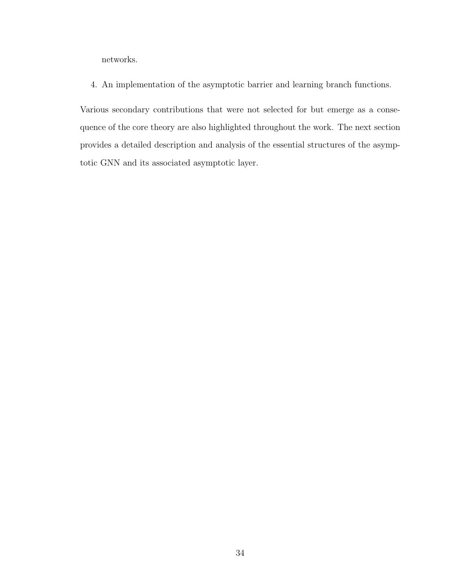networks.

4. An implementation of the asymptotic barrier and learning branch functions.

Various secondary contributions that were not selected for but emerge as a consequence of the core theory are also highlighted throughout the work. The next section provides a detailed description and analysis of the essential structures of the asymptotic GNN and its associated asymptotic layer.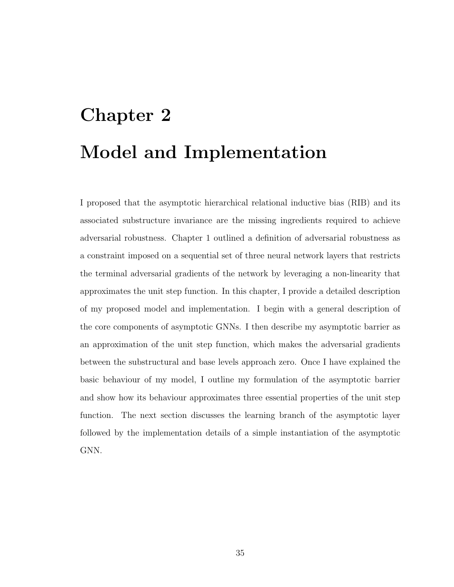# Chapter 2 Model and Implementation

I proposed that the asymptotic hierarchical relational inductive bias (RIB) and its associated substructure invariance are the missing ingredients required to achieve adversarial robustness. Chapter 1 outlined a definition of adversarial robustness as a constraint imposed on a sequential set of three neural network layers that restricts the terminal adversarial gradients of the network by leveraging a non-linearity that approximates the unit step function. In this chapter, I provide a detailed description of my proposed model and implementation. I begin with a general description of the core components of asymptotic GNNs. I then describe my asymptotic barrier as an approximation of the unit step function, which makes the adversarial gradients between the substructural and base levels approach zero. Once I have explained the basic behaviour of my model, I outline my formulation of the asymptotic barrier and show how its behaviour approximates three essential properties of the unit step function. The next section discusses the learning branch of the asymptotic layer followed by the implementation details of a simple instantiation of the asymptotic GNN.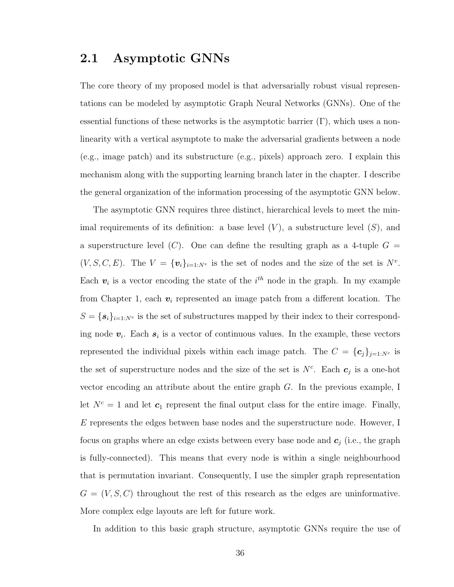# 2.1 Asymptotic GNNs

The core theory of my proposed model is that adversarially robust visual representations can be modeled by asymptotic Graph Neural Networks (GNNs). One of the essential functions of these networks is the asymptotic barrier  $(\Gamma)$ , which uses a nonlinearity with a vertical asymptote to make the adversarial gradients between a node (e.g., image patch) and its substructure (e.g., pixels) approach zero. I explain this mechanism along with the supporting learning branch later in the chapter. I describe the general organization of the information processing of the asymptotic GNN below.

The asymptotic GNN requires three distinct, hierarchical levels to meet the minimal requirements of its definition: a base level  $(V)$ , a substructure level  $(S)$ , and a superstructure level  $(C)$ . One can define the resulting graph as a 4-tuple  $G =$  $(V, S, C, E)$ . The  $V = \{v_i\}_{i=1:N^v}$  is the set of nodes and the size of the set is  $N^v$ . Each  $v_i$  is a vector encoding the state of the  $i^{th}$  node in the graph. In my example from Chapter 1, each  $v_i$  represented an image patch from a different location. The  $S = {\mathbf{s}_i}_{i=1:N^v}$  is the set of substructures mapped by their index to their corresponding node  $v_i$ . Each  $s_i$  is a vector of continuous values. In the example, these vectors represented the individual pixels within each image patch. The  $C = {\{c_j\}}_{j=1:N^c}$  is the set of superstructure nodes and the size of the set is  $N^c$ . Each  $c_j$  is a one-hot vector encoding an attribute about the entire graph G. In the previous example, I let  $N^c = 1$  and let  $c_1$  represent the final output class for the entire image. Finally, E represents the edges between base nodes and the superstructure node. However, I focus on graphs where an edge exists between every base node and  $c_j$  (i.e., the graph is fully-connected). This means that every node is within a single neighbourhood that is permutation invariant. Consequently, I use the simpler graph representation  $G = (V, S, C)$  throughout the rest of this research as the edges are uninformative. More complex edge layouts are left for future work.

In addition to this basic graph structure, asymptotic GNNs require the use of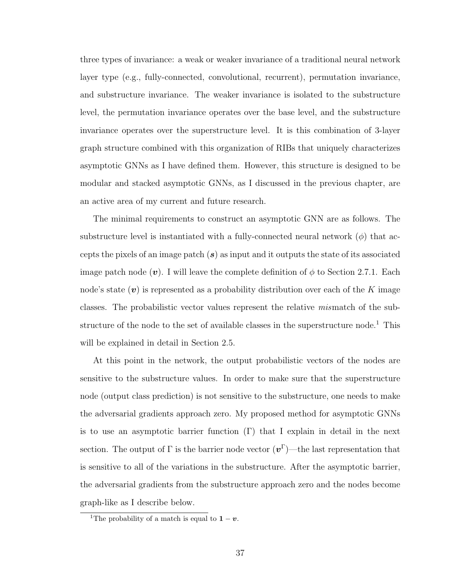three types of invariance: a weak or weaker invariance of a traditional neural network layer type (e.g., fully-connected, convolutional, recurrent), permutation invariance, and substructure invariance. The weaker invariance is isolated to the substructure level, the permutation invariance operates over the base level, and the substructure invariance operates over the superstructure level. It is this combination of 3-layer graph structure combined with this organization of RIBs that uniquely characterizes asymptotic GNNs as I have defined them. However, this structure is designed to be modular and stacked asymptotic GNNs, as I discussed in the previous chapter, are an active area of my current and future research.

The minimal requirements to construct an asymptotic GNN are as follows. The substructure level is instantiated with a fully-connected neural network  $(\phi)$  that accepts the pixels of an image patch  $(s)$  as input and it outputs the state of its associated image patch node (v). I will leave the complete definition of  $\phi$  to Section 2.7.1. Each node's state  $(v)$  is represented as a probability distribution over each of the K image classes. The probabilistic vector values represent the relative mismatch of the substructure of the node to the set of available classes in the superstructure node.<sup>1</sup> This will be explained in detail in Section 2.5.

At this point in the network, the output probabilistic vectors of the nodes are sensitive to the substructure values. In order to make sure that the superstructure node (output class prediction) is not sensitive to the substructure, one needs to make the adversarial gradients approach zero. My proposed method for asymptotic GNNs is to use an asymptotic barrier function  $(\Gamma)$  that I explain in detail in the next section. The output of  $\Gamma$  is the barrier node vector  $(v^{\Gamma})$ —the last representation that is sensitive to all of the variations in the substructure. After the asymptotic barrier, the adversarial gradients from the substructure approach zero and the nodes become graph-like as I describe below.

<sup>&</sup>lt;sup>1</sup>The probability of a match is equal to  $1 - v$ .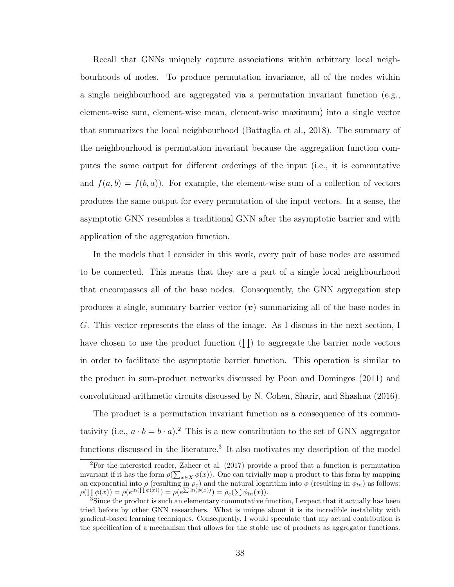Recall that GNNs uniquely capture associations within arbitrary local neighbourhoods of nodes. To produce permutation invariance, all of the nodes within a single neighbourhood are aggregated via a permutation invariant function (e.g., element-wise sum, element-wise mean, element-wise maximum) into a single vector that summarizes the local neighbourhood (Battaglia et al., 2018). The summary of the neighbourhood is permutation invariant because the aggregation function computes the same output for different orderings of the input (i.e., it is commutative and  $f(a, b) = f(b, a)$ . For example, the element-wise sum of a collection of vectors produces the same output for every permutation of the input vectors. In a sense, the asymptotic GNN resembles a traditional GNN after the asymptotic barrier and with application of the aggregation function.

In the models that I consider in this work, every pair of base nodes are assumed to be connected. This means that they are a part of a single local neighbourhood that encompasses all of the base nodes. Consequently, the GNN aggregation step produces a single, summary barrier vector  $\overline{v}$  summarizing all of the base nodes in G. This vector represents the class of the image. As I discuss in the next section, I have chosen to use the product function  $(\Pi)$  to aggregate the barrier node vectors in order to facilitate the asymptotic barrier function. This operation is similar to the product in sum-product networks discussed by Poon and Domingos (2011) and convolutional arithmetic circuits discussed by N. Cohen, Sharir, and Shashua (2016).

The product is a permutation invariant function as a consequence of its commutativity (i.e.,  $a \cdot b = b \cdot a$ ).<sup>2</sup> This is a new contribution to the set of GNN aggregator functions discussed in the literature.<sup>3</sup> It also motivates my description of the model

 ${}^{2}$ For the interested reader, Zaheer et al. (2017) provide a proof that a function is permutation invariant if it has the form  $\rho(\sum_{x \in X} \phi(x))$ . One can trivially map a product to this form by mapping an exponential into  $\rho$  (resulting in  $\rho_e$ ) and the natural logarithm into  $\phi$  (resulting in  $\phi_{ln}$ ) as follows:  $\rho(\prod \phi(x)) = \rho(e^{\ln(\prod \phi(x))}) = \rho(e^{\sum \ln(\phi(x))}) = \rho_e(\sum \phi_{ln}(x)).$ 

<sup>&</sup>lt;sup>3</sup>Since the product is such an elementary commutative function, I expect that it actually has been tried before by other GNN researchers. What is unique about it is its incredible instability with gradient-based learning techniques. Consequently, I would speculate that my actual contribution is the specification of a mechanism that allows for the stable use of products as aggregator functions.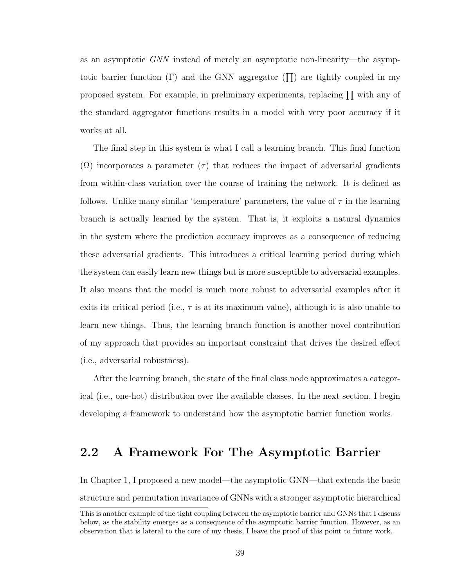as an asymptotic GNN instead of merely an asymptotic non-linearity—the asymptotic barrier function ( $\Gamma$ ) and the GNN aggregator ( $\prod$ ) are tightly coupled in my proposed system. For example, in preliminary experiments, replacing  $\prod$  with any of the standard aggregator functions results in a model with very poor accuracy if it works at all.

The final step in this system is what I call a learning branch. This final function  $(\Omega)$  incorporates a parameter  $(\tau)$  that reduces the impact of adversarial gradients from within-class variation over the course of training the network. It is defined as follows. Unlike many similar 'temperature' parameters, the value of  $\tau$  in the learning branch is actually learned by the system. That is, it exploits a natural dynamics in the system where the prediction accuracy improves as a consequence of reducing these adversarial gradients. This introduces a critical learning period during which the system can easily learn new things but is more susceptible to adversarial examples. It also means that the model is much more robust to adversarial examples after it exits its critical period (i.e.,  $\tau$  is at its maximum value), although it is also unable to learn new things. Thus, the learning branch function is another novel contribution of my approach that provides an important constraint that drives the desired effect (i.e., adversarial robustness).

After the learning branch, the state of the final class node approximates a categorical (i.e., one-hot) distribution over the available classes. In the next section, I begin developing a framework to understand how the asymptotic barrier function works.

## 2.2 A Framework For The Asymptotic Barrier

In Chapter 1, I proposed a new model—the asymptotic GNN—that extends the basic structure and permutation invariance of GNNs with a stronger asymptotic hierarchical

This is another example of the tight coupling between the asymptotic barrier and GNNs that I discuss below, as the stability emerges as a consequence of the asymptotic barrier function. However, as an observation that is lateral to the core of my thesis, I leave the proof of this point to future work.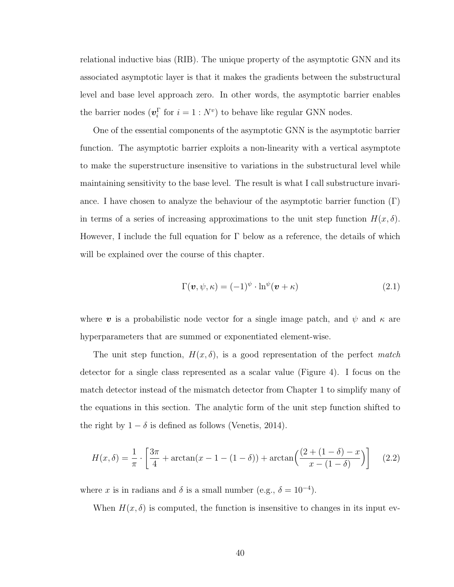relational inductive bias (RIB). The unique property of the asymptotic GNN and its associated asymptotic layer is that it makes the gradients between the substructural level and base level approach zero. In other words, the asymptotic barrier enables the barrier nodes  $(\boldsymbol{v}_i^{\Gamma}$  for  $i = 1 : N^v)$  to behave like regular GNN nodes.

One of the essential components of the asymptotic GNN is the asymptotic barrier function. The asymptotic barrier exploits a non-linearity with a vertical asymptote to make the superstructure insensitive to variations in the substructural level while maintaining sensitivity to the base level. The result is what I call substructure invariance. I have chosen to analyze the behaviour of the asymptotic barrier function  $(Γ)$ in terms of a series of increasing approximations to the unit step function  $H(x, \delta)$ . However, I include the full equation for  $\Gamma$  below as a reference, the details of which will be explained over the course of this chapter.

$$
\Gamma(\mathbf{v}, \psi, \kappa) = (-1)^{\psi} \cdot \ln^{\psi}(\mathbf{v} + \kappa)
$$
\n(2.1)

where v is a probabilistic node vector for a single image patch, and  $\psi$  and  $\kappa$  are hyperparameters that are summed or exponentiated element-wise.

The unit step function,  $H(x, \delta)$ , is a good representation of the perfect match detector for a single class represented as a scalar value (Figure 4). I focus on the match detector instead of the mismatch detector from Chapter 1 to simplify many of the equations in this section. The analytic form of the unit step function shifted to the right by  $1 - \delta$  is defined as follows (Venetis, 2014).

$$
H(x,\delta) = \frac{1}{\pi} \cdot \left[ \frac{3\pi}{4} + \arctan(x - 1 - (1 - \delta)) + \arctan\left(\frac{(2 + (1 - \delta) - x)}{x - (1 - \delta)}\right) \right]
$$
(2.2)

where x is in radians and  $\delta$  is a small number (e.g.,  $\delta = 10^{-4}$ ).

When  $H(x, \delta)$  is computed, the function is insensitive to changes in its input ev-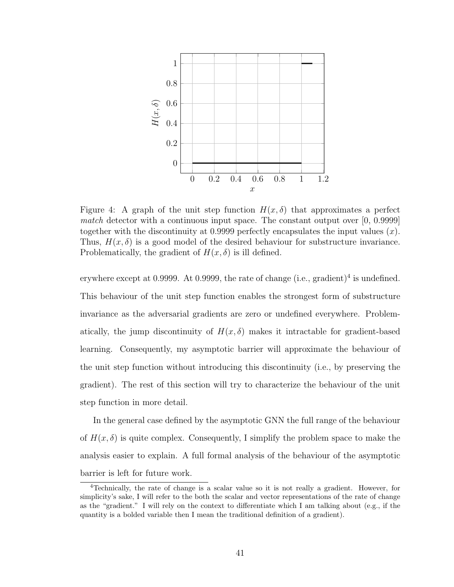

Figure 4: A graph of the unit step function  $H(x, \delta)$  that approximates a perfect match detector with a continuous input space. The constant output over [0, 0.9999] together with the discontinuity at 0.9999 perfectly encapsulates the input values  $(x)$ . Thus,  $H(x, \delta)$  is a good model of the desired behaviour for substructure invariance. Problematically, the gradient of  $H(x, \delta)$  is ill defined.

erywhere except at 0.9999. At 0.9999, the rate of change  $(i.e., gradient)^4$  is undefined. This behaviour of the unit step function enables the strongest form of substructure invariance as the adversarial gradients are zero or undefined everywhere. Problematically, the jump discontinuity of  $H(x, \delta)$  makes it intractable for gradient-based learning. Consequently, my asymptotic barrier will approximate the behaviour of the unit step function without introducing this discontinuity (i.e., by preserving the gradient). The rest of this section will try to characterize the behaviour of the unit step function in more detail.

In the general case defined by the asymptotic GNN the full range of the behaviour of  $H(x, \delta)$  is quite complex. Consequently, I simplify the problem space to make the analysis easier to explain. A full formal analysis of the behaviour of the asymptotic barrier is left for future work.

<sup>4</sup>Technically, the rate of change is a scalar value so it is not really a gradient. However, for simplicity's sake, I will refer to the both the scalar and vector representations of the rate of change as the "gradient." I will rely on the context to differentiate which I am talking about (e.g., if the quantity is a bolded variable then I mean the traditional definition of a gradient).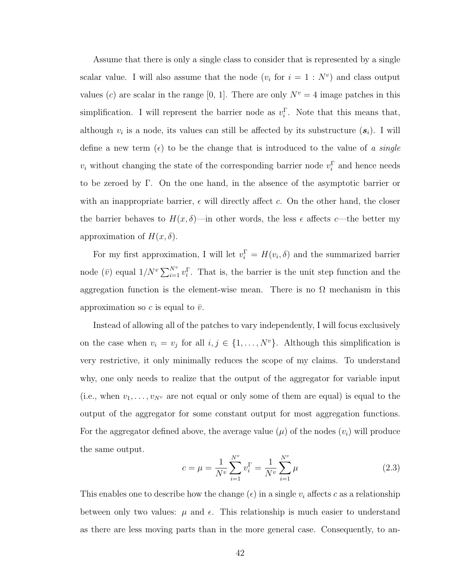Assume that there is only a single class to consider that is represented by a single scalar value. I will also assume that the node  $(v_i$  for  $i = 1 : N^v)$  and class output values (c) are scalar in the range [0, 1]. There are only  $N^v = 4$  image patches in this simplification. I will represent the barrier node as  $v_i^{\Gamma}$ . Note that this means that, although  $v_i$  is a node, its values can still be affected by its substructure  $(s_i)$ . I will define a new term ( $\epsilon$ ) to be the change that is introduced to the value of a single  $v_i$  without changing the state of the corresponding barrier node  $v_i^{\Gamma}$  and hence needs to be zeroed by Γ. On the one hand, in the absence of the asymptotic barrier or with an inappropriate barrier,  $\epsilon$  will directly affect c. On the other hand, the closer the barrier behaves to  $H(x, \delta)$ —in other words, the less  $\epsilon$  affects c—the better my approximation of  $H(x,\delta)$ .

For my first approximation, I will let  $v_i^{\Gamma} = H(v_i, \delta)$  and the summarized barrier node  $(\bar{v})$  equal  $1/N^v \sum_{i=1}^{N^v} v_i^{\Gamma}$ . That is, the barrier is the unit step function and the aggregation function is the element-wise mean. There is no  $\Omega$  mechanism in this approximation so c is equal to  $\bar{v}$ .

Instead of allowing all of the patches to vary independently, I will focus exclusively on the case when  $v_i = v_j$  for all  $i, j \in \{1, ..., N^v\}$ . Although this simplification is very restrictive, it only minimally reduces the scope of my claims. To understand why, one only needs to realize that the output of the aggregator for variable input (i.e., when  $v_1, \ldots, v_{N^v}$  are not equal or only some of them are equal) is equal to the output of the aggregator for some constant output for most aggregation functions. For the aggregator defined above, the average value  $(\mu)$  of the nodes  $(v_i)$  will produce the same output.

$$
c = \mu = \frac{1}{N^v} \sum_{i=1}^{N^v} v_i^{\Gamma} = \frac{1}{N^v} \sum_{i=1}^{N^v} \mu
$$
\n(2.3)

This enables one to describe how the change  $(\epsilon)$  in a single  $v_i$  affects c as a relationship between only two values:  $\mu$  and  $\epsilon$ . This relationship is much easier to understand as there are less moving parts than in the more general case. Consequently, to an-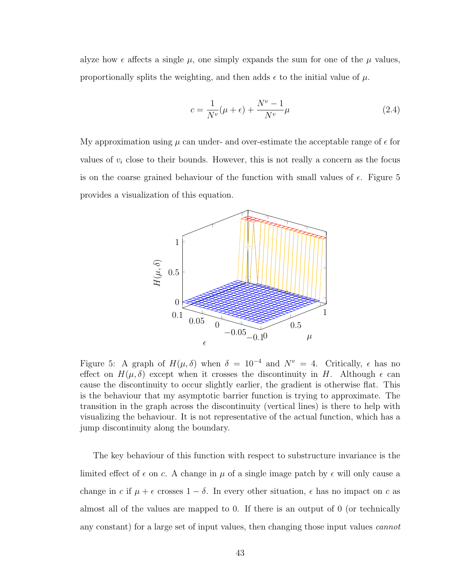alyze how  $\epsilon$  affects a single  $\mu$ , one simply expands the sum for one of the  $\mu$  values, proportionally splits the weighting, and then adds  $\epsilon$  to the initial value of  $\mu$ .

$$
c = \frac{1}{N^v}(\mu + \epsilon) + \frac{N^v - 1}{N^v}\mu
$$
\n(2.4)

My approximation using  $\mu$  can under- and over-estimate the acceptable range of  $\epsilon$  for values of  $v_i$  close to their bounds. However, this is not really a concern as the focus is on the coarse grained behaviour of the function with small values of  $\epsilon$ . Figure 5 provides a visualization of this equation.



Figure 5: A graph of  $H(\mu, \delta)$  when  $\delta = 10^{-4}$  and  $N^v = 4$ . Critically,  $\epsilon$  has no effect on  $H(\mu, \delta)$  except when it crosses the discontinuity in H. Although  $\epsilon$  can cause the discontinuity to occur slightly earlier, the gradient is otherwise flat. This is the behaviour that my asymptotic barrier function is trying to approximate. The transition in the graph across the discontinuity (vertical lines) is there to help with visualizing the behaviour. It is not representative of the actual function, which has a jump discontinuity along the boundary.

The key behaviour of this function with respect to substructure invariance is the limited effect of  $\epsilon$  on c. A change in  $\mu$  of a single image patch by  $\epsilon$  will only cause a change in c if  $\mu + \epsilon$  crosses  $1 - \delta$ . In every other situation,  $\epsilon$  has no impact on c as almost all of the values are mapped to 0. If there is an output of 0 (or technically any constant) for a large set of input values, then changing those input values cannot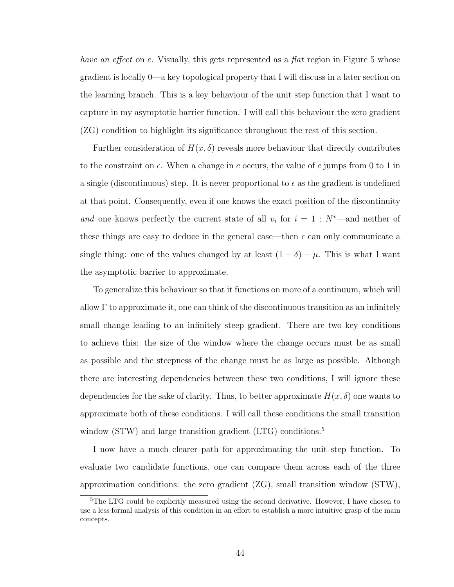have an effect on c. Visually, this gets represented as a flat region in Figure 5 whose gradient is locally 0—a key topological property that I will discuss in a later section on the learning branch. This is a key behaviour of the unit step function that I want to capture in my asymptotic barrier function. I will call this behaviour the zero gradient (ZG) condition to highlight its significance throughout the rest of this section.

Further consideration of  $H(x, \delta)$  reveals more behaviour that directly contributes to the constraint on  $\epsilon$ . When a change in c occurs, the value of c jumps from 0 to 1 in a single (discontinuous) step. It is never proportional to  $\epsilon$  as the gradient is undefined at that point. Consequently, even if one knows the exact position of the discontinuity and one knows perfectly the current state of all  $v_i$  for  $i = 1 : N^v$ —and neither of these things are easy to deduce in the general case—then  $\epsilon$  can only communicate a single thing: one of the values changed by at least  $(1 - \delta) - \mu$ . This is what I want the asymptotic barrier to approximate.

To generalize this behaviour so that it functions on more of a continuum, which will allow  $\Gamma$  to approximate it, one can think of the discontinuous transition as an infinitely small change leading to an infinitely steep gradient. There are two key conditions to achieve this: the size of the window where the change occurs must be as small as possible and the steepness of the change must be as large as possible. Although there are interesting dependencies between these two conditions, I will ignore these dependencies for the sake of clarity. Thus, to better approximate  $H(x, \delta)$  one wants to approximate both of these conditions. I will call these conditions the small transition window (STW) and large transition gradient  $(LTG)$  conditions.<sup>5</sup>

I now have a much clearer path for approximating the unit step function. To evaluate two candidate functions, one can compare them across each of the three approximation conditions: the zero gradient  $(ZG)$ , small transition window  $(STW)$ ,

<sup>&</sup>lt;sup>5</sup>The LTG could be explicitly measured using the second derivative. However, I have chosen to use a less formal analysis of this condition in an effort to establish a more intuitive grasp of the main concepts.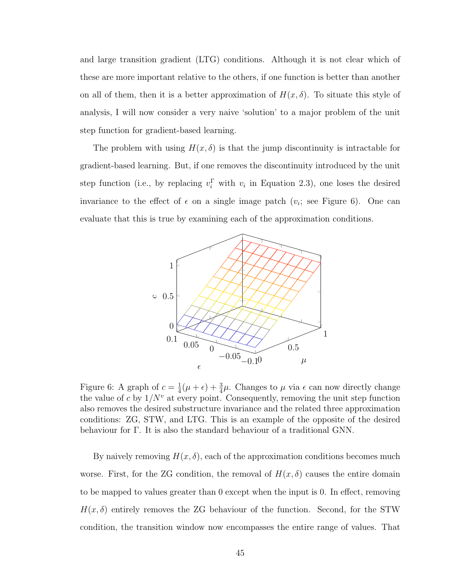and large transition gradient (LTG) conditions. Although it is not clear which of these are more important relative to the others, if one function is better than another on all of them, then it is a better approximation of  $H(x, \delta)$ . To situate this style of analysis, I will now consider a very naive 'solution' to a major problem of the unit step function for gradient-based learning.

The problem with using  $H(x, \delta)$  is that the jump discontinuity is intractable for gradient-based learning. But, if one removes the discontinuity introduced by the unit step function (i.e., by replacing  $v_i^{\Gamma}$  with  $v_i$  in Equation 2.3), one loses the desired invariance to the effect of  $\epsilon$  on a single image patch  $(v_i;$  see Figure 6). One can evaluate that this is true by examining each of the approximation conditions.



Figure 6: A graph of  $c = \frac{1}{4}$  $\frac{1}{4}(\mu + \epsilon) + \frac{3}{4}\mu$ . Changes to  $\mu$  via  $\epsilon$  can now directly change the value of c by  $1/N^v$  at every point. Consequently, removing the unit step function also removes the desired substructure invariance and the related three approximation conditions: ZG, STW, and LTG. This is an example of the opposite of the desired behaviour for Γ. It is also the standard behaviour of a traditional GNN.

By naively removing  $H(x, \delta)$ , each of the approximation conditions becomes much worse. First, for the ZG condition, the removal of  $H(x,\delta)$  causes the entire domain to be mapped to values greater than 0 except when the input is 0. In effect, removing  $H(x, \delta)$  entirely removes the ZG behaviour of the function. Second, for the STW condition, the transition window now encompasses the entire range of values. That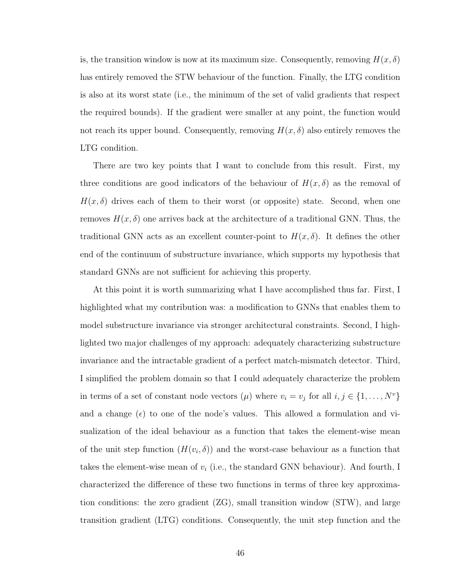is, the transition window is now at its maximum size. Consequently, removing  $H(x, \delta)$ has entirely removed the STW behaviour of the function. Finally, the LTG condition is also at its worst state (i.e., the minimum of the set of valid gradients that respect the required bounds). If the gradient were smaller at any point, the function would not reach its upper bound. Consequently, removing  $H(x, \delta)$  also entirely removes the LTG condition.

There are two key points that I want to conclude from this result. First, my three conditions are good indicators of the behaviour of  $H(x, \delta)$  as the removal of  $H(x, \delta)$  drives each of them to their worst (or opposite) state. Second, when one removes  $H(x, \delta)$  one arrives back at the architecture of a traditional GNN. Thus, the traditional GNN acts as an excellent counter-point to  $H(x,\delta)$ . It defines the other end of the continuum of substructure invariance, which supports my hypothesis that standard GNNs are not sufficient for achieving this property.

At this point it is worth summarizing what I have accomplished thus far. First, I highlighted what my contribution was: a modification to GNNs that enables them to model substructure invariance via stronger architectural constraints. Second, I highlighted two major challenges of my approach: adequately characterizing substructure invariance and the intractable gradient of a perfect match-mismatch detector. Third, I simplified the problem domain so that I could adequately characterize the problem in terms of a set of constant node vectors  $(\mu)$  where  $v_i = v_j$  for all  $i, j \in \{1, ..., N^v\}$ and a change ( $\epsilon$ ) to one of the node's values. This allowed a formulation and visualization of the ideal behaviour as a function that takes the element-wise mean of the unit step function  $(H(v_i, \delta))$  and the worst-case behaviour as a function that takes the element-wise mean of  $v_i$  (i.e., the standard GNN behaviour). And fourth, I characterized the difference of these two functions in terms of three key approximation conditions: the zero gradient (ZG), small transition window (STW), and large transition gradient (LTG) conditions. Consequently, the unit step function and the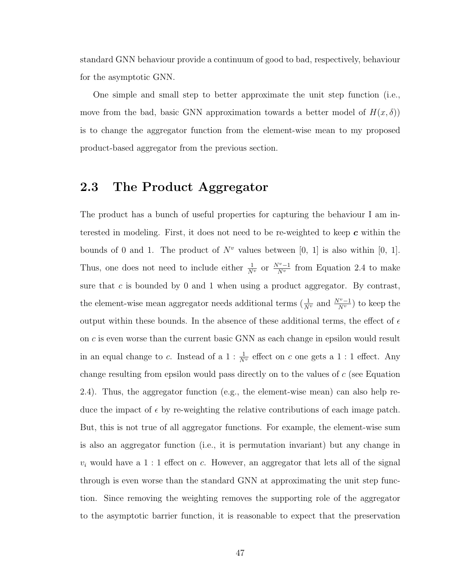standard GNN behaviour provide a continuum of good to bad, respectively, behaviour for the asymptotic GNN.

One simple and small step to better approximate the unit step function (i.e., move from the bad, basic GNN approximation towards a better model of  $H(x, \delta)$ is to change the aggregator function from the element-wise mean to my proposed product-based aggregator from the previous section.

## 2.3 The Product Aggregator

The product has a bunch of useful properties for capturing the behaviour I am interested in modeling. First, it does not need to be re-weighted to keep  $c$  within the bounds of 0 and 1. The product of  $N^v$  values between [0, 1] is also within [0, 1]. Thus, one does not need to include either  $\frac{1}{N^v}$  or  $\frac{N^v-1}{N^v}$  from Equation 2.4 to make sure that c is bounded by 0 and 1 when using a product aggregator. By contrast, the element-wise mean aggregator needs additional terms  $(\frac{1}{N^v}$  and  $\frac{N^v-1}{N^v})$  to keep the output within these bounds. In the absence of these additional terms, the effect of  $\epsilon$ on c is even worse than the current basic GNN as each change in epsilon would result in an equal change to c. Instead of a  $1: \frac{1}{N^v}$  effect on c one gets a 1 : 1 effect. Any change resulting from epsilon would pass directly on to the values of c (see Equation 2.4). Thus, the aggregator function (e.g., the element-wise mean) can also help reduce the impact of  $\epsilon$  by re-weighting the relative contributions of each image patch. But, this is not true of all aggregator functions. For example, the element-wise sum is also an aggregator function (i.e., it is permutation invariant) but any change in  $v_i$  would have a 1 : 1 effect on c. However, an aggregator that lets all of the signal through is even worse than the standard GNN at approximating the unit step function. Since removing the weighting removes the supporting role of the aggregator to the asymptotic barrier function, it is reasonable to expect that the preservation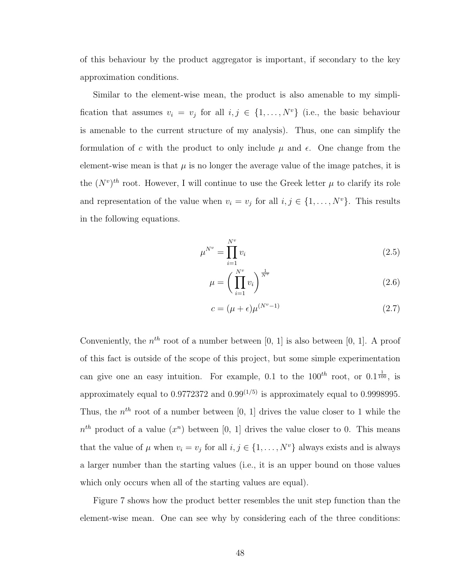of this behaviour by the product aggregator is important, if secondary to the key approximation conditions.

Similar to the element-wise mean, the product is also amenable to my simplification that assumes  $v_i = v_j$  for all  $i, j \in \{1, ..., N^v\}$  (i.e., the basic behaviour is amenable to the current structure of my analysis). Thus, one can simplify the formulation of c with the product to only include  $\mu$  and  $\epsilon$ . One change from the element-wise mean is that  $\mu$  is no longer the average value of the image patches, it is the  $(N^v)^{th}$  root. However, I will continue to use the Greek letter  $\mu$  to clarify its role and representation of the value when  $v_i = v_j$  for all  $i, j \in \{1, ..., N^v\}$ . This results in the following equations.

$$
\mu^{N^v} = \prod_{i=1}^{N^v} v_i \tag{2.5}
$$

$$
\mu = \left(\prod_{i=1}^{N^v} v_i\right)^{\frac{1}{N^v}}\tag{2.6}
$$

$$
c = (\mu + \epsilon)\mu^{(N^v - 1)}\tag{2.7}
$$

Conveniently, the  $n^{th}$  root of a number between [0, 1] is also between [0, 1]. A proof of this fact is outside of the scope of this project, but some simple experimentation can give one an easy intuition. For example, 0.1 to the  $100^{th}$  root, or  $0.1\frac{1}{100}$ , is approximately equal to  $0.9772372$  and  $0.99^{(1/5)}$  is approximately equal to 0.9998995. Thus, the  $n^{th}$  root of a number between [0, 1] drives the value closer to 1 while the  $n^{th}$  product of a value  $(x^n)$  between [0, 1] drives the value closer to 0. This means that the value of  $\mu$  when  $v_i = v_j$  for all  $i, j \in \{1, ..., N^v\}$  always exists and is always a larger number than the starting values (i.e., it is an upper bound on those values which only occurs when all of the starting values are equal).

Figure 7 shows how the product better resembles the unit step function than the element-wise mean. One can see why by considering each of the three conditions: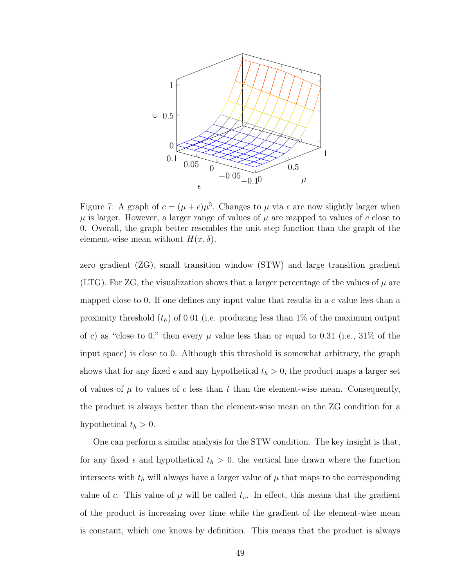

Figure 7: A graph of  $c = (\mu + \epsilon)\mu^3$ . Changes to  $\mu$  via  $\epsilon$  are now slightly larger when  $\mu$  is larger. However, a larger range of values of  $\mu$  are mapped to values of c close to 0. Overall, the graph better resembles the unit step function than the graph of the element-wise mean without  $H(x, \delta)$ .

zero gradient (ZG), small transition window (STW) and large transition gradient (LTG). For ZG, the visualization shows that a larger percentage of the values of  $\mu$  are mapped close to 0. If one defines any input value that results in a c value less than a proximity threshold  $(t_h)$  of 0.01 (i.e. producing less than 1% of the maximum output of c) as "close to 0," then every  $\mu$  value less than or equal to 0.31 (i.e., 31% of the input space) is close to 0. Although this threshold is somewhat arbitrary, the graph shows that for any fixed  $\epsilon$  and any hypothetical  $t_h > 0$ , the product maps a larger set of values of  $\mu$  to values of c less than t than the element-wise mean. Consequently, the product is always better than the element-wise mean on the ZG condition for a hypothetical  $t_h > 0$ .

One can perform a similar analysis for the STW condition. The key insight is that, for any fixed  $\epsilon$  and hypothetical  $t_h > 0$ , the vertical line drawn where the function intersects with  $t<sub>h</sub>$  will always have a larger value of  $\mu$  that maps to the corresponding value of c. This value of  $\mu$  will be called  $t_v$ . In effect, this means that the gradient of the product is increasing over time while the gradient of the element-wise mean is constant, which one knows by definition. This means that the product is always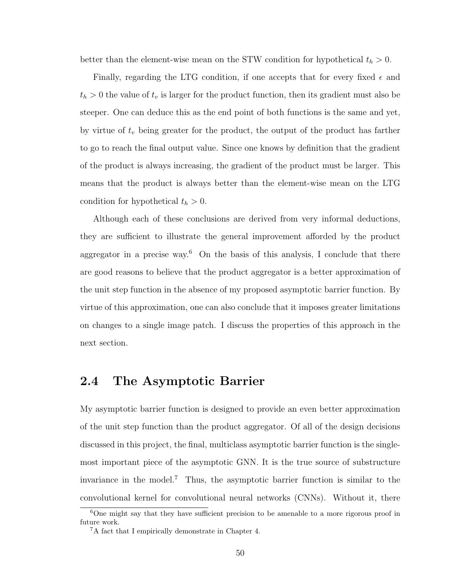better than the element-wise mean on the STW condition for hypothetical  $t_h > 0$ .

Finally, regarding the LTG condition, if one accepts that for every fixed  $\epsilon$  and  $t_h > 0$  the value of  $t_v$  is larger for the product function, then its gradient must also be steeper. One can deduce this as the end point of both functions is the same and yet, by virtue of  $t_v$  being greater for the product, the output of the product has farther to go to reach the final output value. Since one knows by definition that the gradient of the product is always increasing, the gradient of the product must be larger. This means that the product is always better than the element-wise mean on the LTG condition for hypothetical  $t_h > 0$ .

Although each of these conclusions are derived from very informal deductions, they are sufficient to illustrate the general improvement afforded by the product aggregator in a precise way.<sup>6</sup> On the basis of this analysis, I conclude that there are good reasons to believe that the product aggregator is a better approximation of the unit step function in the absence of my proposed asymptotic barrier function. By virtue of this approximation, one can also conclude that it imposes greater limitations on changes to a single image patch. I discuss the properties of this approach in the next section.

## 2.4 The Asymptotic Barrier

My asymptotic barrier function is designed to provide an even better approximation of the unit step function than the product aggregator. Of all of the design decisions discussed in this project, the final, multiclass asymptotic barrier function is the singlemost important piece of the asymptotic GNN. It is the true source of substructure invariance in the model.<sup>7</sup> Thus, the asymptotic barrier function is similar to the convolutional kernel for convolutional neural networks (CNNs). Without it, there

<sup>&</sup>lt;sup>6</sup>One might say that they have sufficient precision to be amenable to a more rigorous proof in future work.

<sup>7</sup>A fact that I empirically demonstrate in Chapter 4.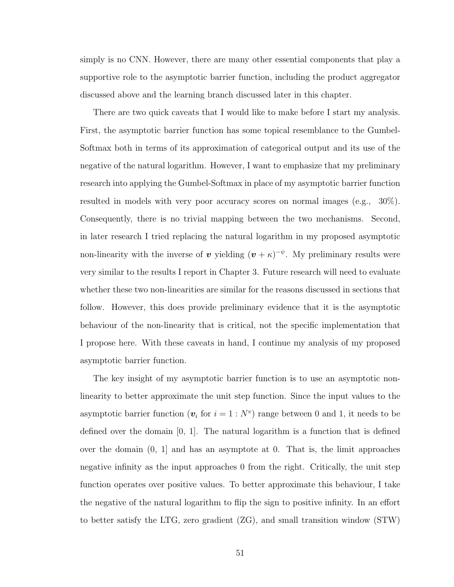simply is no CNN. However, there are many other essential components that play a supportive role to the asymptotic barrier function, including the product aggregator discussed above and the learning branch discussed later in this chapter.

There are two quick caveats that I would like to make before I start my analysis. First, the asymptotic barrier function has some topical resemblance to the Gumbel-Softmax both in terms of its approximation of categorical output and its use of the negative of the natural logarithm. However, I want to emphasize that my preliminary research into applying the Gumbel-Softmax in place of my asymptotic barrier function resulted in models with very poor accuracy scores on normal images (e.g., 30%). Consequently, there is no trivial mapping between the two mechanisms. Second, in later research I tried replacing the natural logarithm in my proposed asymptotic non-linearity with the inverse of v yielding  $(v + \kappa)^{-\psi}$ . My preliminary results were very similar to the results I report in Chapter 3. Future research will need to evaluate whether these two non-linearities are similar for the reasons discussed in sections that follow. However, this does provide preliminary evidence that it is the asymptotic behaviour of the non-linearity that is critical, not the specific implementation that I propose here. With these caveats in hand, I continue my analysis of my proposed asymptotic barrier function.

The key insight of my asymptotic barrier function is to use an asymptotic nonlinearity to better approximate the unit step function. Since the input values to the asymptotic barrier function  $(v_i$  for  $i = 1 : N^v)$  range between 0 and 1, it needs to be defined over the domain [0, 1]. The natural logarithm is a function that is defined over the domain (0, 1] and has an asymptote at 0. That is, the limit approaches negative infinity as the input approaches 0 from the right. Critically, the unit step function operates over positive values. To better approximate this behaviour, I take the negative of the natural logarithm to flip the sign to positive infinity. In an effort to better satisfy the LTG, zero gradient (ZG), and small transition window (STW)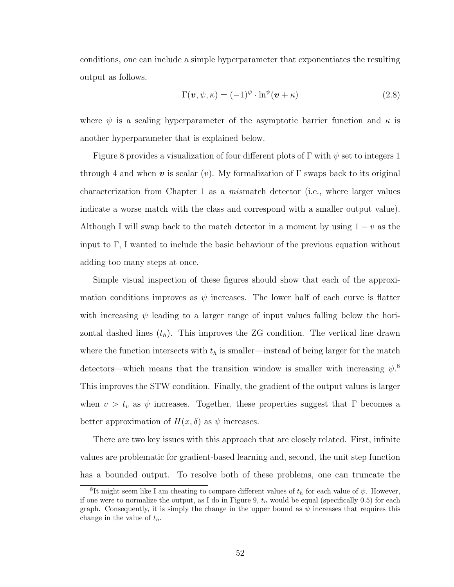conditions, one can include a simple hyperparameter that exponentiates the resulting output as follows.

$$
\Gamma(\mathbf{v}, \psi, \kappa) = (-1)^{\psi} \cdot \ln^{\psi}(\mathbf{v} + \kappa)
$$
\n(2.8)

where  $\psi$  is a scaling hyperparameter of the asymptotic barrier function and  $\kappa$  is another hyperparameter that is explained below.

Figure 8 provides a visualization of four different plots of  $\Gamma$  with  $\psi$  set to integers 1 through 4 and when v is scalar (v). My formalization of  $\Gamma$  swaps back to its original characterization from Chapter 1 as a mismatch detector (i.e., where larger values indicate a worse match with the class and correspond with a smaller output value). Although I will swap back to the match detector in a moment by using  $1 - v$  as the input to Γ, I wanted to include the basic behaviour of the previous equation without adding too many steps at once.

Simple visual inspection of these figures should show that each of the approximation conditions improves as  $\psi$  increases. The lower half of each curve is flatter with increasing  $\psi$  leading to a larger range of input values falling below the horizontal dashed lines  $(t_h)$ . This improves the ZG condition. The vertical line drawn where the function intersects with  $t<sub>h</sub>$  is smaller—instead of being larger for the match detectors—which means that the transition window is smaller with increasing  $\psi$ <sup>8</sup> This improves the STW condition. Finally, the gradient of the output values is larger when  $v > t_v$  as  $\psi$  increases. Together, these properties suggest that Γ becomes a better approximation of  $H(x, \delta)$  as  $\psi$  increases.

There are two key issues with this approach that are closely related. First, infinite values are problematic for gradient-based learning and, second, the unit step function has a bounded output. To resolve both of these problems, one can truncate the

<sup>&</sup>lt;sup>8</sup>It might seem like I am cheating to compare different values of  $t<sub>h</sub>$  for each value of  $\psi$ . However, if one were to normalize the output, as I do in Figure 9,  $t<sub>h</sub>$  would be equal (specifically 0.5) for each graph. Consequently, it is simply the change in the upper bound as  $\psi$  increases that requires this change in the value of  $t_h$ .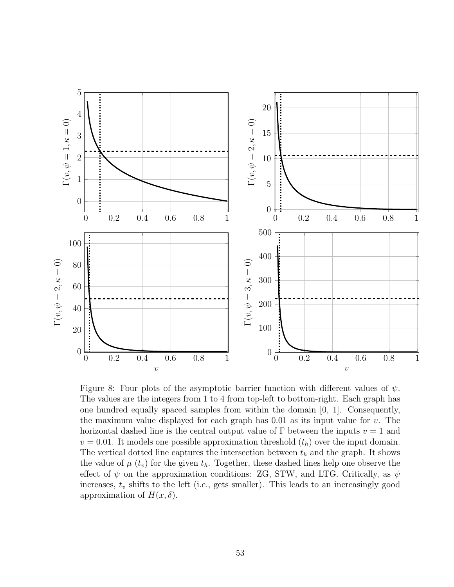

Figure 8: Four plots of the asymptotic barrier function with different values of  $\psi$ . The values are the integers from 1 to 4 from top-left to bottom-right. Each graph has one hundred equally spaced samples from within the domain [0, 1]. Consequently, the maximum value displayed for each graph has  $0.01$  as its input value for v. The horizontal dashed line is the central output value of  $\Gamma$  between the inputs  $v = 1$  and  $v = 0.01$ . It models one possible approximation threshold  $(t_h)$  over the input domain. The vertical dotted line captures the intersection between  $t<sub>h</sub>$  and the graph. It shows the value of  $\mu$  ( $t_v$ ) for the given  $t_h$ . Together, these dashed lines help one observe the effect of  $\psi$  on the approximation conditions: ZG, STW, and LTG. Critically, as  $\psi$ increases,  $t_v$  shifts to the left (i.e., gets smaller). This leads to an increasingly good approximation of  $H(x,\delta)$ .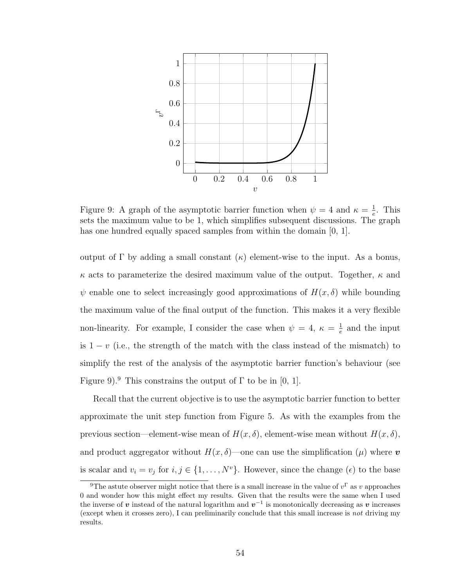

Figure 9: A graph of the asymptotic barrier function when  $\psi = 4$  and  $\kappa = \frac{1}{e}$  $\frac{1}{e}$ . This sets the maximum value to be 1, which simplifies subsequent discussions. The graph has one hundred equally spaced samples from within the domain [0, 1].

output of Γ by adding a small constant (κ) element-wise to the input. As a bonus,  $\kappa$  acts to parameterize the desired maximum value of the output. Together,  $\kappa$  and  $\psi$  enable one to select increasingly good approximations of  $H(x, \delta)$  while bounding the maximum value of the final output of the function. This makes it a very flexible non-linearity. For example, I consider the case when  $\psi = 4, \ \kappa = \frac{1}{6}$  $\frac{1}{e}$  and the input is  $1 - v$  (i.e., the strength of the match with the class instead of the mismatch) to simplify the rest of the analysis of the asymptotic barrier function's behaviour (see Figure 9).<sup>9</sup> This constrains the output of  $\Gamma$  to be in [0, 1].

Recall that the current objective is to use the asymptotic barrier function to better approximate the unit step function from Figure 5. As with the examples from the previous section—element-wise mean of  $H(x, \delta)$ , element-wise mean without  $H(x, \delta)$ , and product aggregator without  $H(x, \delta)$ —one can use the simplification ( $\mu$ ) where v is scalar and  $v_i = v_j$  for  $i, j \in \{1, ..., N^v\}$ . However, since the change  $(\epsilon)$  to the base

<sup>&</sup>lt;sup>9</sup>The astute observer might notice that there is a small increase in the value of  $v^{\Gamma}$  as v approaches 0 and wonder how this might effect my results. Given that the results were the same when I used the inverse of v instead of the natural logarithm and  $v^{-1}$  is monotonically decreasing as v increases (except when it crosses zero), I can preliminarily conclude that this small increase is not driving my results.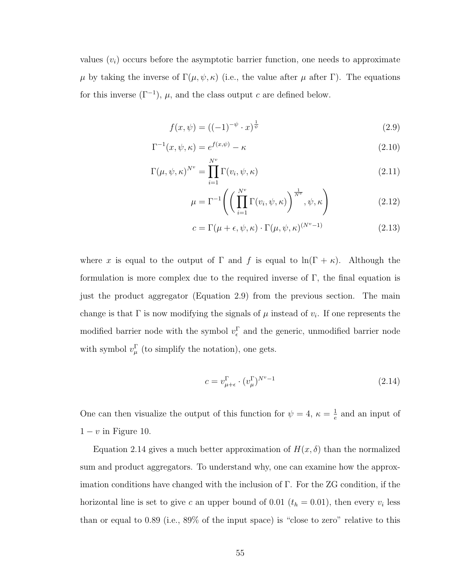values  $(v_i)$  occurs before the asymptotic barrier function, one needs to approximate  $\mu$  by taking the inverse of Γ( $\mu, \psi, \kappa$ ) (i.e., the value after  $\mu$  after Γ). The equations for this inverse  $(\Gamma^{-1})$ ,  $\mu$ , and the class output c are defined below.

$$
f(x,\psi) = ((-1)^{-\psi} \cdot x)^{\frac{1}{\psi}} \tag{2.9}
$$

$$
\Gamma^{-1}(x,\psi,\kappa) = e^{f(x,\psi)} - \kappa \tag{2.10}
$$

$$
\Gamma(\mu, \psi, \kappa)^{N^v} = \prod_{i=1}^{N^v} \Gamma(v_i, \psi, \kappa)
$$
\n(2.11)

$$
\mu = \Gamma^{-1}\left(\left(\prod_{i=1}^{N^v} \Gamma(v_i, \psi, \kappa)\right)^{\frac{1}{N^v}}, \psi, \kappa\right)
$$
\n(2.12)

$$
c = \Gamma(\mu + \epsilon, \psi, \kappa) \cdot \Gamma(\mu, \psi, \kappa)^{(N^v - 1)}
$$
\n(2.13)

where x is equal to the output of  $\Gamma$  and f is equal to  $\ln(\Gamma + \kappa)$ . Although the formulation is more complex due to the required inverse of  $\Gamma$ , the final equation is just the product aggregator (Equation 2.9) from the previous section. The main change is that  $\Gamma$  is now modifying the signals of  $\mu$  instead of  $v_i$ . If one represents the modified barrier node with the symbol  $v_{\epsilon}^{\Gamma}$  and the generic, unmodified barrier node with symbol  $v_{\mu}^{\Gamma}$  (to simplify the notation), one gets.

$$
c = v_{\mu + \epsilon}^{\Gamma} \cdot (v_{\mu}^{\Gamma})^{N^v - 1} \tag{2.14}
$$

One can then visualize the output of this function for  $\psi = 4, \ \kappa = \frac{1}{6}$  $\frac{1}{e}$  and an input of  $1 - v$  in Figure 10.

Equation 2.14 gives a much better approximation of  $H(x, \delta)$  than the normalized sum and product aggregators. To understand why, one can examine how the approximation conditions have changed with the inclusion of Γ. For the ZG condition, if the horizontal line is set to give c an upper bound of 0.01  $(t_h = 0.01)$ , then every  $v_i$  less than or equal to 0.89 (i.e., 89% of the input space) is "close to zero" relative to this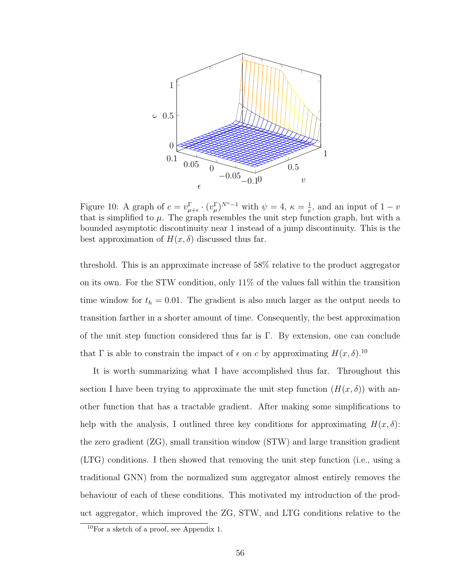

Figure 10: A graph of  $c = v_{\mu+\epsilon}^{\Gamma} \cdot (v_{\mu}^{\Gamma})^{N^{\nu}-1}$  with  $\psi = 4$ ,  $\kappa = \frac{1}{e}$  $\frac{1}{e}$ , and an input of  $1 - v$ that is simplified to  $\mu$ . The graph resembles the unit step function graph, but with a bounded asymptotic discontinuity near 1 instead of a jump discontinuity. This is the best approximation of  $H(x, \delta)$  discussed thus far.

threshold. This is an approximate increase of 58% relative to the product aggregator on its own. For the STW condition, only  $11\%$  of the values fall within the transition time window for  $t<sub>h</sub> = 0.01$ . The gradient is also much larger as the output needs to transition farther in a shorter amount of time. Consequently, the best approximation of the unit step function considered thus far is  $\Gamma$ . By extension, one can conclude that  $\Gamma$  is able to constrain the impact of  $\epsilon$  on c by approximating  $H(x, \delta)$ .<sup>10</sup>

It is worth summarizing what I have accomplished thus far. Throughout this section I have been trying to approximate the unit step function  $(H(x, \delta))$  with another function that has a tractable gradient. After making some simplifications to help with the analysis, I outlined three key conditions for approximating  $H(x, \delta)$ : the zero gradient (ZG), small transition window (STW) and large transition gradient (LTG) conditions. I then showed that removing the unit step function (i.e., using a traditional GNN) from the normalized sum aggregator almost entirely removes the behaviour of each of these conditions. This motivated my introduction of the product aggregator, which improved the ZG, STW, and LTG conditions relative to the

 $10$ For a sketch of a proof, see Appendix 1.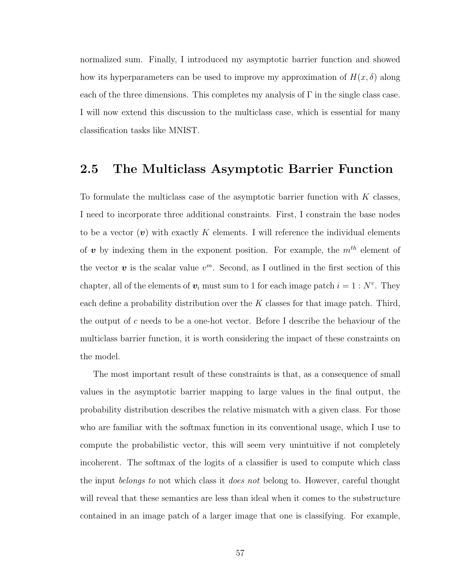normalized sum. Finally, I introduced my asymptotic barrier function and showed how its hyperparameters can be used to improve my approximation of  $H(x, \delta)$  along each of the three dimensions. This completes my analysis of  $\Gamma$  in the single class case. I will now extend this discussion to the multiclass case, which is essential for many classification tasks like MNIST.

#### 2.5 The Multiclass Asymptotic Barrier Function

To formulate the multiclass case of the asymptotic barrier function with  $K$  classes, I need to incorporate three additional constraints. First, I constrain the base nodes to be a vector  $(v)$  with exactly K elements. I will reference the individual elements of  $v$  by indexing them in the exponent position. For example, the  $m^{th}$  element of the vector  $v$  is the scalar value  $v^m$ . Second, as I outlined in the first section of this chapter, all of the elements of  $v_i$  must sum to 1 for each image patch  $i = 1 : N^v$ . They each define a probability distribution over the  $K$  classes for that image patch. Third, the output of c needs to be a one-hot vector. Before I describe the behaviour of the multiclass barrier function, it is worth considering the impact of these constraints on the model.

The most important result of these constraints is that, as a consequence of small values in the asymptotic barrier mapping to large values in the final output, the probability distribution describes the relative mismatch with a given class. For those who are familiar with the softmax function in its conventional usage, which I use to compute the probabilistic vector, this will seem very unintuitive if not completely incoherent. The softmax of the logits of a classifier is used to compute which class the input *belongs to* not which class it *does not* belong to. However, careful thought will reveal that these semantics are less than ideal when it comes to the substructure contained in an image patch of a larger image that one is classifying. For example,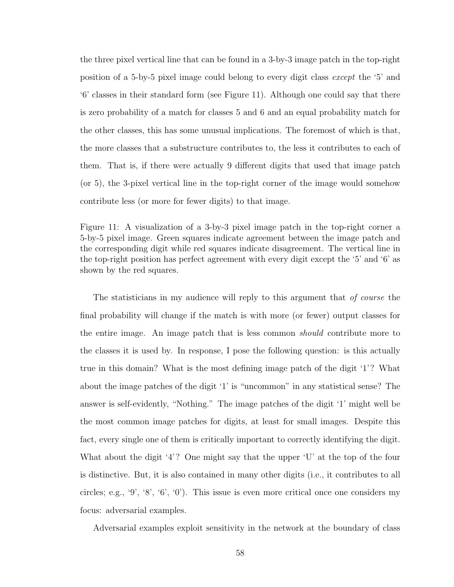the three pixel vertical line that can be found in a 3-by-3 image patch in the top-right position of a 5-by-5 pixel image could belong to every digit class except the '5' and '6' classes in their standard form (see Figure 11). Although one could say that there is zero probability of a match for classes 5 and 6 and an equal probability match for the other classes, this has some unusual implications. The foremost of which is that, the more classes that a substructure contributes to, the less it contributes to each of them. That is, if there were actually 9 different digits that used that image patch (or 5), the 3-pixel vertical line in the top-right corner of the image would somehow contribute less (or more for fewer digits) to that image.

Figure 11: A visualization of a 3-by-3 pixel image patch in the top-right corner a 5-by-5 pixel image. Green squares indicate agreement between the image patch and the corresponding digit while red squares indicate disagreement. The vertical line in the top-right position has perfect agreement with every digit except the '5' and '6' as shown by the red squares.

The statisticians in my audience will reply to this argument that of course the final probability will change if the match is with more (or fewer) output classes for the entire image. An image patch that is less common should contribute more to the classes it is used by. In response, I pose the following question: is this actually true in this domain? What is the most defining image patch of the digit '1'? What about the image patches of the digit '1' is "uncommon" in any statistical sense? The answer is self-evidently, "Nothing." The image patches of the digit '1' might well be the most common image patches for digits, at least for small images. Despite this fact, every single one of them is critically important to correctly identifying the digit. What about the digit '4'? One might say that the upper 'U' at the top of the four is distinctive. But, it is also contained in many other digits (i.e., it contributes to all circles; e.g., '9', '8', '6', '0'). This issue is even more critical once one considers my focus: adversarial examples.

Adversarial examples exploit sensitivity in the network at the boundary of class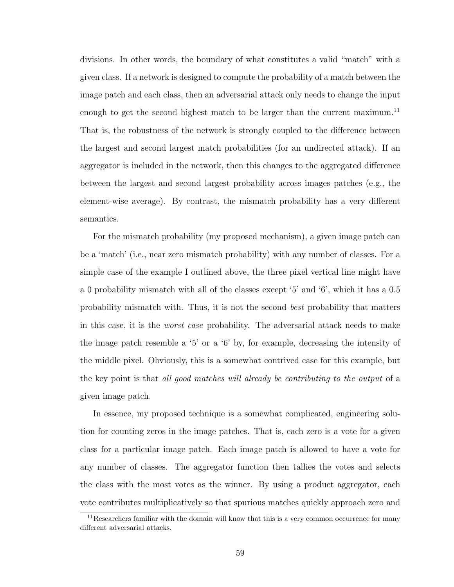divisions. In other words, the boundary of what constitutes a valid "match" with a given class. If a network is designed to compute the probability of a match between the image patch and each class, then an adversarial attack only needs to change the input enough to get the second highest match to be larger than the current maximum.<sup>11</sup> That is, the robustness of the network is strongly coupled to the difference between the largest and second largest match probabilities (for an undirected attack). If an aggregator is included in the network, then this changes to the aggregated difference between the largest and second largest probability across images patches (e.g., the element-wise average). By contrast, the mismatch probability has a very different semantics.

For the mismatch probability (my proposed mechanism), a given image patch can be a 'match' (i.e., near zero mismatch probability) with any number of classes. For a simple case of the example I outlined above, the three pixel vertical line might have a 0 probability mismatch with all of the classes except '5' and '6', which it has a 0.5 probability mismatch with. Thus, it is not the second best probability that matters in this case, it is the worst case probability. The adversarial attack needs to make the image patch resemble a '5' or a '6' by, for example, decreasing the intensity of the middle pixel. Obviously, this is a somewhat contrived case for this example, but the key point is that all good matches will already be contributing to the output of a given image patch.

In essence, my proposed technique is a somewhat complicated, engineering solution for counting zeros in the image patches. That is, each zero is a vote for a given class for a particular image patch. Each image patch is allowed to have a vote for any number of classes. The aggregator function then tallies the votes and selects the class with the most votes as the winner. By using a product aggregator, each vote contributes multiplicatively so that spurious matches quickly approach zero and

 $11$ Researchers familiar with the domain will know that this is a very common occurrence for many different adversarial attacks.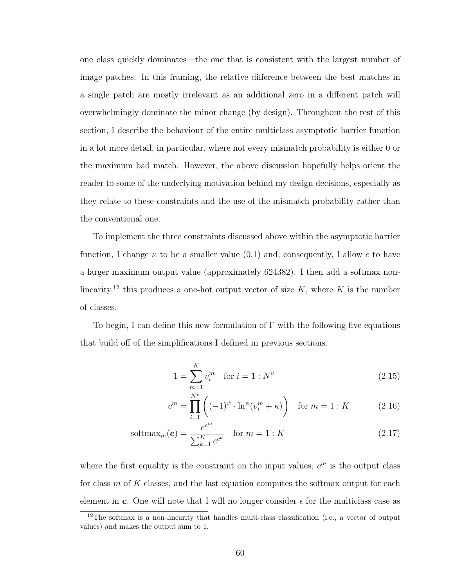one class quickly dominates—the one that is consistent with the largest number of image patches. In this framing, the relative difference between the best matches in a single patch are mostly irrelevant as an additional zero in a different patch will overwhelmingly dominate the minor change (by design). Throughout the rest of this section, I describe the behaviour of the entire multiclass asymptotic barrier function in a lot more detail, in particular, where not every mismatch probability is either 0 or the maximum bad match. However, the above discussion hopefully helps orient the reader to some of the underlying motivation behind my design decisions, especially as they relate to these constraints and the use of the mismatch probability rather than the conventional one.

To implement the three constraints discussed above within the asymptotic barrier function, I change  $\kappa$  to be a smaller value (0.1) and, consequently, I allow c to have a larger maximum output value (approximately 624382). I then add a softmax nonlinearity,<sup>12</sup> this produces a one-hot output vector of size  $K$ , where  $K$  is the number of classes.

To begin, I can define this new formulation of  $\Gamma$  with the following five equations that build off of the simplifications I defined in previous sections.

$$
1 = \sum_{m=1}^{K} v_i^m \quad \text{for } i = 1 : N^v \tag{2.15}
$$

$$
c^{m} = \prod_{i=1}^{N^{v}} \left( (-1)^{\psi} \cdot \ln^{\psi}(v_{i}^{m} + \kappa) \right) \quad \text{for } m = 1 : K \tag{2.16}
$$

$$
\text{softmax}_m(\mathbf{c}) = \frac{e^{c^m}}{\sum_{k=1}^K e^{c^k}} \quad \text{for } m = 1: K \tag{2.17}
$$

where the first equality is the constraint on the input values,  $c<sup>m</sup>$  is the output class for class  $m$  of K classes, and the last equation computes the softmax output for each element in c. One will note that I will no longer consider  $\epsilon$  for the multiclass case as

 $12$ The softmax is a non-linearity that handles multi-class classification (i.e., a vector of output values) and makes the output sum to 1.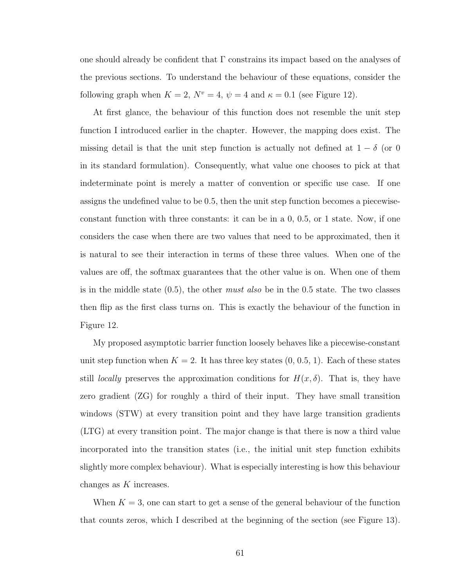one should already be confident that  $\Gamma$  constrains its impact based on the analyses of the previous sections. To understand the behaviour of these equations, consider the following graph when  $K = 2$ ,  $N^v = 4$ ,  $\psi = 4$  and  $\kappa = 0.1$  (see Figure 12).

At first glance, the behaviour of this function does not resemble the unit step function I introduced earlier in the chapter. However, the mapping does exist. The missing detail is that the unit step function is actually not defined at  $1 - \delta$  (or 0 in its standard formulation). Consequently, what value one chooses to pick at that indeterminate point is merely a matter of convention or specific use case. If one assigns the undefined value to be 0.5, then the unit step function becomes a piecewiseconstant function with three constants: it can be in a 0, 0.5, or 1 state. Now, if one considers the case when there are two values that need to be approximated, then it is natural to see their interaction in terms of these three values. When one of the values are off, the softmax guarantees that the other value is on. When one of them is in the middle state  $(0.5)$ , the other must also be in the 0.5 state. The two classes then flip as the first class turns on. This is exactly the behaviour of the function in Figure 12.

My proposed asymptotic barrier function loosely behaves like a piecewise-constant unit step function when  $K = 2$ . It has three key states  $(0, 0.5, 1)$ . Each of these states still *locally* preserves the approximation conditions for  $H(x, \delta)$ . That is, they have zero gradient (ZG) for roughly a third of their input. They have small transition windows (STW) at every transition point and they have large transition gradients (LTG) at every transition point. The major change is that there is now a third value incorporated into the transition states (i.e., the initial unit step function exhibits slightly more complex behaviour). What is especially interesting is how this behaviour changes as  $K$  increases.

When  $K = 3$ , one can start to get a sense of the general behaviour of the function that counts zeros, which I described at the beginning of the section (see Figure 13).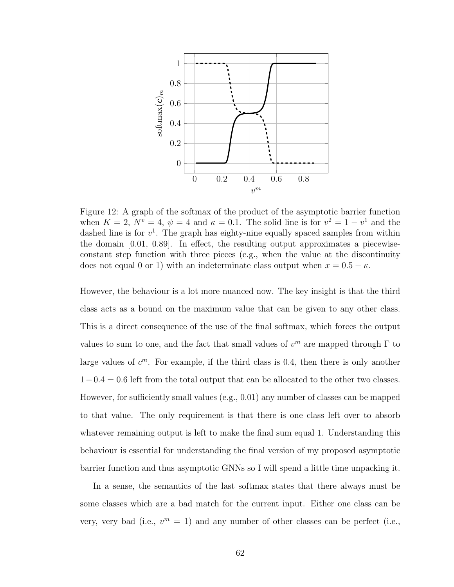

Figure 12: A graph of the softmax of the product of the asymptotic barrier function when  $K = 2$ ,  $N^v = 4$ ,  $\psi = 4$  and  $\kappa = 0.1$ . The solid line is for  $v^2 = 1 - v^1$  and the dashed line is for  $v^1$ . The graph has eighty-nine equally spaced samples from within the domain [0.01, 0.89]. In effect, the resulting output approximates a piecewiseconstant step function with three pieces (e.g., when the value at the discontinuity does not equal 0 or 1) with an indeterminate class output when  $x = 0.5 - \kappa$ .

However, the behaviour is a lot more nuanced now. The key insight is that the third class acts as a bound on the maximum value that can be given to any other class. This is a direct consequence of the use of the final softmax, which forces the output values to sum to one, and the fact that small values of  $v^m$  are mapped through  $\Gamma$  to large values of  $c^m$ . For example, if the third class is 0.4, then there is only another  $1-0.4 = 0.6$  left from the total output that can be allocated to the other two classes. However, for sufficiently small values (e.g., 0.01) any number of classes can be mapped to that value. The only requirement is that there is one class left over to absorb whatever remaining output is left to make the final sum equal 1. Understanding this behaviour is essential for understanding the final version of my proposed asymptotic barrier function and thus asymptotic GNNs so I will spend a little time unpacking it.

In a sense, the semantics of the last softmax states that there always must be some classes which are a bad match for the current input. Either one class can be very, very bad (i.e.,  $v^m = 1$ ) and any number of other classes can be perfect (i.e.,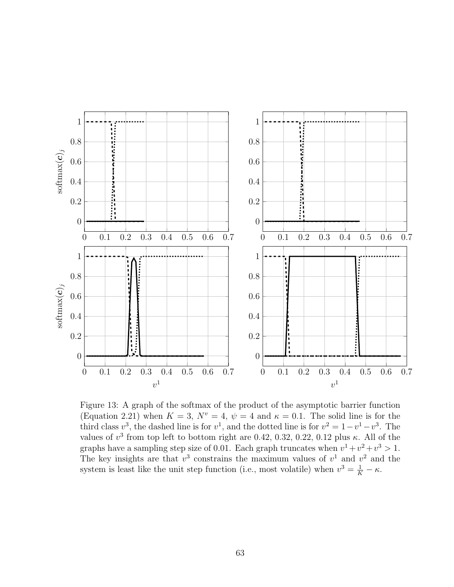

Figure 13: A graph of the softmax of the product of the asymptotic barrier function (Equation 2.21) when  $K = 3$ ,  $N^v = 4$ ,  $\psi = 4$  and  $\kappa = 0.1$ . The solid line is for the third class  $v^3$ , the dashed line is for  $v^1$ , and the dotted line is for  $v^2 = 1 - v^1 - v^3$ . The values of  $v^3$  from top left to bottom right are 0.42, 0.32, 0.22, 0.12 plus κ. All of the graphs have a sampling step size of 0.01. Each graph truncates when  $v^1 + v^2 + v^3 > 1$ . The key insights are that  $v^3$  constrains the maximum values of  $v^1$  and  $v^2$  and the system is least like the unit step function (i.e., most volatile) when  $v^3 = \frac{1}{K} - \kappa$ .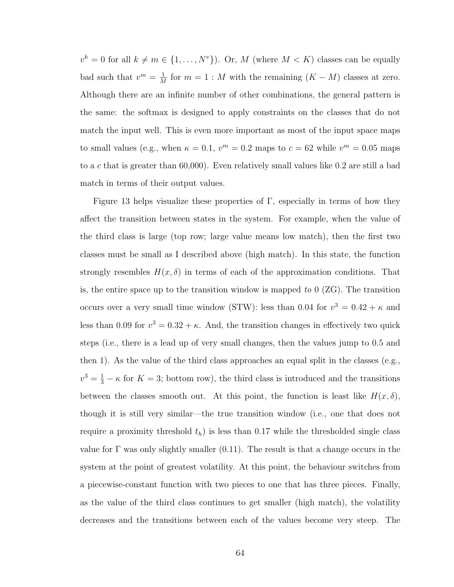$v^k = 0$  for all  $k \neq m \in \{1, ..., N^v\}$ . Or, M (where  $M < K$ ) classes can be equally bad such that  $v^m = \frac{1}{\lambda}$  $\frac{1}{M}$  for  $m = 1 : M$  with the remaining  $(K - M)$  classes at zero. Although there are an infinite number of other combinations, the general pattern is the same: the softmax is designed to apply constraints on the classes that do not match the input well. This is even more important as most of the input space maps to small values (e.g., when  $\kappa = 0.1$ ,  $v^m = 0.2$  maps to  $c = 62$  while  $v^m = 0.05$  maps to a c that is greater than 60,000). Even relatively small values like 0.2 are still a bad match in terms of their output values.

Figure 13 helps visualize these properties of  $\Gamma$ , especially in terms of how they affect the transition between states in the system. For example, when the value of the third class is large (top row; large value means low match), then the first two classes must be small as I described above (high match). In this state, the function strongly resembles  $H(x, \delta)$  in terms of each of the approximation conditions. That is, the entire space up to the transition window is mapped to  $0$  (ZG). The transition occurs over a very small time window (STW): less than 0.04 for  $v^3 = 0.42 + \kappa$  and less than 0.09 for  $v^3 = 0.32 + \kappa$ . And, the transition changes in effectively two quick steps (i.e., there is a lead up of very small changes, then the values jump to 0.5 and then 1). As the value of the third class approaches an equal split in the classes (e.g.,  $v^3 = \frac{1}{3} - \kappa$  for  $K = 3$ ; bottom row), the third class is introduced and the transitions between the classes smooth out. At this point, the function is least like  $H(x, \delta)$ , though it is still very similar—the true transition window (i.e., one that does not require a proximity threshold  $t<sub>h</sub>$ ) is less than 0.17 while the thresholded single class value for  $\Gamma$  was only slightly smaller (0.11). The result is that a change occurs in the system at the point of greatest volatility. At this point, the behaviour switches from a piecewise-constant function with two pieces to one that has three pieces. Finally, as the value of the third class continues to get smaller (high match), the volatility decreases and the transitions between each of the values become very steep. The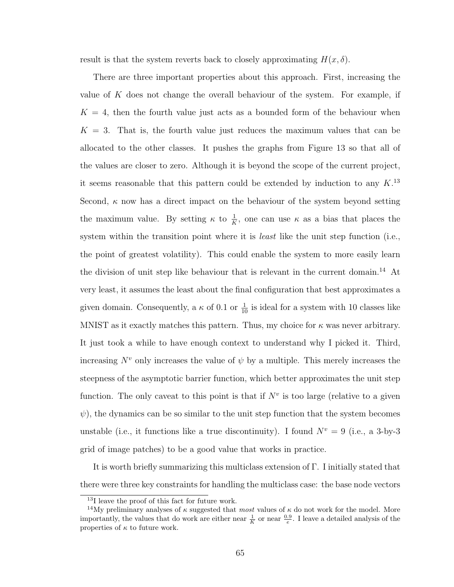result is that the system reverts back to closely approximating  $H(x, \delta)$ .

There are three important properties about this approach. First, increasing the value of  $K$  does not change the overall behaviour of the system. For example, if  $K = 4$ , then the fourth value just acts as a bounded form of the behaviour when  $K = 3$ . That is, the fourth value just reduces the maximum values that can be allocated to the other classes. It pushes the graphs from Figure 13 so that all of the values are closer to zero. Although it is beyond the scope of the current project, it seems reasonable that this pattern could be extended by induction to any  $K$ <sup>13</sup> Second,  $\kappa$  now has a direct impact on the behaviour of the system beyond setting the maximum value. By setting  $\kappa$  to  $\frac{1}{K}$ , one can use  $\kappa$  as a bias that places the system within the transition point where it is *least* like the unit step function (i.e., the point of greatest volatility). This could enable the system to more easily learn the division of unit step like behaviour that is relevant in the current domain.<sup>14</sup> At very least, it assumes the least about the final configuration that best approximates a given domain. Consequently, a  $\kappa$  of 0.1 or  $\frac{1}{10}$  is ideal for a system with 10 classes like MNIST as it exactly matches this pattern. Thus, my choice for  $\kappa$  was never arbitrary. It just took a while to have enough context to understand why I picked it. Third, increasing  $N^v$  only increases the value of  $\psi$  by a multiple. This merely increases the steepness of the asymptotic barrier function, which better approximates the unit step function. The only caveat to this point is that if  $N^v$  is too large (relative to a given  $\psi$ ), the dynamics can be so similar to the unit step function that the system becomes unstable (i.e., it functions like a true discontinuity). I found  $N^v = 9$  (i.e., a 3-by-3 grid of image patches) to be a good value that works in practice.

It is worth briefly summarizing this multiclass extension of Γ. I initially stated that there were three key constraints for handling the multiclass case: the base node vectors

<sup>13</sup>I leave the proof of this fact for future work.

<sup>&</sup>lt;sup>14</sup>My preliminary analyses of  $\kappa$  suggested that most values of  $\kappa$  do not work for the model. More importantly, the values that do work are either near  $\frac{1}{K}$  or near  $\frac{0.9}{e}$ . I leave a detailed analysis of the properties of  $\kappa$  to future work.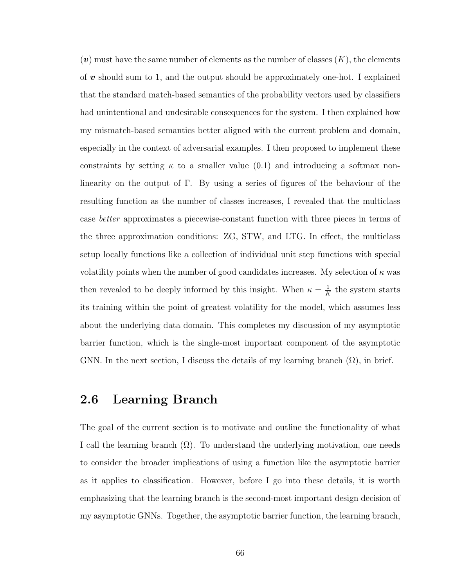$(v)$  must have the same number of elements as the number of classes  $(K)$ , the elements of  $v$  should sum to 1, and the output should be approximately one-hot. I explained that the standard match-based semantics of the probability vectors used by classifiers had unintentional and undesirable consequences for the system. I then explained how my mismatch-based semantics better aligned with the current problem and domain, especially in the context of adversarial examples. I then proposed to implement these constraints by setting  $\kappa$  to a smaller value (0.1) and introducing a softmax nonlinearity on the output of Γ. By using a series of figures of the behaviour of the resulting function as the number of classes increases, I revealed that the multiclass case better approximates a piecewise-constant function with three pieces in terms of the three approximation conditions: ZG, STW, and LTG. In effect, the multiclass setup locally functions like a collection of individual unit step functions with special volatility points when the number of good candidates increases. My selection of  $\kappa$  was then revealed to be deeply informed by this insight. When  $\kappa = \frac{1}{\kappa}$  $\frac{1}{K}$  the system starts its training within the point of greatest volatility for the model, which assumes less about the underlying data domain. This completes my discussion of my asymptotic barrier function, which is the single-most important component of the asymptotic GNN. In the next section, I discuss the details of my learning branch  $(\Omega)$ , in brief.

#### 2.6 Learning Branch

The goal of the current section is to motivate and outline the functionality of what I call the learning branch  $(\Omega)$ . To understand the underlying motivation, one needs to consider the broader implications of using a function like the asymptotic barrier as it applies to classification. However, before I go into these details, it is worth emphasizing that the learning branch is the second-most important design decision of my asymptotic GNNs. Together, the asymptotic barrier function, the learning branch,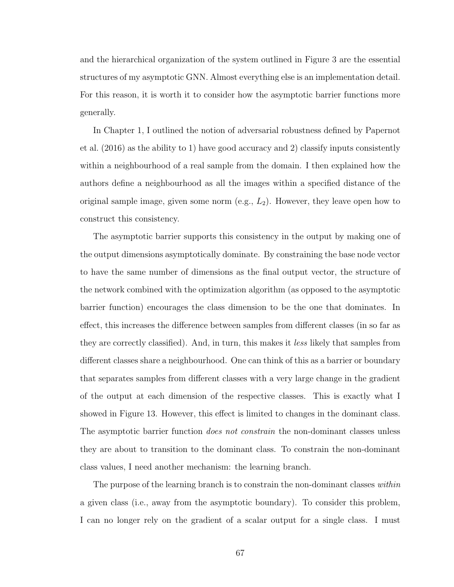and the hierarchical organization of the system outlined in Figure 3 are the essential structures of my asymptotic GNN. Almost everything else is an implementation detail. For this reason, it is worth it to consider how the asymptotic barrier functions more generally.

In Chapter 1, I outlined the notion of adversarial robustness defined by Papernot et al. (2016) as the ability to 1) have good accuracy and 2) classify inputs consistently within a neighbourhood of a real sample from the domain. I then explained how the authors define a neighbourhood as all the images within a specified distance of the original sample image, given some norm  $(e.g., L_2)$ . However, they leave open how to construct this consistency.

The asymptotic barrier supports this consistency in the output by making one of the output dimensions asymptotically dominate. By constraining the base node vector to have the same number of dimensions as the final output vector, the structure of the network combined with the optimization algorithm (as opposed to the asymptotic barrier function) encourages the class dimension to be the one that dominates. In effect, this increases the difference between samples from different classes (in so far as they are correctly classified). And, in turn, this makes it less likely that samples from different classes share a neighbourhood. One can think of this as a barrier or boundary that separates samples from different classes with a very large change in the gradient of the output at each dimension of the respective classes. This is exactly what I showed in Figure 13. However, this effect is limited to changes in the dominant class. The asymptotic barrier function *does not constrain* the non-dominant classes unless they are about to transition to the dominant class. To constrain the non-dominant class values, I need another mechanism: the learning branch.

The purpose of the learning branch is to constrain the non-dominant classes within a given class (i.e., away from the asymptotic boundary). To consider this problem, I can no longer rely on the gradient of a scalar output for a single class. I must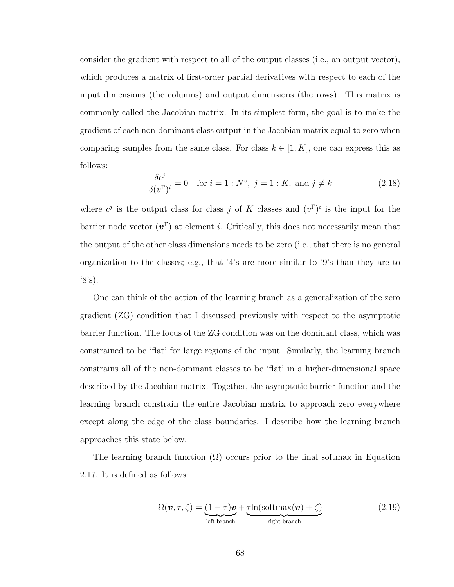consider the gradient with respect to all of the output classes (i.e., an output vector), which produces a matrix of first-order partial derivatives with respect to each of the input dimensions (the columns) and output dimensions (the rows). This matrix is commonly called the Jacobian matrix. In its simplest form, the goal is to make the gradient of each non-dominant class output in the Jacobian matrix equal to zero when comparing samples from the same class. For class  $k \in [1, K]$ , one can express this as follows:

$$
\frac{\delta c^j}{\delta (v^{\Gamma})^i} = 0 \quad \text{for } i = 1: N^v, \ j = 1: K, \text{ and } j \neq k \tag{2.18}
$$

where  $c^j$  is the output class for class j of K classes and  $(v^{\Gamma})^i$  is the input for the barrier node vector  $(v^{\Gamma})$  at element *i*. Critically, this does not necessarily mean that the output of the other class dimensions needs to be zero (i.e., that there is no general organization to the classes; e.g., that '4's are more similar to '9's than they are to  $^{\circ}8^{\circ}s$ ).

One can think of the action of the learning branch as a generalization of the zero gradient (ZG) condition that I discussed previously with respect to the asymptotic barrier function. The focus of the ZG condition was on the dominant class, which was constrained to be 'flat' for large regions of the input. Similarly, the learning branch constrains all of the non-dominant classes to be 'flat' in a higher-dimensional space described by the Jacobian matrix. Together, the asymptotic barrier function and the learning branch constrain the entire Jacobian matrix to approach zero everywhere except along the edge of the class boundaries. I describe how the learning branch approaches this state below.

The learning branch function  $(\Omega)$  occurs prior to the final softmax in Equation 2.17. It is defined as follows:

$$
\Omega(\overline{\boldsymbol{v}}, \tau, \zeta) = \underbrace{(1 - \tau)\overline{\boldsymbol{v}}}_{\text{left branch}} + \underbrace{\tau \ln(\text{softmax}(\overline{\boldsymbol{v}}) + \zeta)}_{\text{right branch}} \tag{2.19}
$$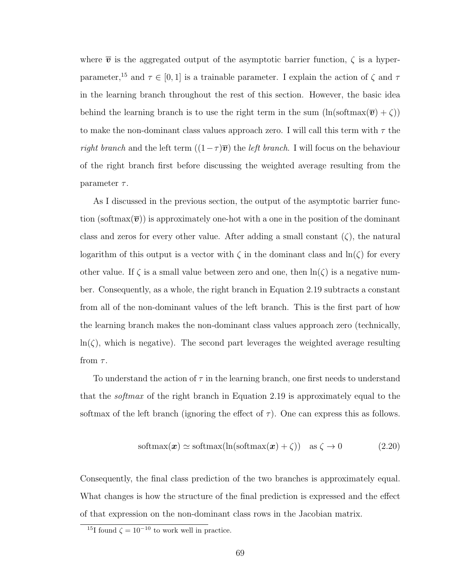where  $\bar{v}$  is the aggregated output of the asymptotic barrier function,  $\zeta$  is a hyperparameter,<sup>15</sup> and  $\tau \in [0, 1]$  is a trainable parameter. I explain the action of  $\zeta$  and  $\tau$ in the learning branch throughout the rest of this section. However, the basic idea behind the learning branch is to use the right term in the sum  $(\ln(\text{softmax}(\overline{v}) + \zeta))$ to make the non-dominant class values approach zero. I will call this term with  $\tau$  the right branch and the left term  $((1 - \tau)\overline{v})$  the *left branch*. I will focus on the behaviour of the right branch first before discussing the weighted average resulting from the parameter  $\tau$ .

As I discussed in the previous section, the output of the asymptotic barrier function (softmax $(\overline{v})$ ) is approximately one-hot with a one in the position of the dominant class and zeros for every other value. After adding a small constant  $(\zeta)$ , the natural logarithm of this output is a vector with  $\zeta$  in the dominant class and  $\ln(\zeta)$  for every other value. If  $\zeta$  is a small value between zero and one, then  $\ln(\zeta)$  is a negative number. Consequently, as a whole, the right branch in Equation 2.19 subtracts a constant from all of the non-dominant values of the left branch. This is the first part of how the learning branch makes the non-dominant class values approach zero (technically,  $\ln(\zeta)$ , which is negative). The second part leverages the weighted average resulting from  $\tau$ .

To understand the action of  $\tau$  in the learning branch, one first needs to understand that the softmax of the right branch in Equation 2.19 is approximately equal to the softmax of the left branch (ignoring the effect of  $\tau$ ). One can express this as follows.

$$
\text{softmax}(\boldsymbol{x}) \simeq \text{softmax}(\ln(\text{softmax}(\boldsymbol{x}) + \zeta)) \quad \text{as } \zeta \to 0 \tag{2.20}
$$

Consequently, the final class prediction of the two branches is approximately equal. What changes is how the structure of the final prediction is expressed and the effect of that expression on the non-dominant class rows in the Jacobian matrix.

<sup>&</sup>lt;sup>15</sup>I found  $\zeta = 10^{-10}$  to work well in practice.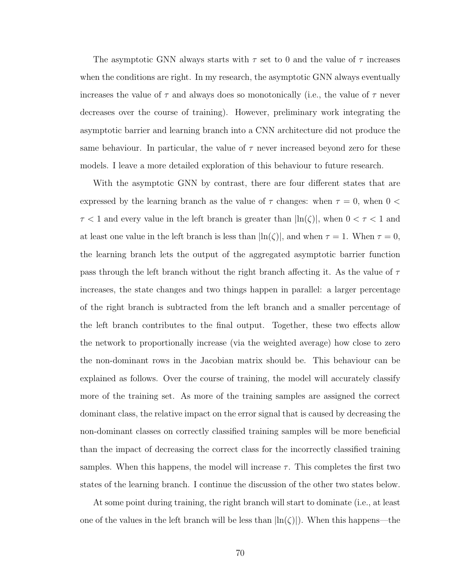The asymptotic GNN always starts with  $\tau$  set to 0 and the value of  $\tau$  increases when the conditions are right. In my research, the asymptotic GNN always eventually increases the value of  $\tau$  and always does so monotonically (i.e., the value of  $\tau$  never decreases over the course of training). However, preliminary work integrating the asymptotic barrier and learning branch into a CNN architecture did not produce the same behaviour. In particular, the value of  $\tau$  never increased beyond zero for these models. I leave a more detailed exploration of this behaviour to future research.

With the asymptotic GNN by contrast, there are four different states that are expressed by the learning branch as the value of  $\tau$  changes: when  $\tau = 0$ , when  $0 <$  $\tau < 1$  and every value in the left branch is greater than  $|\ln(\zeta)|,$  when  $0 < \tau < 1$  and at least one value in the left branch is less than  $\ln(\zeta)$ , and when  $\tau = 1$ . When  $\tau = 0$ , the learning branch lets the output of the aggregated asymptotic barrier function pass through the left branch without the right branch affecting it. As the value of  $\tau$ increases, the state changes and two things happen in parallel: a larger percentage of the right branch is subtracted from the left branch and a smaller percentage of the left branch contributes to the final output. Together, these two effects allow the network to proportionally increase (via the weighted average) how close to zero the non-dominant rows in the Jacobian matrix should be. This behaviour can be explained as follows. Over the course of training, the model will accurately classify more of the training set. As more of the training samples are assigned the correct dominant class, the relative impact on the error signal that is caused by decreasing the non-dominant classes on correctly classified training samples will be more beneficial than the impact of decreasing the correct class for the incorrectly classified training samples. When this happens, the model will increase  $\tau$ . This completes the first two states of the learning branch. I continue the discussion of the other two states below.

At some point during training, the right branch will start to dominate (i.e., at least one of the values in the left branch will be less than  $\ln(\zeta)$ . When this happens—the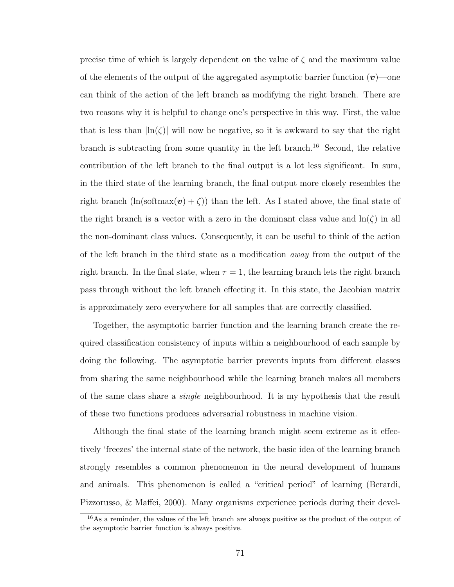precise time of which is largely dependent on the value of  $\zeta$  and the maximum value of the elements of the output of the aggregated asymptotic barrier function  $(\overline{v})$ —one can think of the action of the left branch as modifying the right branch. There are two reasons why it is helpful to change one's perspective in this way. First, the value that is less than  $\ln(\zeta)$  will now be negative, so it is awkward to say that the right branch is subtracting from some quantity in the left branch.<sup>16</sup> Second, the relative contribution of the left branch to the final output is a lot less significant. In sum, in the third state of the learning branch, the final output more closely resembles the right branch  $(\ln(\text{softmax}(\overline{v}) + \zeta))$  than the left. As I stated above, the final state of the right branch is a vector with a zero in the dominant class value and  $\ln(\zeta)$  in all the non-dominant class values. Consequently, it can be useful to think of the action of the left branch in the third state as a modification away from the output of the right branch. In the final state, when  $\tau = 1$ , the learning branch lets the right branch pass through without the left branch effecting it. In this state, the Jacobian matrix is approximately zero everywhere for all samples that are correctly classified.

Together, the asymptotic barrier function and the learning branch create the required classification consistency of inputs within a neighbourhood of each sample by doing the following. The asymptotic barrier prevents inputs from different classes from sharing the same neighbourhood while the learning branch makes all members of the same class share a single neighbourhood. It is my hypothesis that the result of these two functions produces adversarial robustness in machine vision.

Although the final state of the learning branch might seem extreme as it effectively 'freezes' the internal state of the network, the basic idea of the learning branch strongly resembles a common phenomenon in the neural development of humans and animals. This phenomenon is called a "critical period" of learning (Berardi, Pizzorusso, & Maffei, 2000). Many organisms experience periods during their devel-

<sup>&</sup>lt;sup>16</sup>As a reminder, the values of the left branch are always positive as the product of the output of the asymptotic barrier function is always positive.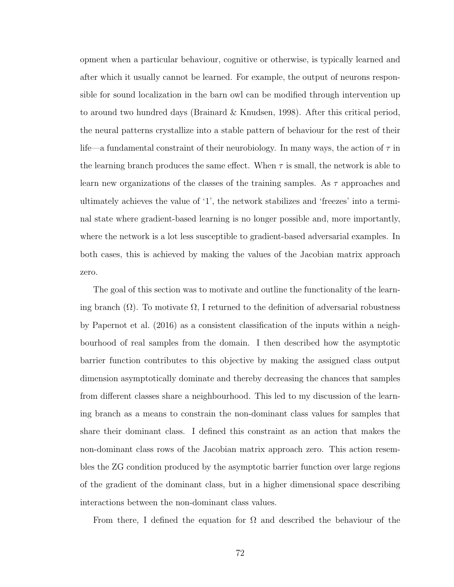opment when a particular behaviour, cognitive or otherwise, is typically learned and after which it usually cannot be learned. For example, the output of neurons responsible for sound localization in the barn owl can be modified through intervention up to around two hundred days (Brainard & Knudsen, 1998). After this critical period, the neural patterns crystallize into a stable pattern of behaviour for the rest of their life—a fundamental constraint of their neurobiology. In many ways, the action of  $\tau$  in the learning branch produces the same effect. When  $\tau$  is small, the network is able to learn new organizations of the classes of the training samples. As  $\tau$  approaches and ultimately achieves the value of '1', the network stabilizes and 'freezes' into a terminal state where gradient-based learning is no longer possible and, more importantly, where the network is a lot less susceptible to gradient-based adversarial examples. In both cases, this is achieved by making the values of the Jacobian matrix approach zero.

The goal of this section was to motivate and outline the functionality of the learning branch  $(\Omega)$ . To motivate  $\Omega$ , I returned to the definition of adversarial robustness by Papernot et al. (2016) as a consistent classification of the inputs within a neighbourhood of real samples from the domain. I then described how the asymptotic barrier function contributes to this objective by making the assigned class output dimension asymptotically dominate and thereby decreasing the chances that samples from different classes share a neighbourhood. This led to my discussion of the learning branch as a means to constrain the non-dominant class values for samples that share their dominant class. I defined this constraint as an action that makes the non-dominant class rows of the Jacobian matrix approach zero. This action resembles the ZG condition produced by the asymptotic barrier function over large regions of the gradient of the dominant class, but in a higher dimensional space describing interactions between the non-dominant class values.

From there, I defined the equation for  $\Omega$  and described the behaviour of the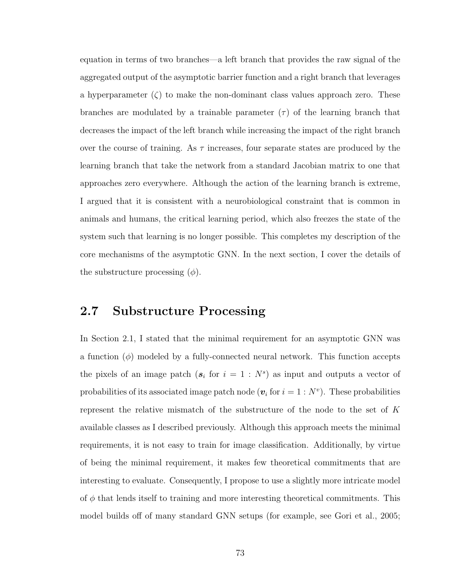equation in terms of two branches—a left branch that provides the raw signal of the aggregated output of the asymptotic barrier function and a right branch that leverages a hyperparameter  $(\zeta)$  to make the non-dominant class values approach zero. These branches are modulated by a trainable parameter  $(\tau)$  of the learning branch that decreases the impact of the left branch while increasing the impact of the right branch over the course of training. As  $\tau$  increases, four separate states are produced by the learning branch that take the network from a standard Jacobian matrix to one that approaches zero everywhere. Although the action of the learning branch is extreme, I argued that it is consistent with a neurobiological constraint that is common in animals and humans, the critical learning period, which also freezes the state of the system such that learning is no longer possible. This completes my description of the core mechanisms of the asymptotic GNN. In the next section, I cover the details of the substructure processing  $(\phi)$ .

## 2.7 Substructure Processing

In Section 2.1, I stated that the minimal requirement for an asymptotic GNN was a function  $(\phi)$  modeled by a fully-connected neural network. This function accepts the pixels of an image patch  $(s_i \text{ for } i = 1 : N^s)$  as input and outputs a vector of probabilities of its associated image patch node  $(v_i$  for  $i = 1 : N^v)$ . These probabilities represent the relative mismatch of the substructure of the node to the set of  $K$ available classes as I described previously. Although this approach meets the minimal requirements, it is not easy to train for image classification. Additionally, by virtue of being the minimal requirement, it makes few theoretical commitments that are interesting to evaluate. Consequently, I propose to use a slightly more intricate model of  $\phi$  that lends itself to training and more interesting theoretical commitments. This model builds off of many standard GNN setups (for example, see Gori et al., 2005;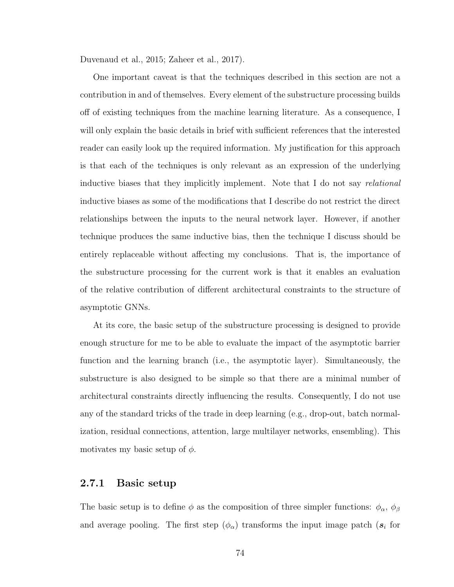Duvenaud et al., 2015; Zaheer et al., 2017).

One important caveat is that the techniques described in this section are not a contribution in and of themselves. Every element of the substructure processing builds off of existing techniques from the machine learning literature. As a consequence, I will only explain the basic details in brief with sufficient references that the interested reader can easily look up the required information. My justification for this approach is that each of the techniques is only relevant as an expression of the underlying inductive biases that they implicitly implement. Note that I do not say *relational* inductive biases as some of the modifications that I describe do not restrict the direct relationships between the inputs to the neural network layer. However, if another technique produces the same inductive bias, then the technique I discuss should be entirely replaceable without affecting my conclusions. That is, the importance of the substructure processing for the current work is that it enables an evaluation of the relative contribution of different architectural constraints to the structure of asymptotic GNNs.

At its core, the basic setup of the substructure processing is designed to provide enough structure for me to be able to evaluate the impact of the asymptotic barrier function and the learning branch (i.e., the asymptotic layer). Simultaneously, the substructure is also designed to be simple so that there are a minimal number of architectural constraints directly influencing the results. Consequently, I do not use any of the standard tricks of the trade in deep learning (e.g., drop-out, batch normalization, residual connections, attention, large multilayer networks, ensembling). This motivates my basic setup of  $\phi$ .

#### 2.7.1 Basic setup

The basic setup is to define  $\phi$  as the composition of three simpler functions:  $\phi_{\alpha}$ ,  $\phi_{\beta}$ and average pooling. The first step  $(\phi_{\alpha})$  transforms the input image patch  $(s_i)$  for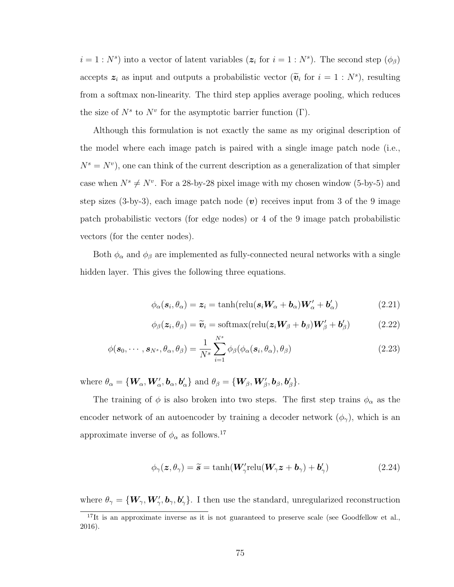$i = 1 : N<sup>s</sup>$  into a vector of latent variables  $(z<sub>i</sub>$  for  $i = 1 : N<sup>s</sup>)$ . The second step  $(\phi<sub>\beta</sub>)$ accepts  $z_i$  as input and outputs a probabilistic vector  $(\tilde{\mathbf{v}}_i \text{ for } i = 1 : N^s)$ , resulting from a softmax non-linearity. The third step applies average pooling, which reduces the size of  $N^s$  to  $N^v$  for the asymptotic barrier function  $(\Gamma)$ .

Although this formulation is not exactly the same as my original description of the model where each image patch is paired with a single image patch node (i.e.,  $N^s = N^v$ , one can think of the current description as a generalization of that simpler case when  $N^s \neq N^v$ . For a 28-by-28 pixel image with my chosen window (5-by-5) and step sizes (3-by-3), each image patch node  $(v)$  receives input from 3 of the 9 image patch probabilistic vectors (for edge nodes) or 4 of the 9 image patch probabilistic vectors (for the center nodes).

Both  $\phi_\alpha$  and  $\phi_\beta$  are implemented as fully-connected neural networks with a single hidden layer. This gives the following three equations.

$$
\phi_{\alpha}(\mathbf{s}_{i}, \theta_{\alpha}) = \mathbf{z}_{i} = \tanh(\text{relu}(\mathbf{s}_{i}\mathbf{W}_{\alpha} + \mathbf{b}_{\alpha})\mathbf{W}'_{\alpha} + \mathbf{b}'_{\alpha})
$$
(2.21)

$$
\phi_{\beta}(\mathbf{z}_i, \theta_{\beta}) = \widetilde{\mathbf{v}}_i = \text{softmax}(\text{relu}(\mathbf{z}_i \mathbf{W}_{\beta} + \mathbf{b}_{\beta}) \mathbf{W}_{\beta}' + \mathbf{b}_{\beta}')
$$
(2.22)

$$
\phi(\mathbf{s}_0, \cdots, \mathbf{s}_{N^s}, \theta_\alpha, \theta_\beta) = \frac{1}{N^s} \sum_{i=1}^{N^s} \phi_\beta(\phi_\alpha(\mathbf{s}_i, \theta_\alpha), \theta_\beta)
$$
(2.23)

where  $\theta_{\alpha} = {\mathbf{W}_{\alpha}, \mathbf{W}'_{\alpha}, \mathbf{b}_{\alpha}, \mathbf{b}'_{\alpha}}$  and  $\theta_{\beta} = {\mathbf{W}_{\beta}, \mathbf{W}'_{\beta}, \mathbf{b}_{\beta}, \mathbf{b}'_{\beta}}$ .

The training of  $\phi$  is also broken into two steps. The first step trains  $\phi_{\alpha}$  as the encoder network of an autoencoder by training a decoder network  $(\phi_{\gamma})$ , which is an approximate inverse of  $\phi_{\alpha}$  as follows.<sup>17</sup>

$$
\phi_{\gamma}(z,\theta_{\gamma}) = \widetilde{s} = \tanh(\boldsymbol{W}_{\gamma}' \text{relu}(\boldsymbol{W}_{\gamma} z + \boldsymbol{b}_{\gamma}) + \boldsymbol{b}_{\gamma}') \tag{2.24}
$$

where  $\theta_{\gamma} = \{W_{\gamma}, W'_{\gamma}, b_{\gamma}, b'_{\gamma}\}\$ . I then use the standard, unregularized reconstruction

<sup>&</sup>lt;sup>17</sup>It is an approximate inverse as it is not guaranteed to preserve scale (see Goodfellow et al., 2016).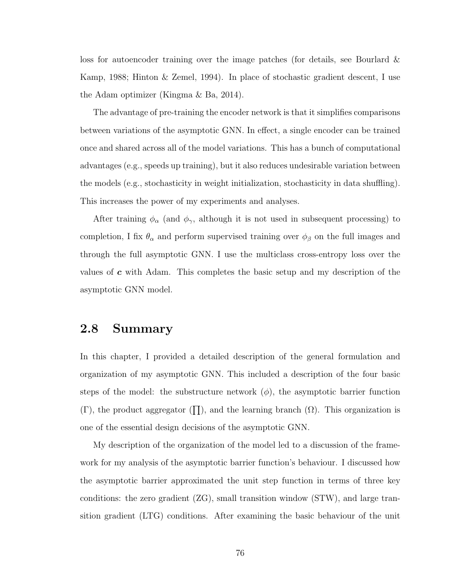loss for autoencoder training over the image patches (for details, see Bourlard & Kamp, 1988; Hinton & Zemel, 1994). In place of stochastic gradient descent, I use the Adam optimizer (Kingma & Ba, 2014).

The advantage of pre-training the encoder network is that it simplifies comparisons between variations of the asymptotic GNN. In effect, a single encoder can be trained once and shared across all of the model variations. This has a bunch of computational advantages (e.g., speeds up training), but it also reduces undesirable variation between the models (e.g., stochasticity in weight initialization, stochasticity in data shuffling). This increases the power of my experiments and analyses.

After training  $\phi_{\alpha}$  (and  $\phi_{\gamma}$ , although it is not used in subsequent processing) to completion, I fix  $\theta_{\alpha}$  and perform supervised training over  $\phi_{\beta}$  on the full images and through the full asymptotic GNN. I use the multiclass cross-entropy loss over the values of  $c$  with Adam. This completes the basic setup and my description of the asymptotic GNN model.

## 2.8 Summary

In this chapter, I provided a detailed description of the general formulation and organization of my asymptotic GNN. This included a description of the four basic steps of the model: the substructure network  $(\phi)$ , the asymptotic barrier function  $(\Gamma)$ , the product aggregator  $(\Pi)$ , and the learning branch  $(\Omega)$ . This organization is one of the essential design decisions of the asymptotic GNN.

My description of the organization of the model led to a discussion of the framework for my analysis of the asymptotic barrier function's behaviour. I discussed how the asymptotic barrier approximated the unit step function in terms of three key conditions: the zero gradient (ZG), small transition window (STW), and large transition gradient (LTG) conditions. After examining the basic behaviour of the unit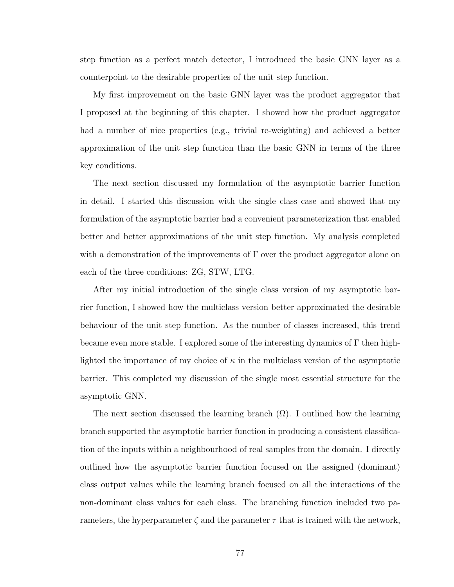step function as a perfect match detector, I introduced the basic GNN layer as a counterpoint to the desirable properties of the unit step function.

My first improvement on the basic GNN layer was the product aggregator that I proposed at the beginning of this chapter. I showed how the product aggregator had a number of nice properties (e.g., trivial re-weighting) and achieved a better approximation of the unit step function than the basic GNN in terms of the three key conditions.

The next section discussed my formulation of the asymptotic barrier function in detail. I started this discussion with the single class case and showed that my formulation of the asymptotic barrier had a convenient parameterization that enabled better and better approximations of the unit step function. My analysis completed with a demonstration of the improvements of  $\Gamma$  over the product aggregator alone on each of the three conditions: ZG, STW, LTG.

After my initial introduction of the single class version of my asymptotic barrier function, I showed how the multiclass version better approximated the desirable behaviour of the unit step function. As the number of classes increased, this trend became even more stable. I explored some of the interesting dynamics of Γ then highlighted the importance of my choice of  $\kappa$  in the multiclass version of the asymptotic barrier. This completed my discussion of the single most essential structure for the asymptotic GNN.

The next section discussed the learning branch  $(\Omega)$ . I outlined how the learning branch supported the asymptotic barrier function in producing a consistent classification of the inputs within a neighbourhood of real samples from the domain. I directly outlined how the asymptotic barrier function focused on the assigned (dominant) class output values while the learning branch focused on all the interactions of the non-dominant class values for each class. The branching function included two parameters, the hyperparameter  $\zeta$  and the parameter  $\tau$  that is trained with the network,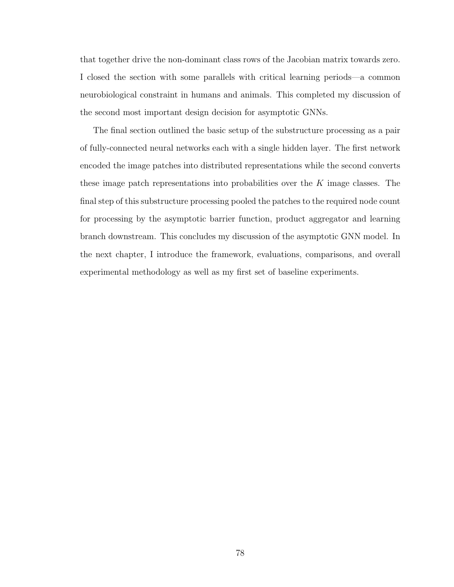that together drive the non-dominant class rows of the Jacobian matrix towards zero. I closed the section with some parallels with critical learning periods—a common neurobiological constraint in humans and animals. This completed my discussion of the second most important design decision for asymptotic GNNs.

The final section outlined the basic setup of the substructure processing as a pair of fully-connected neural networks each with a single hidden layer. The first network encoded the image patches into distributed representations while the second converts these image patch representations into probabilities over the  $K$  image classes. The final step of this substructure processing pooled the patches to the required node count for processing by the asymptotic barrier function, product aggregator and learning branch downstream. This concludes my discussion of the asymptotic GNN model. In the next chapter, I introduce the framework, evaluations, comparisons, and overall experimental methodology as well as my first set of baseline experiments.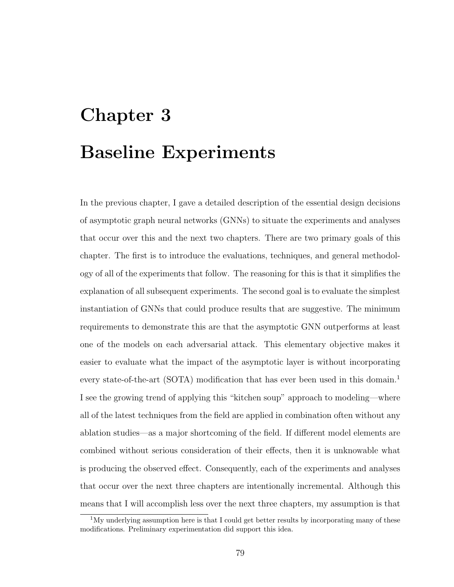# Chapter 3 Baseline Experiments

In the previous chapter, I gave a detailed description of the essential design decisions of asymptotic graph neural networks (GNNs) to situate the experiments and analyses that occur over this and the next two chapters. There are two primary goals of this chapter. The first is to introduce the evaluations, techniques, and general methodology of all of the experiments that follow. The reasoning for this is that it simplifies the explanation of all subsequent experiments. The second goal is to evaluate the simplest instantiation of GNNs that could produce results that are suggestive. The minimum requirements to demonstrate this are that the asymptotic GNN outperforms at least one of the models on each adversarial attack. This elementary objective makes it easier to evaluate what the impact of the asymptotic layer is without incorporating every state-of-the-art (SOTA) modification that has ever been used in this domain.<sup>1</sup> I see the growing trend of applying this "kitchen soup" approach to modeling—where all of the latest techniques from the field are applied in combination often without any ablation studies—as a major shortcoming of the field. If different model elements are combined without serious consideration of their effects, then it is unknowable what is producing the observed effect. Consequently, each of the experiments and analyses that occur over the next three chapters are intentionally incremental. Although this means that I will accomplish less over the next three chapters, my assumption is that

 $1$ My underlying assumption here is that I could get better results by incorporating many of these modifications. Preliminary experimentation did support this idea.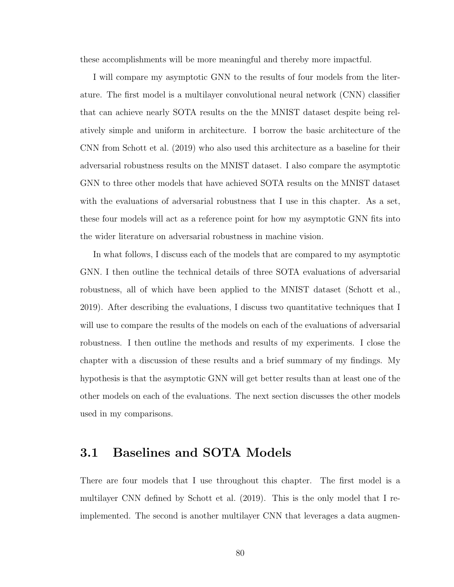these accomplishments will be more meaningful and thereby more impactful.

I will compare my asymptotic GNN to the results of four models from the literature. The first model is a multilayer convolutional neural network (CNN) classifier that can achieve nearly SOTA results on the the MNIST dataset despite being relatively simple and uniform in architecture. I borrow the basic architecture of the CNN from Schott et al. (2019) who also used this architecture as a baseline for their adversarial robustness results on the MNIST dataset. I also compare the asymptotic GNN to three other models that have achieved SOTA results on the MNIST dataset with the evaluations of adversarial robustness that I use in this chapter. As a set, these four models will act as a reference point for how my asymptotic GNN fits into the wider literature on adversarial robustness in machine vision.

In what follows, I discuss each of the models that are compared to my asymptotic GNN. I then outline the technical details of three SOTA evaluations of adversarial robustness, all of which have been applied to the MNIST dataset (Schott et al., 2019). After describing the evaluations, I discuss two quantitative techniques that I will use to compare the results of the models on each of the evaluations of adversarial robustness. I then outline the methods and results of my experiments. I close the chapter with a discussion of these results and a brief summary of my findings. My hypothesis is that the asymptotic GNN will get better results than at least one of the other models on each of the evaluations. The next section discusses the other models used in my comparisons.

#### 3.1 Baselines and SOTA Models

There are four models that I use throughout this chapter. The first model is a multilayer CNN defined by Schott et al. (2019). This is the only model that I reimplemented. The second is another multilayer CNN that leverages a data augmen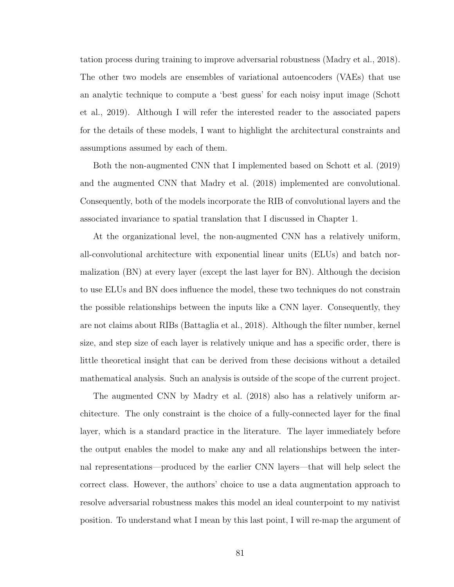tation process during training to improve adversarial robustness (Madry et al., 2018). The other two models are ensembles of variational autoencoders (VAEs) that use an analytic technique to compute a 'best guess' for each noisy input image (Schott et al., 2019). Although I will refer the interested reader to the associated papers for the details of these models, I want to highlight the architectural constraints and assumptions assumed by each of them.

Both the non-augmented CNN that I implemented based on Schott et al. (2019) and the augmented CNN that Madry et al. (2018) implemented are convolutional. Consequently, both of the models incorporate the RIB of convolutional layers and the associated invariance to spatial translation that I discussed in Chapter 1.

At the organizational level, the non-augmented CNN has a relatively uniform, all-convolutional architecture with exponential linear units (ELUs) and batch normalization (BN) at every layer (except the last layer for BN). Although the decision to use ELUs and BN does influence the model, these two techniques do not constrain the possible relationships between the inputs like a CNN layer. Consequently, they are not claims about RIBs (Battaglia et al., 2018). Although the filter number, kernel size, and step size of each layer is relatively unique and has a specific order, there is little theoretical insight that can be derived from these decisions without a detailed mathematical analysis. Such an analysis is outside of the scope of the current project.

The augmented CNN by Madry et al. (2018) also has a relatively uniform architecture. The only constraint is the choice of a fully-connected layer for the final layer, which is a standard practice in the literature. The layer immediately before the output enables the model to make any and all relationships between the internal representations—produced by the earlier CNN layers—that will help select the correct class. However, the authors' choice to use a data augmentation approach to resolve adversarial robustness makes this model an ideal counterpoint to my nativist position. To understand what I mean by this last point, I will re-map the argument of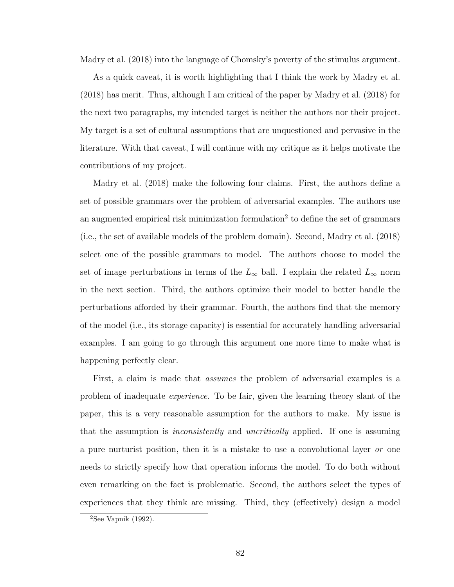Madry et al. (2018) into the language of Chomsky's poverty of the stimulus argument.

As a quick caveat, it is worth highlighting that I think the work by Madry et al. (2018) has merit. Thus, although I am critical of the paper by Madry et al. (2018) for the next two paragraphs, my intended target is neither the authors nor their project. My target is a set of cultural assumptions that are unquestioned and pervasive in the literature. With that caveat, I will continue with my critique as it helps motivate the contributions of my project.

Madry et al. (2018) make the following four claims. First, the authors define a set of possible grammars over the problem of adversarial examples. The authors use an augmented empirical risk minimization formulation<sup>2</sup> to define the set of grammars (i.e., the set of available models of the problem domain). Second, Madry et al. (2018) select one of the possible grammars to model. The authors choose to model the set of image perturbations in terms of the  $L_{\infty}$  ball. I explain the related  $L_{\infty}$  norm in the next section. Third, the authors optimize their model to better handle the perturbations afforded by their grammar. Fourth, the authors find that the memory of the model (i.e., its storage capacity) is essential for accurately handling adversarial examples. I am going to go through this argument one more time to make what is happening perfectly clear.

First, a claim is made that assumes the problem of adversarial examples is a problem of inadequate experience. To be fair, given the learning theory slant of the paper, this is a very reasonable assumption for the authors to make. My issue is that the assumption is *inconsistently* and *uncritically* applied. If one is assuming a pure nurturist position, then it is a mistake to use a convolutional layer or one needs to strictly specify how that operation informs the model. To do both without even remarking on the fact is problematic. Second, the authors select the types of experiences that they think are missing. Third, they (effectively) design a model

 $2$ See Vapnik (1992).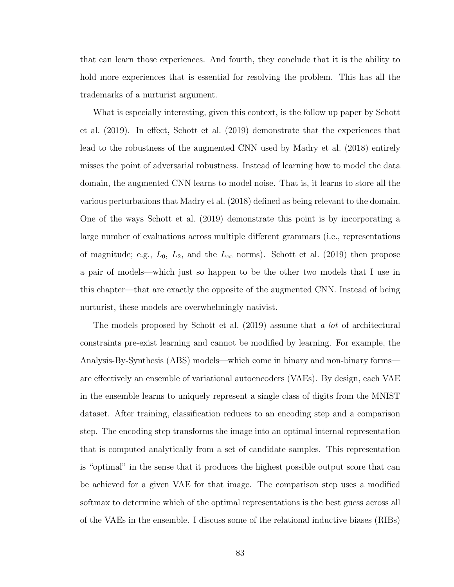that can learn those experiences. And fourth, they conclude that it is the ability to hold more experiences that is essential for resolving the problem. This has all the trademarks of a nurturist argument.

What is especially interesting, given this context, is the follow up paper by Schott et al. (2019). In effect, Schott et al. (2019) demonstrate that the experiences that lead to the robustness of the augmented CNN used by Madry et al. (2018) entirely misses the point of adversarial robustness. Instead of learning how to model the data domain, the augmented CNN learns to model noise. That is, it learns to store all the various perturbations that Madry et al. (2018) defined as being relevant to the domain. One of the ways Schott et al. (2019) demonstrate this point is by incorporating a large number of evaluations across multiple different grammars (i.e., representations of magnitude; e.g.,  $L_0$ ,  $L_2$ , and the  $L_{\infty}$  norms). Schott et al. (2019) then propose a pair of models—which just so happen to be the other two models that I use in this chapter—that are exactly the opposite of the augmented CNN. Instead of being nurturist, these models are overwhelmingly nativist.

The models proposed by Schott et al.  $(2019)$  assume that a lot of architectural constraints pre-exist learning and cannot be modified by learning. For example, the Analysis-By-Synthesis (ABS) models—which come in binary and non-binary forms are effectively an ensemble of variational autoencoders (VAEs). By design, each VAE in the ensemble learns to uniquely represent a single class of digits from the MNIST dataset. After training, classification reduces to an encoding step and a comparison step. The encoding step transforms the image into an optimal internal representation that is computed analytically from a set of candidate samples. This representation is "optimal" in the sense that it produces the highest possible output score that can be achieved for a given VAE for that image. The comparison step uses a modified softmax to determine which of the optimal representations is the best guess across all of the VAEs in the ensemble. I discuss some of the relational inductive biases (RIBs)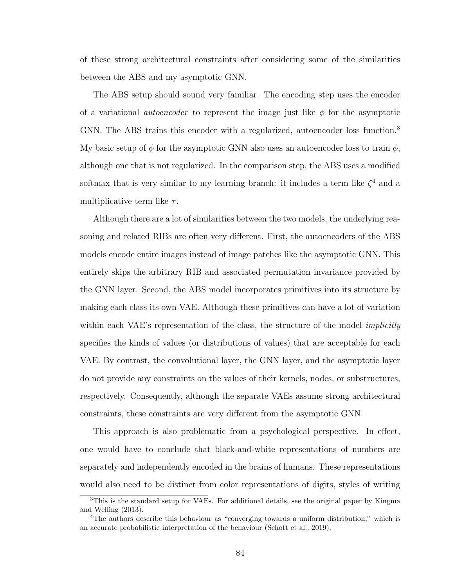of these strong architectural constraints after considering some of the similarities between the ABS and my asymptotic GNN.

The ABS setup should sound very familiar. The encoding step uses the encoder of a variational *autoencoder* to represent the image just like  $\phi$  for the asymptotic GNN. The ABS trains this encoder with a regularized, autoencoder loss function.<sup>3</sup> My basic setup of  $\phi$  for the asymptotic GNN also uses an autoencoder loss to train  $\phi$ , although one that is not regularized. In the comparison step, the ABS uses a modified softmax that is very similar to my learning branch: it includes a term like  $\zeta^4$  and a multiplicative term like  $\tau$ .

Although there are a lot of similarities between the two models, the underlying reasoning and related RIBs are often very different. First, the autoencoders of the ABS models encode entire images instead of image patches like the asymptotic GNN. This entirely skips the arbitrary RIB and associated permutation invariance provided by the GNN layer. Second, the ABS model incorporates primitives into its structure by making each class its own VAE. Although these primitives can have a lot of variation within each VAE's representation of the class, the structure of the model *implicitly* specifies the kinds of values (or distributions of values) that are acceptable for each VAE. By contrast, the convolutional layer, the GNN layer, and the asymptotic layer do not provide any constraints on the values of their kernels, nodes, or substructures, respectively. Consequently, although the separate VAEs assume strong architectural constraints, these constraints are very different from the asymptotic GNN.

This approach is also problematic from a psychological perspective. In effect, one would have to conclude that black-and-white representations of numbers are separately and independently encoded in the brains of humans. These representations would also need to be distinct from color representations of digits, styles of writing

<sup>3</sup>This is the standard setup for VAEs. For additional details, see the original paper by Kingma and Welling (2013).

<sup>4</sup>The authors describe this behaviour as "converging towards a uniform distribution," which is an accurate probabilistic interpretation of the behaviour (Schott et al., 2019).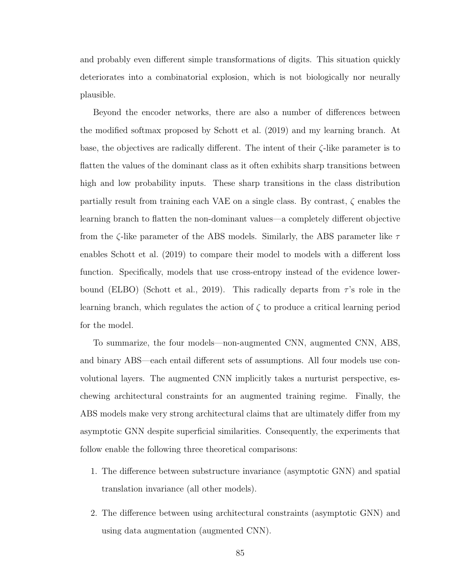and probably even different simple transformations of digits. This situation quickly deteriorates into a combinatorial explosion, which is not biologically nor neurally plausible.

Beyond the encoder networks, there are also a number of differences between the modified softmax proposed by Schott et al. (2019) and my learning branch. At base, the objectives are radically different. The intent of their  $\zeta$ -like parameter is to flatten the values of the dominant class as it often exhibits sharp transitions between high and low probability inputs. These sharp transitions in the class distribution partially result from training each VAE on a single class. By contrast,  $\zeta$  enables the learning branch to flatten the non-dominant values—a completely different objective from the  $\zeta$ -like parameter of the ABS models. Similarly, the ABS parameter like  $\tau$ enables Schott et al. (2019) to compare their model to models with a different loss function. Specifically, models that use cross-entropy instead of the evidence lowerbound (ELBO) (Schott et al., 2019). This radically departs from  $\tau$ 's role in the learning branch, which regulates the action of  $\zeta$  to produce a critical learning period for the model.

To summarize, the four models—non-augmented CNN, augmented CNN, ABS, and binary ABS—each entail different sets of assumptions. All four models use convolutional layers. The augmented CNN implicitly takes a nurturist perspective, eschewing architectural constraints for an augmented training regime. Finally, the ABS models make very strong architectural claims that are ultimately differ from my asymptotic GNN despite superficial similarities. Consequently, the experiments that follow enable the following three theoretical comparisons:

- 1. The difference between substructure invariance (asymptotic GNN) and spatial translation invariance (all other models).
- 2. The difference between using architectural constraints (asymptotic GNN) and using data augmentation (augmented CNN).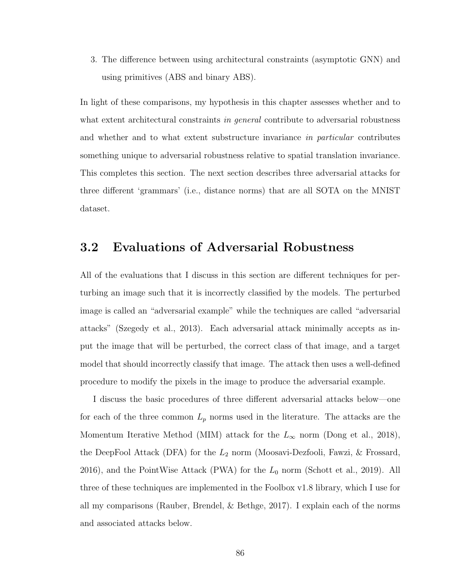3. The difference between using architectural constraints (asymptotic GNN) and using primitives (ABS and binary ABS).

In light of these comparisons, my hypothesis in this chapter assesses whether and to what extent architectural constraints in *general* contribute to adversarial robustness and whether and to what extent substructure invariance in particular contributes something unique to adversarial robustness relative to spatial translation invariance. This completes this section. The next section describes three adversarial attacks for three different 'grammars' (i.e., distance norms) that are all SOTA on the MNIST dataset.

#### 3.2 Evaluations of Adversarial Robustness

All of the evaluations that I discuss in this section are different techniques for perturbing an image such that it is incorrectly classified by the models. The perturbed image is called an "adversarial example" while the techniques are called "adversarial attacks" (Szegedy et al., 2013). Each adversarial attack minimally accepts as input the image that will be perturbed, the correct class of that image, and a target model that should incorrectly classify that image. The attack then uses a well-defined procedure to modify the pixels in the image to produce the adversarial example.

I discuss the basic procedures of three different adversarial attacks below—one for each of the three common  $L_p$  norms used in the literature. The attacks are the Momentum Iterative Method (MIM) attack for the  $L_{\infty}$  norm (Dong et al., 2018), the DeepFool Attack (DFA) for the  $L_2$  norm (Moosavi-Dezfooli, Fawzi, & Frossard, 2016), and the PointWise Attack (PWA) for the  $L_0$  norm (Schott et al., 2019). All three of these techniques are implemented in the Foolbox v1.8 library, which I use for all my comparisons (Rauber, Brendel, & Bethge, 2017). I explain each of the norms and associated attacks below.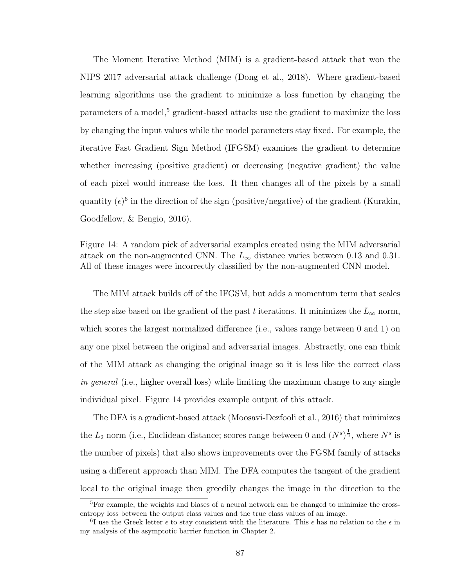The Moment Iterative Method (MIM) is a gradient-based attack that won the NIPS 2017 adversarial attack challenge (Dong et al., 2018). Where gradient-based learning algorithms use the gradient to minimize a loss function by changing the parameters of a model,<sup>5</sup> gradient-based attacks use the gradient to maximize the loss by changing the input values while the model parameters stay fixed. For example, the iterative Fast Gradient Sign Method (IFGSM) examines the gradient to determine whether increasing (positive gradient) or decreasing (negative gradient) the value of each pixel would increase the loss. It then changes all of the pixels by a small quantity  $(\epsilon)^6$  in the direction of the sign (positive/negative) of the gradient (Kurakin, Goodfellow, & Bengio, 2016).

Figure 14: A random pick of adversarial examples created using the MIM adversarial attack on the non-augmented CNN. The  $L_{\infty}$  distance varies between 0.13 and 0.31. All of these images were incorrectly classified by the non-augmented CNN model.

The MIM attack builds off of the IFGSM, but adds a momentum term that scales the step size based on the gradient of the past t iterations. It minimizes the  $L_{\infty}$  norm, which scores the largest normalized difference (i.e., values range between 0 and 1) on any one pixel between the original and adversarial images. Abstractly, one can think of the MIM attack as changing the original image so it is less like the correct class in general (i.e., higher overall loss) while limiting the maximum change to any single individual pixel. Figure 14 provides example output of this attack.

The DFA is a gradient-based attack (Moosavi-Dezfooli et al., 2016) that minimizes the  $L_2$  norm (i.e., Euclidean distance; scores range between 0 and  $(N^s)^{\frac{1}{2}}$ , where  $N^s$  is the number of pixels) that also shows improvements over the FGSM family of attacks using a different approach than MIM. The DFA computes the tangent of the gradient local to the original image then greedily changes the image in the direction to the

 ${}^{5}$ For example, the weights and biases of a neural network can be changed to minimize the crossentropy loss between the output class values and the true class values of an image.

<sup>&</sup>lt;sup>6</sup>I use the Greek letter  $\epsilon$  to stay consistent with the literature. This  $\epsilon$  has no relation to the  $\epsilon$  in my analysis of the asymptotic barrier function in Chapter 2.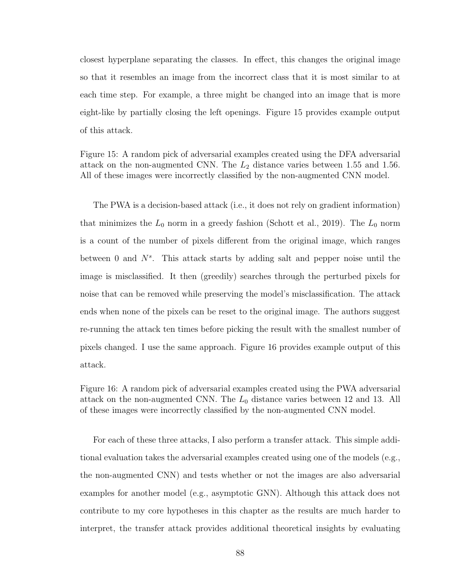closest hyperplane separating the classes. In effect, this changes the original image so that it resembles an image from the incorrect class that it is most similar to at each time step. For example, a three might be changed into an image that is more eight-like by partially closing the left openings. Figure 15 provides example output of this attack.

Figure 15: A random pick of adversarial examples created using the DFA adversarial attack on the non-augmented CNN. The  $L_2$  distance varies between 1.55 and 1.56. All of these images were incorrectly classified by the non-augmented CNN model.

The PWA is a decision-based attack (i.e., it does not rely on gradient information) that minimizes the  $L_0$  norm in a greedy fashion (Schott et al., 2019). The  $L_0$  norm is a count of the number of pixels different from the original image, which ranges between 0 and  $N^s$ . This attack starts by adding salt and pepper noise until the image is misclassified. It then (greedily) searches through the perturbed pixels for noise that can be removed while preserving the model's misclassification. The attack ends when none of the pixels can be reset to the original image. The authors suggest re-running the attack ten times before picking the result with the smallest number of pixels changed. I use the same approach. Figure 16 provides example output of this attack.

Figure 16: A random pick of adversarial examples created using the PWA adversarial attack on the non-augmented CNN. The  $L_0$  distance varies between 12 and 13. All of these images were incorrectly classified by the non-augmented CNN model.

For each of these three attacks, I also perform a transfer attack. This simple additional evaluation takes the adversarial examples created using one of the models (e.g., the non-augmented CNN) and tests whether or not the images are also adversarial examples for another model (e.g., asymptotic GNN). Although this attack does not contribute to my core hypotheses in this chapter as the results are much harder to interpret, the transfer attack provides additional theoretical insights by evaluating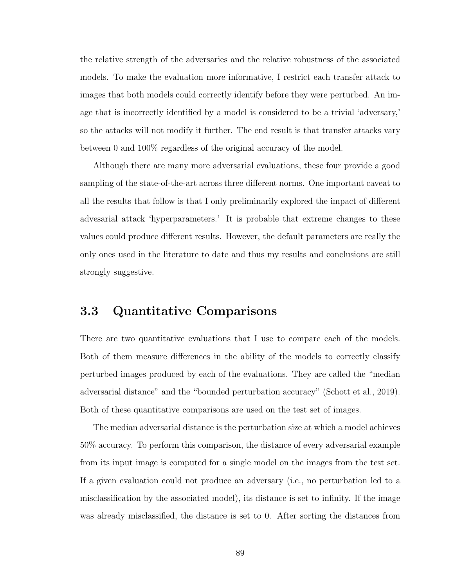the relative strength of the adversaries and the relative robustness of the associated models. To make the evaluation more informative, I restrict each transfer attack to images that both models could correctly identify before they were perturbed. An image that is incorrectly identified by a model is considered to be a trivial 'adversary,' so the attacks will not modify it further. The end result is that transfer attacks vary between 0 and 100% regardless of the original accuracy of the model.

Although there are many more adversarial evaluations, these four provide a good sampling of the state-of-the-art across three different norms. One important caveat to all the results that follow is that I only preliminarily explored the impact of different advesarial attack 'hyperparameters.' It is probable that extreme changes to these values could produce different results. However, the default parameters are really the only ones used in the literature to date and thus my results and conclusions are still strongly suggestive.

#### 3.3 Quantitative Comparisons

There are two quantitative evaluations that I use to compare each of the models. Both of them measure differences in the ability of the models to correctly classify perturbed images produced by each of the evaluations. They are called the "median adversarial distance" and the "bounded perturbation accuracy" (Schott et al., 2019). Both of these quantitative comparisons are used on the test set of images.

The median adversarial distance is the perturbation size at which a model achieves 50% accuracy. To perform this comparison, the distance of every adversarial example from its input image is computed for a single model on the images from the test set. If a given evaluation could not produce an adversary (i.e., no perturbation led to a misclassification by the associated model), its distance is set to infinity. If the image was already misclassified, the distance is set to 0. After sorting the distances from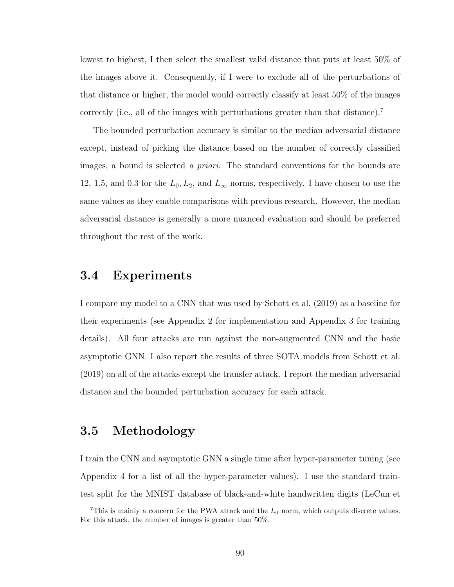lowest to highest, I then select the smallest valid distance that puts at least 50% of the images above it. Consequently, if I were to exclude all of the perturbations of that distance or higher, the model would correctly classify at least 50% of the images correctly (i.e., all of the images with perturbations greater than that distance).<sup>7</sup>

The bounded perturbation accuracy is similar to the median adversarial distance except, instead of picking the distance based on the number of correctly classified images, a bound is selected a priori. The standard conventions for the bounds are 12, 1.5, and 0.3 for the  $L_0, L_2$ , and  $L_{\infty}$  norms, respectively. I have chosen to use the same values as they enable comparisons with previous research. However, the median adversarial distance is generally a more nuanced evaluation and should be preferred throughout the rest of the work.

#### 3.4 Experiments

I compare my model to a CNN that was used by Schott et al. (2019) as a baseline for their experiments (see Appendix 2 for implementation and Appendix 3 for training details). All four attacks are run against the non-augmented CNN and the basic asymptotic GNN. I also report the results of three SOTA models from Schott et al. (2019) on all of the attacks except the transfer attack. I report the median adversarial distance and the bounded perturbation accuracy for each attack.

## 3.5 Methodology

I train the CNN and asymptotic GNN a single time after hyper-parameter tuning (see Appendix 4 for a list of all the hyper-parameter values). I use the standard traintest split for the MNIST database of black-and-white handwritten digits (LeCun et

<sup>&</sup>lt;sup>7</sup>This is mainly a concern for the PWA attack and the  $L_0$  norm, which outputs discrete values. For this attack, the number of images is greater than 50%.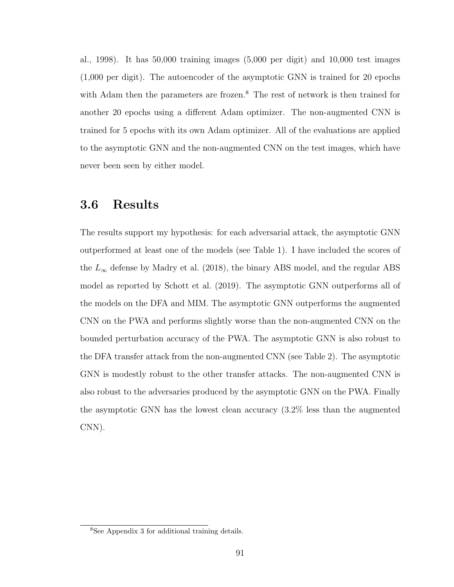al., 1998). It has 50,000 training images (5,000 per digit) and 10,000 test images (1,000 per digit). The autoencoder of the asymptotic GNN is trained for 20 epochs with Adam then the parameters are frozen.<sup>8</sup> The rest of network is then trained for another 20 epochs using a different Adam optimizer. The non-augmented CNN is trained for 5 epochs with its own Adam optimizer. All of the evaluations are applied to the asymptotic GNN and the non-augmented CNN on the test images, which have never been seen by either model.

#### 3.6 Results

The results support my hypothesis: for each adversarial attack, the asymptotic GNN outperformed at least one of the models (see Table 1). I have included the scores of the  $L_{\infty}$  defense by Madry et al. (2018), the binary ABS model, and the regular ABS model as reported by Schott et al. (2019). The asymptotic GNN outperforms all of the models on the DFA and MIM. The asymptotic GNN outperforms the augmented CNN on the PWA and performs slightly worse than the non-augmented CNN on the bounded perturbation accuracy of the PWA. The asymptotic GNN is also robust to the DFA transfer attack from the non-augmented CNN (see Table 2). The asymptotic GNN is modestly robust to the other transfer attacks. The non-augmented CNN is also robust to the adversaries produced by the asymptotic GNN on the PWA. Finally the asymptotic GNN has the lowest clean accuracy (3.2% less than the augmented CNN).

<sup>8</sup>See Appendix 3 for additional training details.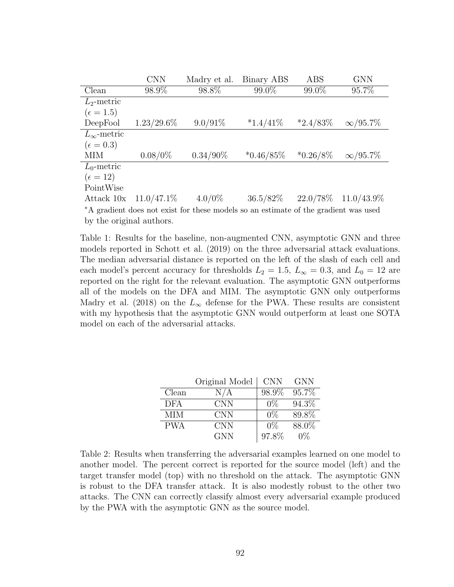|                                                                                     | <b>CNN</b>    | Madry et al. | Binary ABS   | ABS         | <b>GNN</b>      |
|-------------------------------------------------------------------------------------|---------------|--------------|--------------|-------------|-----------------|
| Clean                                                                               | 98.9%         | 98.8%        | 99.0%        | 99.0%       | 95.7%           |
| $L_2$ -metric                                                                       |               |              |              |             |                 |
| $(\epsilon = 1.5)$                                                                  |               |              |              |             |                 |
| DeepFool                                                                            | $1.23/29.6\%$ | $9.0/91\%$   | $*1.4/41\%$  | $*2.4/83\%$ | $\infty$ /95.7% |
| $L_{\infty}$ -metric                                                                |               |              |              |             |                 |
| $(\epsilon = 0.3)$                                                                  |               |              |              |             |                 |
| MIM                                                                                 | $0.08/0\%$    | $0.34/90\%$  | $*0.46/85\%$ | $*0.26/8\%$ | $\infty/95.7\%$ |
| $L_0$ -metric                                                                       |               |              |              |             |                 |
| $(\epsilon = 12)$                                                                   |               |              |              |             |                 |
| PointWise                                                                           |               |              |              |             |                 |
| Attack 10x                                                                          | $11.0/47.1\%$ | $4.0/0\%$    | $36.5/82\%$  | $22.0/78\%$ | $11.0/43.9\%$   |
| *A gradient does not exist for these models so an estimate of the gradient was used |               |              |              |             |                 |
| by the original authors.                                                            |               |              |              |             |                 |

Table 1: Results for the baseline, non-augmented CNN, asymptotic GNN and three models reported in Schott et al. (2019) on the three adversarial attack evaluations. The median adversarial distance is reported on the left of the slash of each cell and each model's percent accuracy for thresholds  $L_2 = 1.5$ ,  $L_{\infty} = 0.3$ , and  $L_0 = 12$  are reported on the right for the relevant evaluation. The asymptotic GNN outperforms all of the models on the DFA and MIM. The asymptotic GNN only outperforms Madry et al. (2018) on the  $L_{\infty}$  defense for the PWA. These results are consistent with my hypothesis that the asymptotic GNN would outperform at least one SOTA model on each of the adversarial attacks.

|            | Original Model | <b>CNN</b> | <b>GNN</b> |
|------------|----------------|------------|------------|
| Clean      | $\rm N/A$      | 98.9%      | 95.7%      |
| <b>DFA</b> | CNN.           | $0\%$      | 94.3%      |
| МIМ        | <b>CNN</b>     | $0\%$      | 89.8%      |
| <b>PWA</b> | <b>CNN</b>     | $0\%$      | 88.0%      |
|            | <b>GNN</b>     | 97.8%      | $0\%$      |

Table 2: Results when transferring the adversarial examples learned on one model to another model. The percent correct is reported for the source model (left) and the target transfer model (top) with no threshold on the attack. The asymptotic GNN is robust to the DFA transfer attack. It is also modestly robust to the other two attacks. The CNN can correctly classify almost every adversarial example produced by the PWA with the asymptotic GNN as the source model.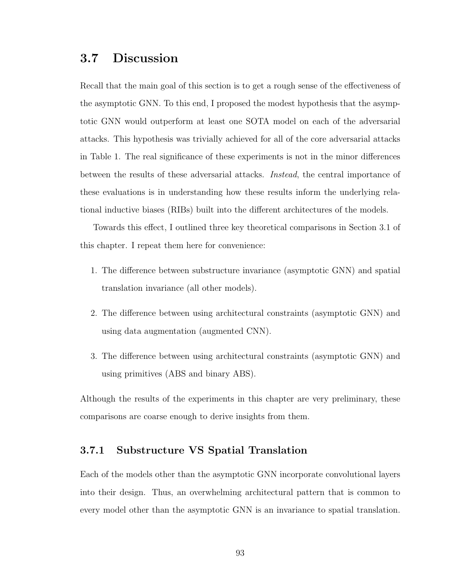# 3.7 Discussion

Recall that the main goal of this section is to get a rough sense of the effectiveness of the asymptotic GNN. To this end, I proposed the modest hypothesis that the asymptotic GNN would outperform at least one SOTA model on each of the adversarial attacks. This hypothesis was trivially achieved for all of the core adversarial attacks in Table 1. The real significance of these experiments is not in the minor differences between the results of these adversarial attacks. Instead, the central importance of these evaluations is in understanding how these results inform the underlying relational inductive biases (RIBs) built into the different architectures of the models.

Towards this effect, I outlined three key theoretical comparisons in Section 3.1 of this chapter. I repeat them here for convenience:

- 1. The difference between substructure invariance (asymptotic GNN) and spatial translation invariance (all other models).
- 2. The difference between using architectural constraints (asymptotic GNN) and using data augmentation (augmented CNN).
- 3. The difference between using architectural constraints (asymptotic GNN) and using primitives (ABS and binary ABS).

Although the results of the experiments in this chapter are very preliminary, these comparisons are coarse enough to derive insights from them.

#### 3.7.1 Substructure VS Spatial Translation

Each of the models other than the asymptotic GNN incorporate convolutional layers into their design. Thus, an overwhelming architectural pattern that is common to every model other than the asymptotic GNN is an invariance to spatial translation.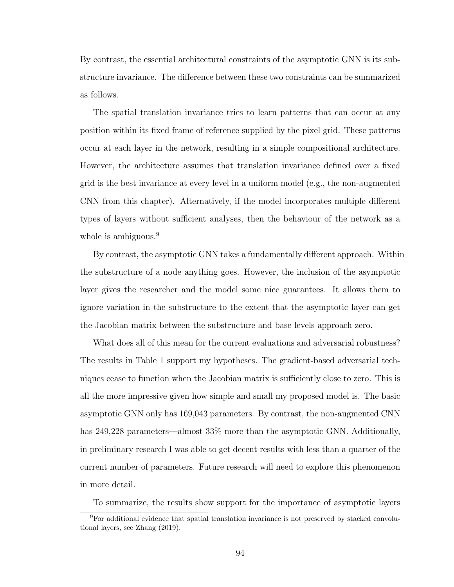By contrast, the essential architectural constraints of the asymptotic GNN is its substructure invariance. The difference between these two constraints can be summarized as follows.

The spatial translation invariance tries to learn patterns that can occur at any position within its fixed frame of reference supplied by the pixel grid. These patterns occur at each layer in the network, resulting in a simple compositional architecture. However, the architecture assumes that translation invariance defined over a fixed grid is the best invariance at every level in a uniform model (e.g., the non-augmented CNN from this chapter). Alternatively, if the model incorporates multiple different types of layers without sufficient analyses, then the behaviour of the network as a whole is ambiguous.<sup>9</sup>

By contrast, the asymptotic GNN takes a fundamentally different approach. Within the substructure of a node anything goes. However, the inclusion of the asymptotic layer gives the researcher and the model some nice guarantees. It allows them to ignore variation in the substructure to the extent that the asymptotic layer can get the Jacobian matrix between the substructure and base levels approach zero.

What does all of this mean for the current evaluations and adversarial robustness? The results in Table 1 support my hypotheses. The gradient-based adversarial techniques cease to function when the Jacobian matrix is sufficiently close to zero. This is all the more impressive given how simple and small my proposed model is. The basic asymptotic GNN only has 169,043 parameters. By contrast, the non-augmented CNN has 249,228 parameters—almost 33% more than the asymptotic GNN. Additionally, in preliminary research I was able to get decent results with less than a quarter of the current number of parameters. Future research will need to explore this phenomenon in more detail.

To summarize, the results show support for the importance of asymptotic layers

<sup>9</sup>For additional evidence that spatial translation invariance is not preserved by stacked convolutional layers, see Zhang (2019).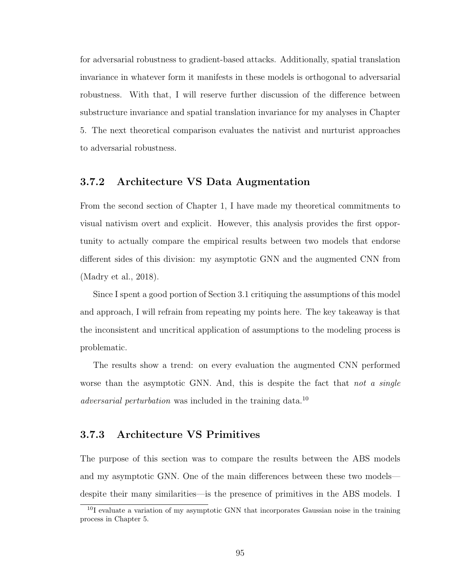for adversarial robustness to gradient-based attacks. Additionally, spatial translation invariance in whatever form it manifests in these models is orthogonal to adversarial robustness. With that, I will reserve further discussion of the difference between substructure invariance and spatial translation invariance for my analyses in Chapter 5. The next theoretical comparison evaluates the nativist and nurturist approaches to adversarial robustness.

#### 3.7.2 Architecture VS Data Augmentation

From the second section of Chapter 1, I have made my theoretical commitments to visual nativism overt and explicit. However, this analysis provides the first opportunity to actually compare the empirical results between two models that endorse different sides of this division: my asymptotic GNN and the augmented CNN from (Madry et al., 2018).

Since I spent a good portion of Section 3.1 critiquing the assumptions of this model and approach, I will refrain from repeating my points here. The key takeaway is that the inconsistent and uncritical application of assumptions to the modeling process is problematic.

The results show a trend: on every evaluation the augmented CNN performed worse than the asymptotic GNN. And, this is despite the fact that not a single adversarial perturbation was included in the training data.<sup>10</sup>

#### 3.7.3 Architecture VS Primitives

The purpose of this section was to compare the results between the ABS models and my asymptotic GNN. One of the main differences between these two models despite their many similarities—is the presence of primitives in the ABS models. I

 $10I$  evaluate a variation of my asymptotic GNN that incorporates Gaussian noise in the training process in Chapter 5.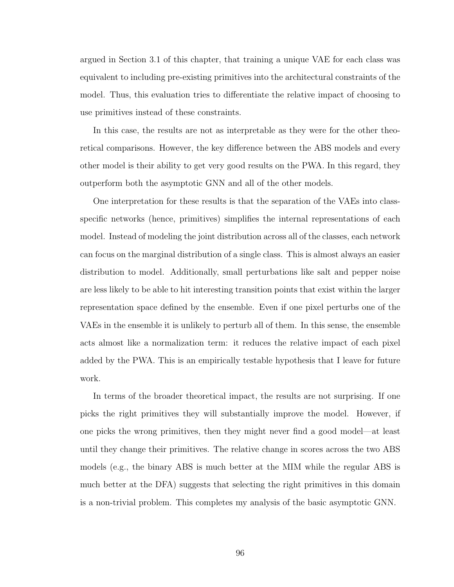argued in Section 3.1 of this chapter, that training a unique VAE for each class was equivalent to including pre-existing primitives into the architectural constraints of the model. Thus, this evaluation tries to differentiate the relative impact of choosing to use primitives instead of these constraints.

In this case, the results are not as interpretable as they were for the other theoretical comparisons. However, the key difference between the ABS models and every other model is their ability to get very good results on the PWA. In this regard, they outperform both the asymptotic GNN and all of the other models.

One interpretation for these results is that the separation of the VAEs into classspecific networks (hence, primitives) simplifies the internal representations of each model. Instead of modeling the joint distribution across all of the classes, each network can focus on the marginal distribution of a single class. This is almost always an easier distribution to model. Additionally, small perturbations like salt and pepper noise are less likely to be able to hit interesting transition points that exist within the larger representation space defined by the ensemble. Even if one pixel perturbs one of the VAEs in the ensemble it is unlikely to perturb all of them. In this sense, the ensemble acts almost like a normalization term: it reduces the relative impact of each pixel added by the PWA. This is an empirically testable hypothesis that I leave for future work.

In terms of the broader theoretical impact, the results are not surprising. If one picks the right primitives they will substantially improve the model. However, if one picks the wrong primitives, then they might never find a good model—at least until they change their primitives. The relative change in scores across the two ABS models (e.g., the binary ABS is much better at the MIM while the regular ABS is much better at the DFA) suggests that selecting the right primitives in this domain is a non-trivial problem. This completes my analysis of the basic asymptotic GNN.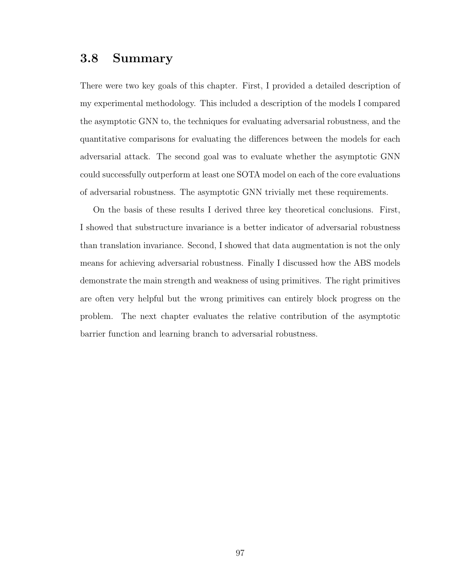# 3.8 Summary

There were two key goals of this chapter. First, I provided a detailed description of my experimental methodology. This included a description of the models I compared the asymptotic GNN to, the techniques for evaluating adversarial robustness, and the quantitative comparisons for evaluating the differences between the models for each adversarial attack. The second goal was to evaluate whether the asymptotic GNN could successfully outperform at least one SOTA model on each of the core evaluations of adversarial robustness. The asymptotic GNN trivially met these requirements.

On the basis of these results I derived three key theoretical conclusions. First, I showed that substructure invariance is a better indicator of adversarial robustness than translation invariance. Second, I showed that data augmentation is not the only means for achieving adversarial robustness. Finally I discussed how the ABS models demonstrate the main strength and weakness of using primitives. The right primitives are often very helpful but the wrong primitives can entirely block progress on the problem. The next chapter evaluates the relative contribution of the asymptotic barrier function and learning branch to adversarial robustness.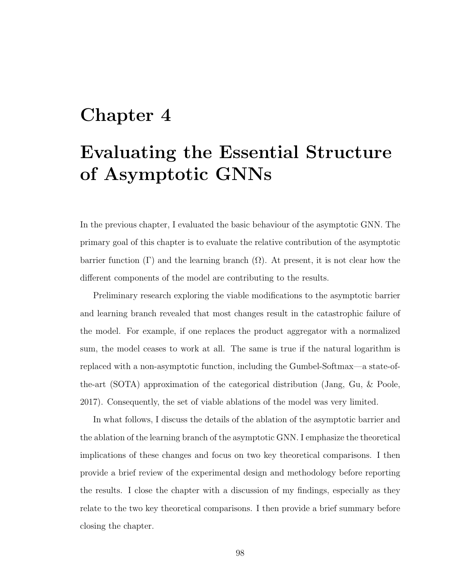# Chapter 4

# Evaluating the Essential Structure of Asymptotic GNNs

In the previous chapter, I evaluated the basic behaviour of the asymptotic GNN. The primary goal of this chapter is to evaluate the relative contribution of the asymptotic barrier function  $(Γ)$  and the learning branch  $(Ω)$ . At present, it is not clear how the different components of the model are contributing to the results.

Preliminary research exploring the viable modifications to the asymptotic barrier and learning branch revealed that most changes result in the catastrophic failure of the model. For example, if one replaces the product aggregator with a normalized sum, the model ceases to work at all. The same is true if the natural logarithm is replaced with a non-asymptotic function, including the Gumbel-Softmax—a state-ofthe-art (SOTA) approximation of the categorical distribution (Jang, Gu, & Poole, 2017). Consequently, the set of viable ablations of the model was very limited.

In what follows, I discuss the details of the ablation of the asymptotic barrier and the ablation of the learning branch of the asymptotic GNN. I emphasize the theoretical implications of these changes and focus on two key theoretical comparisons. I then provide a brief review of the experimental design and methodology before reporting the results. I close the chapter with a discussion of my findings, especially as they relate to the two key theoretical comparisons. I then provide a brief summary before closing the chapter.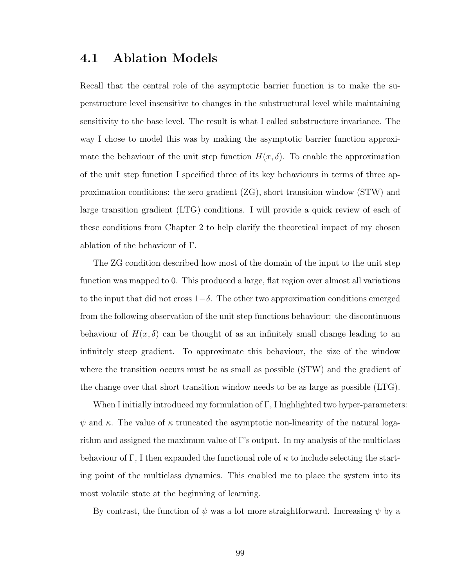# 4.1 Ablation Models

Recall that the central role of the asymptotic barrier function is to make the superstructure level insensitive to changes in the substructural level while maintaining sensitivity to the base level. The result is what I called substructure invariance. The way I chose to model this was by making the asymptotic barrier function approximate the behaviour of the unit step function  $H(x, \delta)$ . To enable the approximation of the unit step function I specified three of its key behaviours in terms of three approximation conditions: the zero gradient (ZG), short transition window (STW) and large transition gradient (LTG) conditions. I will provide a quick review of each of these conditions from Chapter 2 to help clarify the theoretical impact of my chosen ablation of the behaviour of Γ.

The ZG condition described how most of the domain of the input to the unit step function was mapped to 0. This produced a large, flat region over almost all variations to the input that did not cross  $1-\delta$ . The other two approximation conditions emerged from the following observation of the unit step functions behaviour: the discontinuous behaviour of  $H(x, \delta)$  can be thought of as an infinitely small change leading to an infinitely steep gradient. To approximate this behaviour, the size of the window where the transition occurs must be as small as possible (STW) and the gradient of the change over that short transition window needs to be as large as possible (LTG).

When I initially introduced my formulation of Γ, I highlighted two hyper-parameters:  $\psi$  and  $\kappa$ . The value of  $\kappa$  truncated the asymptotic non-linearity of the natural logarithm and assigned the maximum value of Γ's output. In my analysis of the multiclass behaviour of Γ, I then expanded the functional role of  $\kappa$  to include selecting the starting point of the multiclass dynamics. This enabled me to place the system into its most volatile state at the beginning of learning.

By contrast, the function of  $\psi$  was a lot more straightforward. Increasing  $\psi$  by a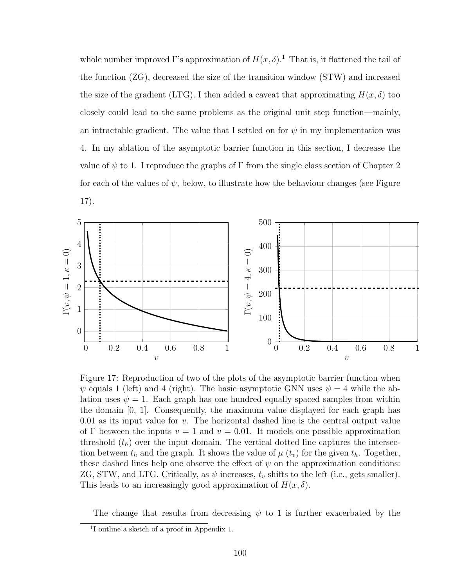whole number improved Γ's approximation of  $H(x, \delta)$ <sup>1</sup>. That is, it flattened the tail of the function (ZG), decreased the size of the transition window (STW) and increased the size of the gradient (LTG). I then added a caveat that approximating  $H(x, \delta)$  too closely could lead to the same problems as the original unit step function—mainly, an intractable gradient. The value that I settled on for  $\psi$  in my implementation was 4. In my ablation of the asymptotic barrier function in this section, I decrease the value of  $\psi$  to 1. I reproduce the graphs of  $\Gamma$  from the single class section of Chapter 2 for each of the values of  $\psi$ , below, to illustrate how the behaviour changes (see Figure 17).



Figure 17: Reproduction of two of the plots of the asymptotic barrier function when  $\psi$  equals 1 (left) and 4 (right). The basic asymptotic GNN uses  $\psi = 4$  while the ablation uses  $\psi = 1$ . Each graph has one hundred equally spaced samples from within the domain [0, 1]. Consequently, the maximum value displayed for each graph has 0.01 as its input value for  $v$ . The horizontal dashed line is the central output value of Γ between the inputs  $v = 1$  and  $v = 0.01$ . It models one possible approximation threshold  $(t_h)$  over the input domain. The vertical dotted line captures the intersection between  $t_h$  and the graph. It shows the value of  $\mu$  ( $t_v$ ) for the given  $t_h$ . Together, these dashed lines help one observe the effect of  $\psi$  on the approximation conditions: ZG, STW, and LTG. Critically, as  $\psi$  increases,  $t_v$  shifts to the left (i.e., gets smaller). This leads to an increasingly good approximation of  $H(x, \delta)$ .

The change that results from decreasing  $\psi$  to 1 is further exacerbated by the

<sup>1</sup> I outline a sketch of a proof in Appendix 1.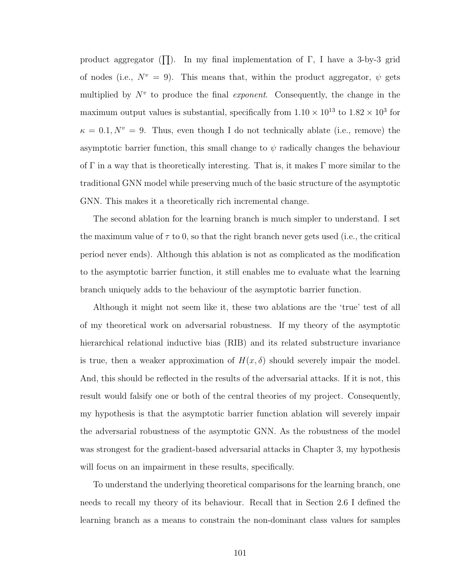product aggregator ( $\prod$ ). In my final implementation of  $\Gamma$ , I have a 3-by-3 grid of nodes (i.e.,  $N^v = 9$ ). This means that, within the product aggregator,  $\psi$  gets multiplied by  $N^v$  to produce the final *exponent*. Consequently, the change in the maximum output values is substantial, specifically from  $1.10 \times 10^{13}$  to  $1.82 \times 10^{3}$  for  $\kappa = 0.1, N^v = 9$ . Thus, even though I do not technically ablate (i.e., remove) the asymptotic barrier function, this small change to  $\psi$  radically changes the behaviour of  $\Gamma$  in a way that is theoretically interesting. That is, it makes  $\Gamma$  more similar to the traditional GNN model while preserving much of the basic structure of the asymptotic GNN. This makes it a theoretically rich incremental change.

The second ablation for the learning branch is much simpler to understand. I set the maximum value of  $\tau$  to 0, so that the right branch never gets used (i.e., the critical period never ends). Although this ablation is not as complicated as the modification to the asymptotic barrier function, it still enables me to evaluate what the learning branch uniquely adds to the behaviour of the asymptotic barrier function.

Although it might not seem like it, these two ablations are the 'true' test of all of my theoretical work on adversarial robustness. If my theory of the asymptotic hierarchical relational inductive bias (RIB) and its related substructure invariance is true, then a weaker approximation of  $H(x, \delta)$  should severely impair the model. And, this should be reflected in the results of the adversarial attacks. If it is not, this result would falsify one or both of the central theories of my project. Consequently, my hypothesis is that the asymptotic barrier function ablation will severely impair the adversarial robustness of the asymptotic GNN. As the robustness of the model was strongest for the gradient-based adversarial attacks in Chapter 3, my hypothesis will focus on an impairment in these results, specifically.

To understand the underlying theoretical comparisons for the learning branch, one needs to recall my theory of its behaviour. Recall that in Section 2.6 I defined the learning branch as a means to constrain the non-dominant class values for samples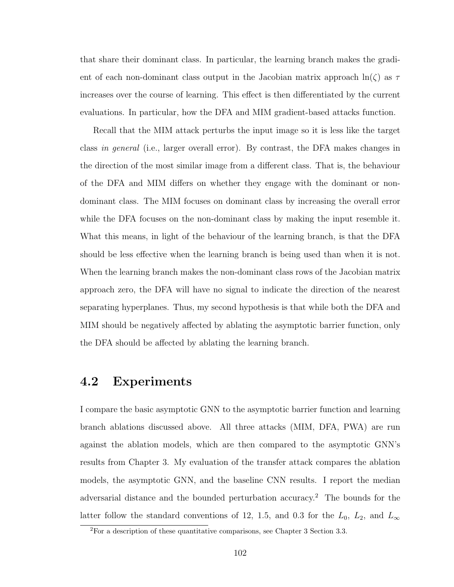that share their dominant class. In particular, the learning branch makes the gradient of each non-dominant class output in the Jacobian matrix approach  $\ln(\zeta)$  as  $\tau$ increases over the course of learning. This effect is then differentiated by the current evaluations. In particular, how the DFA and MIM gradient-based attacks function.

Recall that the MIM attack perturbs the input image so it is less like the target class in general (i.e., larger overall error). By contrast, the DFA makes changes in the direction of the most similar image from a different class. That is, the behaviour of the DFA and MIM differs on whether they engage with the dominant or nondominant class. The MIM focuses on dominant class by increasing the overall error while the DFA focuses on the non-dominant class by making the input resemble it. What this means, in light of the behaviour of the learning branch, is that the DFA should be less effective when the learning branch is being used than when it is not. When the learning branch makes the non-dominant class rows of the Jacobian matrix approach zero, the DFA will have no signal to indicate the direction of the nearest separating hyperplanes. Thus, my second hypothesis is that while both the DFA and MIM should be negatively affected by ablating the asymptotic barrier function, only the DFA should be affected by ablating the learning branch.

### 4.2 Experiments

I compare the basic asymptotic GNN to the asymptotic barrier function and learning branch ablations discussed above. All three attacks (MIM, DFA, PWA) are run against the ablation models, which are then compared to the asymptotic GNN's results from Chapter 3. My evaluation of the transfer attack compares the ablation models, the asymptotic GNN, and the baseline CNN results. I report the median adversarial distance and the bounded perturbation accuracy.<sup>2</sup> The bounds for the latter follow the standard conventions of 12, 1.5, and 0.3 for the  $L_0$ ,  $L_2$ , and  $L_{\infty}$ 

 $2\overline{P}$  a description of these quantitative comparisons, see Chapter 3 Section 3.3.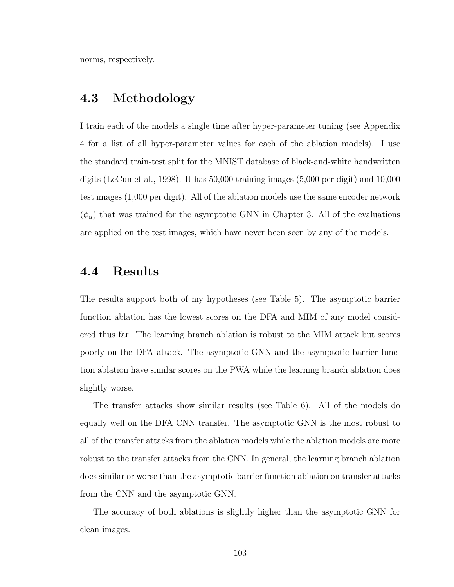norms, respectively.

#### 4.3 Methodology

I train each of the models a single time after hyper-parameter tuning (see Appendix 4 for a list of all hyper-parameter values for each of the ablation models). I use the standard train-test split for the MNIST database of black-and-white handwritten digits (LeCun et al., 1998). It has 50,000 training images (5,000 per digit) and 10,000 test images (1,000 per digit). All of the ablation models use the same encoder network  $(\phi_{\alpha})$  that was trained for the asymptotic GNN in Chapter 3. All of the evaluations are applied on the test images, which have never been seen by any of the models.

## 4.4 Results

The results support both of my hypotheses (see Table 5). The asymptotic barrier function ablation has the lowest scores on the DFA and MIM of any model considered thus far. The learning branch ablation is robust to the MIM attack but scores poorly on the DFA attack. The asymptotic GNN and the asymptotic barrier function ablation have similar scores on the PWA while the learning branch ablation does slightly worse.

The transfer attacks show similar results (see Table 6). All of the models do equally well on the DFA CNN transfer. The asymptotic GNN is the most robust to all of the transfer attacks from the ablation models while the ablation models are more robust to the transfer attacks from the CNN. In general, the learning branch ablation does similar or worse than the asymptotic barrier function ablation on transfer attacks from the CNN and the asymptotic GNN.

The accuracy of both ablations is slightly higher than the asymptotic GNN for clean images.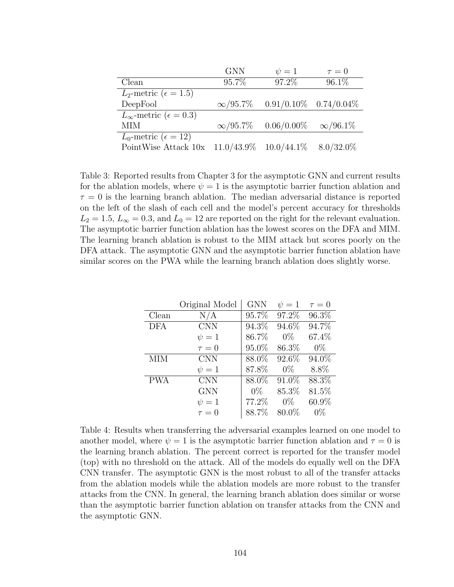|                                           | <b>GNN</b>                  | $\psi=1$                    | $\tau = 0$      |
|-------------------------------------------|-----------------------------|-----------------------------|-----------------|
| Clean                                     | 95.7%                       | 97.2%                       | $96.1\%$        |
| $L_2$ -metric ( $\epsilon = 1.5$ )        |                             |                             |                 |
| DeepFool                                  | $\infty/95.7\%$             | $0.91/0.10\%$ $0.74/0.04\%$ |                 |
| $L_{\infty}$ -metric ( $\epsilon = 0.3$ ) |                             |                             |                 |
| <b>MIM</b>                                | $\infty/95.7\%$             | $0.06/0.00\%$               | $\infty/96.1\%$ |
| $L_0$ -metric ( $\epsilon = 12$ )         |                             |                             |                 |
| PointWise Attack 10x                      | $11.0/43.9\%$ $10.0/44.1\%$ |                             | $8.0/32.0\%$    |

Table 3: Reported results from Chapter 3 for the asymptotic GNN and current results for the ablation models, where  $\psi = 1$  is the asymptotic barrier function ablation and  $\tau = 0$  is the learning branch ablation. The median adversarial distance is reported on the left of the slash of each cell and the model's percent accuracy for thresholds  $L_2 = 1.5, L_{\infty} = 0.3$ , and  $L_0 = 12$  are reported on the right for the relevant evaluation. The asymptotic barrier function ablation has the lowest scores on the DFA and MIM. The learning branch ablation is robust to the MIM attack but scores poorly on the DFA attack. The asymptotic GNN and the asymptotic barrier function ablation have similar scores on the PWA while the learning branch ablation does slightly worse.

|            | Original Model | <b>GNN</b> | $\psi = 1$ | $\tau = 0$ |
|------------|----------------|------------|------------|------------|
| Clean      | N/A            | 95.7%      | 97.2%      | $96.3\%$   |
| <b>DFA</b> | CNN            | 94.3%      | 94.6%      | 94.7%      |
|            | $\psi=1$       | 86.7%      | $0\%$      | 67.4%      |
|            | $\tau = 0$     | 95.0%      | 86.3%      | $0\%$      |
| <b>MIM</b> | <b>CNN</b>     | $88.0\%$   | 92.6%      | $94.0\%$   |
|            | $\psi=1$       | 87.8%      | $0\%$      | 8.8%       |
| <b>PWA</b> | <b>CNN</b>     | $88.0\%$   | $91.0\%$   | 88.3%      |
|            | <b>GNN</b>     | $0\%$      | 85.3%      | 81.5%      |
|            | $\psi = 1$     | 77.2%      | $0\%$      | 60.9%      |
|            | $\tau = 0$     | 88.7%      | 80.0%      | $0\%$      |

Table 4: Results when transferring the adversarial examples learned on one model to another model, where  $\psi = 1$  is the asymptotic barrier function ablation and  $\tau = 0$  is the learning branch ablation. The percent correct is reported for the transfer model (top) with no threshold on the attack. All of the models do equally well on the DFA CNN transfer. The asymptotic GNN is the most robust to all of the transfer attacks from the ablation models while the ablation models are more robust to the transfer attacks from the CNN. In general, the learning branch ablation does similar or worse than the asymptotic barrier function ablation on transfer attacks from the CNN and the asymptotic GNN.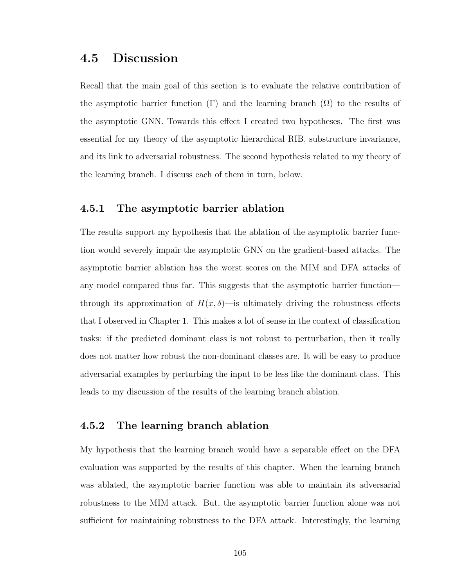# 4.5 Discussion

Recall that the main goal of this section is to evaluate the relative contribution of the asymptotic barrier function  $(\Gamma)$  and the learning branch  $(\Omega)$  to the results of the asymptotic GNN. Towards this effect I created two hypotheses. The first was essential for my theory of the asymptotic hierarchical RIB, substructure invariance, and its link to adversarial robustness. The second hypothesis related to my theory of the learning branch. I discuss each of them in turn, below.

#### 4.5.1 The asymptotic barrier ablation

The results support my hypothesis that the ablation of the asymptotic barrier function would severely impair the asymptotic GNN on the gradient-based attacks. The asymptotic barrier ablation has the worst scores on the MIM and DFA attacks of any model compared thus far. This suggests that the asymptotic barrier function through its approximation of  $H(x, \delta)$ —is ultimately driving the robustness effects that I observed in Chapter 1. This makes a lot of sense in the context of classification tasks: if the predicted dominant class is not robust to perturbation, then it really does not matter how robust the non-dominant classes are. It will be easy to produce adversarial examples by perturbing the input to be less like the dominant class. This leads to my discussion of the results of the learning branch ablation.

#### 4.5.2 The learning branch ablation

My hypothesis that the learning branch would have a separable effect on the DFA evaluation was supported by the results of this chapter. When the learning branch was ablated, the asymptotic barrier function was able to maintain its adversarial robustness to the MIM attack. But, the asymptotic barrier function alone was not sufficient for maintaining robustness to the DFA attack. Interestingly, the learning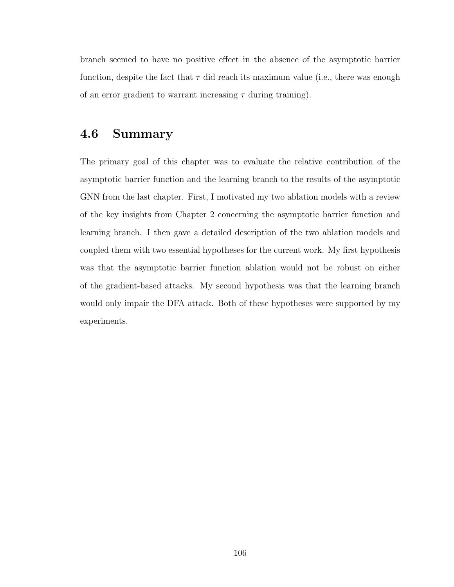branch seemed to have no positive effect in the absence of the asymptotic barrier function, despite the fact that  $\tau$  did reach its maximum value (i.e., there was enough of an error gradient to warrant increasing  $\tau$  during training).

### 4.6 Summary

The primary goal of this chapter was to evaluate the relative contribution of the asymptotic barrier function and the learning branch to the results of the asymptotic GNN from the last chapter. First, I motivated my two ablation models with a review of the key insights from Chapter 2 concerning the asymptotic barrier function and learning branch. I then gave a detailed description of the two ablation models and coupled them with two essential hypotheses for the current work. My first hypothesis was that the asymptotic barrier function ablation would not be robust on either of the gradient-based attacks. My second hypothesis was that the learning branch would only impair the DFA attack. Both of these hypotheses were supported by my experiments.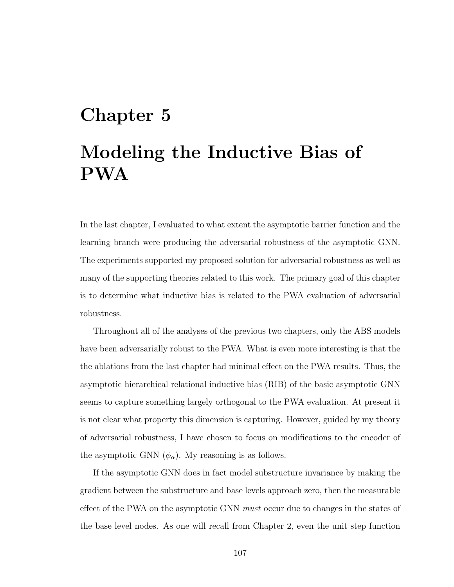# Chapter 5 Modeling the Inductive Bias of PWA

In the last chapter, I evaluated to what extent the asymptotic barrier function and the learning branch were producing the adversarial robustness of the asymptotic GNN. The experiments supported my proposed solution for adversarial robustness as well as many of the supporting theories related to this work. The primary goal of this chapter is to determine what inductive bias is related to the PWA evaluation of adversarial robustness.

Throughout all of the analyses of the previous two chapters, only the ABS models have been adversarially robust to the PWA. What is even more interesting is that the the ablations from the last chapter had minimal effect on the PWA results. Thus, the asymptotic hierarchical relational inductive bias (RIB) of the basic asymptotic GNN seems to capture something largely orthogonal to the PWA evaluation. At present it is not clear what property this dimension is capturing. However, guided by my theory of adversarial robustness, I have chosen to focus on modifications to the encoder of the asymptotic GNN  $(\phi_{\alpha})$ . My reasoning is as follows.

If the asymptotic GNN does in fact model substructure invariance by making the gradient between the substructure and base levels approach zero, then the measurable effect of the PWA on the asymptotic GNN *must* occur due to changes in the states of the base level nodes. As one will recall from Chapter 2, even the unit step function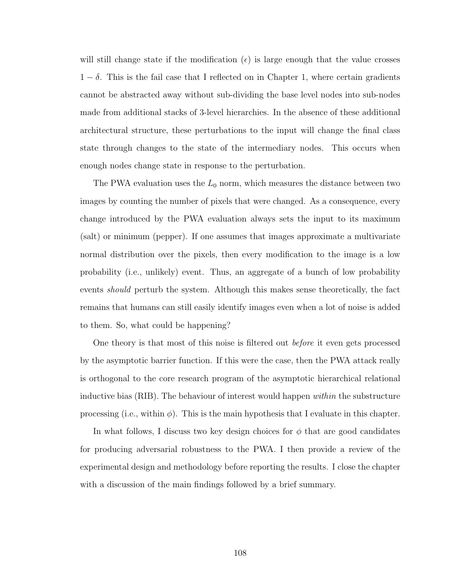will still change state if the modification ( $\epsilon$ ) is large enough that the value crosses  $1 - \delta$ . This is the fail case that I reflected on in Chapter 1, where certain gradients cannot be abstracted away without sub-dividing the base level nodes into sub-nodes made from additional stacks of 3-level hierarchies. In the absence of these additional architectural structure, these perturbations to the input will change the final class state through changes to the state of the intermediary nodes. This occurs when enough nodes change state in response to the perturbation.

The PWA evaluation uses the  $L_0$  norm, which measures the distance between two images by counting the number of pixels that were changed. As a consequence, every change introduced by the PWA evaluation always sets the input to its maximum (salt) or minimum (pepper). If one assumes that images approximate a multivariate normal distribution over the pixels, then every modification to the image is a low probability (i.e., unlikely) event. Thus, an aggregate of a bunch of low probability events should perturb the system. Although this makes sense theoretically, the fact remains that humans can still easily identify images even when a lot of noise is added to them. So, what could be happening?

One theory is that most of this noise is filtered out before it even gets processed by the asymptotic barrier function. If this were the case, then the PWA attack really is orthogonal to the core research program of the asymptotic hierarchical relational inductive bias (RIB). The behaviour of interest would happen within the substructure processing (i.e., within  $\phi$ ). This is the main hypothesis that I evaluate in this chapter.

In what follows, I discuss two key design choices for  $\phi$  that are good candidates for producing adversarial robustness to the PWA. I then provide a review of the experimental design and methodology before reporting the results. I close the chapter with a discussion of the main findings followed by a brief summary.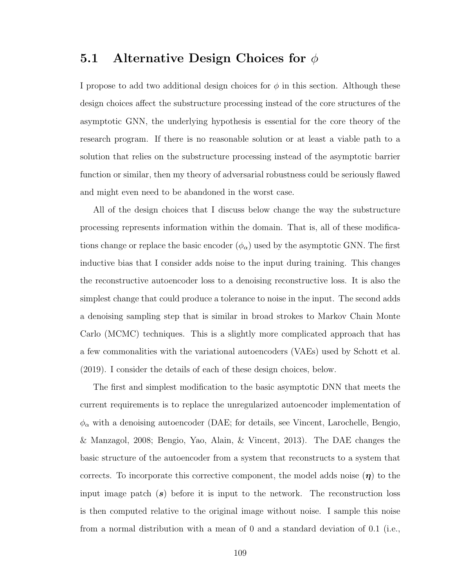### 5.1 Alternative Design Choices for  $\phi$

I propose to add two additional design choices for  $\phi$  in this section. Although these design choices affect the substructure processing instead of the core structures of the asymptotic GNN, the underlying hypothesis is essential for the core theory of the research program. If there is no reasonable solution or at least a viable path to a solution that relies on the substructure processing instead of the asymptotic barrier function or similar, then my theory of adversarial robustness could be seriously flawed and might even need to be abandoned in the worst case.

All of the design choices that I discuss below change the way the substructure processing represents information within the domain. That is, all of these modifications change or replace the basic encoder  $(\phi_{\alpha})$  used by the asymptotic GNN. The first inductive bias that I consider adds noise to the input during training. This changes the reconstructive autoencoder loss to a denoising reconstructive loss. It is also the simplest change that could produce a tolerance to noise in the input. The second adds a denoising sampling step that is similar in broad strokes to Markov Chain Monte Carlo (MCMC) techniques. This is a slightly more complicated approach that has a few commonalities with the variational autoencoders (VAEs) used by Schott et al. (2019). I consider the details of each of these design choices, below.

The first and simplest modification to the basic asymptotic DNN that meets the current requirements is to replace the unregularized autoencoder implementation of  $\phi_{\alpha}$  with a denoising autoencoder (DAE; for details, see Vincent, Larochelle, Bengio, & Manzagol, 2008; Bengio, Yao, Alain, & Vincent, 2013). The DAE changes the basic structure of the autoencoder from a system that reconstructs to a system that corrects. To incorporate this corrective component, the model adds noise  $(\eta)$  to the input image patch  $(s)$  before it is input to the network. The reconstruction loss is then computed relative to the original image without noise. I sample this noise from a normal distribution with a mean of 0 and a standard deviation of 0.1 (i.e.,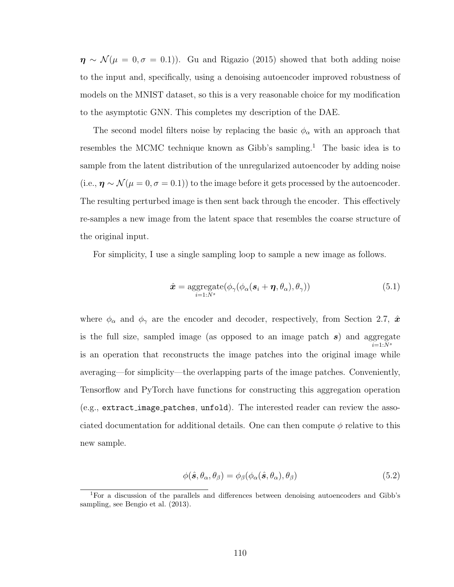$\eta \sim \mathcal{N}(\mu = 0, \sigma = 0.1)$ . Gu and Rigazio (2015) showed that both adding noise to the input and, specifically, using a denoising autoencoder improved robustness of models on the MNIST dataset, so this is a very reasonable choice for my modification to the asymptotic GNN. This completes my description of the DAE.

The second model filters noise by replacing the basic  $\phi_{\alpha}$  with an approach that resembles the MCMC technique known as Gibb's sampling.<sup>1</sup> The basic idea is to sample from the latent distribution of the unregularized autoencoder by adding noise (i.e.,  $\eta \sim \mathcal{N}(\mu = 0, \sigma = 0.1)$ ) to the image before it gets processed by the autoencoder. The resulting perturbed image is then sent back through the encoder. This effectively re-samples a new image from the latent space that resembles the coarse structure of the original input.

For simplicity, I use a single sampling loop to sample a new image as follows.

$$
\hat{\mathbf{x}} = \underset{i=1:N^s}{\text{aggregate}}(\phi_{\gamma}(\phi_{\alpha}(\mathbf{s}_i + \boldsymbol{\eta}, \theta_{\alpha}), \theta_{\gamma}))
$$
(5.1)

where  $\phi_{\alpha}$  and  $\phi_{\gamma}$  are the encoder and decoder, respectively, from Section 2.7,  $\hat{x}$ is the full size, sampled image (as opposed to an image patch  $s$ ) and aggregate  $i=1:N<sup>s</sup>$ is an operation that reconstructs the image patches into the original image while averaging—for simplicity—the overlapping parts of the image patches. Conveniently, Tensorflow and PyTorch have functions for constructing this aggregation operation (e.g., extract image patches, unfold). The interested reader can review the associated documentation for additional details. One can then compute  $\phi$  relative to this new sample.

$$
\phi(\hat{\mathbf{s}}, \theta_{\alpha}, \theta_{\beta}) = \phi_{\beta}(\phi_{\alpha}(\hat{\mathbf{s}}, \theta_{\alpha}), \theta_{\beta})
$$
\n(5.2)

<sup>1</sup>For a discussion of the parallels and differences between denoising autoencoders and Gibb's sampling, see Bengio et al. (2013).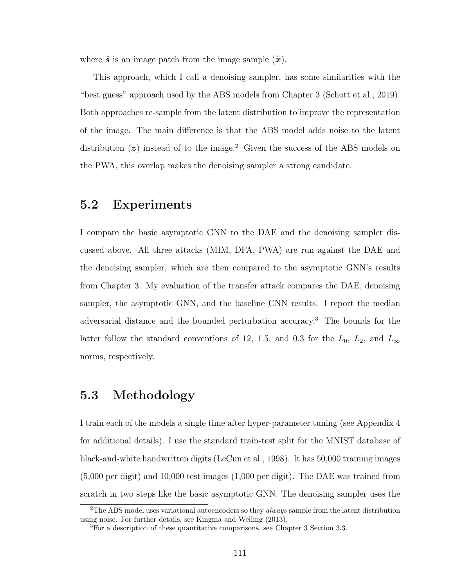where  $\hat{s}$  is an image patch from the image sample  $(\hat{x})$ .

This approach, which I call a denoising sampler, has some similarities with the "best guess" approach used by the ABS models from Chapter 3 (Schott et al., 2019). Both approaches re-sample from the latent distribution to improve the representation of the image. The main difference is that the ABS model adds noise to the latent distribution  $(z)$  instead of to the image.<sup>2</sup> Given the success of the ABS models on the PWA, this overlap makes the denoising sampler a strong candidate.

### 5.2 Experiments

I compare the basic asymptotic GNN to the DAE and the denoising sampler discussed above. All three attacks (MIM, DFA, PWA) are run against the DAE and the denoising sampler, which are then compared to the asymptotic GNN's results from Chapter 3. My evaluation of the transfer attack compares the DAE, denoising sampler, the asymptotic GNN, and the baseline CNN results. I report the median adversarial distance and the bounded perturbation accuracy.<sup>3</sup> The bounds for the latter follow the standard conventions of 12, 1.5, and 0.3 for the  $L_0$ ,  $L_2$ , and  $L_{\infty}$ norms, respectively.

### 5.3 Methodology

I train each of the models a single time after hyper-parameter tuning (see Appendix 4 for additional details). I use the standard train-test split for the MNIST database of black-and-white handwritten digits (LeCun et al., 1998). It has 50,000 training images (5,000 per digit) and 10,000 test images (1,000 per digit). The DAE was trained from scratch in two steps like the basic asymptotic GNN. The denoising sampler uses the

<sup>&</sup>lt;sup>2</sup>The ABS model uses variational autoencoders so they *always* sample from the latent distribution using noise. For further details, see Kingma and Welling (2013).

<sup>3</sup>For a description of these quantitative comparisons, see Chapter 3 Section 3.3.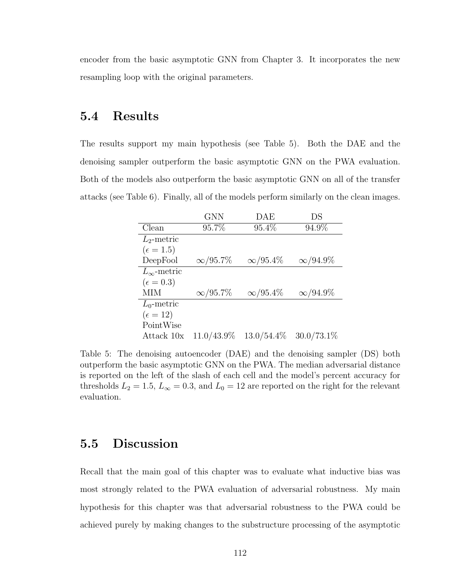encoder from the basic asymptotic GNN from Chapter 3. It incorporates the new resampling loop with the original parameters.

### 5.4 Results

The results support my main hypothesis (see Table 5). Both the DAE and the denoising sampler outperform the basic asymptotic GNN on the PWA evaluation. Both of the models also outperform the basic asymptotic GNN on all of the transfer attacks (see Table 6). Finally, all of the models perform similarly on the clean images.

|                      | <b>GNN</b>      | DAE             | DS              |
|----------------------|-----------------|-----------------|-----------------|
| Clean                | 95.7%           | 95.4%           | 94.9%           |
| $L_2$ -metric        |                 |                 |                 |
| $(\epsilon = 1.5)$   |                 |                 |                 |
| DeepFool             | $\infty/95.7\%$ | $\infty/95.4\%$ | $\infty/94.9\%$ |
| $L_{\infty}$ -metric |                 |                 |                 |
| $(\epsilon = 0.3)$   |                 |                 |                 |
| MІМ                  | $\infty/95.7\%$ | $\infty/95.4\%$ | $\infty/94.9\%$ |
| $L_0$ -metric        |                 |                 |                 |
| $(\epsilon = 12)$    |                 |                 |                 |
| PointWise            |                 |                 |                 |
| Attack 10x           | $11.0/43.9\%$   | $13.0/54.4\%$   | $30.0/73.1\%$   |

Table 5: The denoising autoencoder (DAE) and the denoising sampler (DS) both outperform the basic asymptotic GNN on the PWA. The median adversarial distance is reported on the left of the slash of each cell and the model's percent accuracy for thresholds  $L_2 = 1.5$ ,  $L_{\infty} = 0.3$ , and  $L_0 = 12$  are reported on the right for the relevant evaluation.

### 5.5 Discussion

Recall that the main goal of this chapter was to evaluate what inductive bias was most strongly related to the PWA evaluation of adversarial robustness. My main hypothesis for this chapter was that adversarial robustness to the PWA could be achieved purely by making changes to the substructure processing of the asymptotic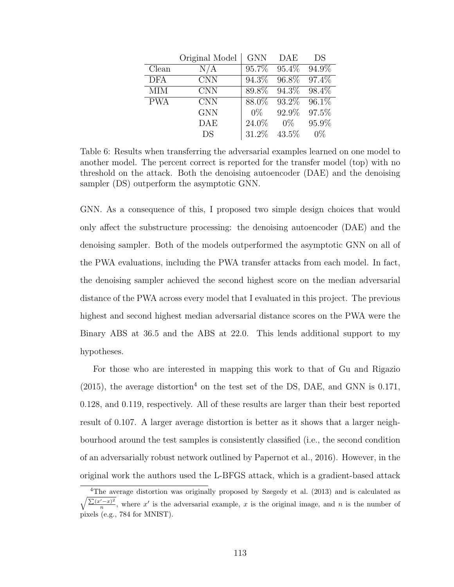|            | Original Model | <b>GNN</b> | DAE      | DS     |
|------------|----------------|------------|----------|--------|
| Clean      | N/A            | 95.7%      | $95.4\%$ | 94.9%  |
| <b>DFA</b> | <b>CNN</b>     | 94.3%      | 96.8%    | 97.4\% |
| <b>MIM</b> | <b>CNN</b>     | 89.8%      | 94.3%    | 98.4%  |
| <b>PWA</b> | <b>CNN</b>     | 88.0%      | 93.2%    | 96.1\% |
|            | <b>GNN</b>     | $0\%$      | 92.9%    | 97.5%  |
|            | <b>DAE</b>     | 24.0%      | $0\%$    | 95.9%  |
|            | DS             | 31.2%      | $43.5\%$ | $0\%$  |

Table 6: Results when transferring the adversarial examples learned on one model to another model. The percent correct is reported for the transfer model (top) with no threshold on the attack. Both the denoising autoencoder (DAE) and the denoising sampler (DS) outperform the asymptotic GNN.

GNN. As a consequence of this, I proposed two simple design choices that would only affect the substructure processing: the denoising autoencoder (DAE) and the denoising sampler. Both of the models outperformed the asymptotic GNN on all of the PWA evaluations, including the PWA transfer attacks from each model. In fact, the denoising sampler achieved the second highest score on the median adversarial distance of the PWA across every model that I evaluated in this project. The previous highest and second highest median adversarial distance scores on the PWA were the Binary ABS at 36.5 and the ABS at 22.0. This lends additional support to my hypotheses.

For those who are interested in mapping this work to that of Gu and Rigazio  $(2015)$ , the average distortion<sup>4</sup> on the test set of the DS, DAE, and GNN is 0.171, 0.128, and 0.119, respectively. All of these results are larger than their best reported result of 0.107. A larger average distortion is better as it shows that a larger neighbourhood around the test samples is consistently classified (i.e., the second condition of an adversarially robust network outlined by Papernot et al., 2016). However, in the original work the authors used the L-BFGS attack, which is a gradient-based attack

<sup>&</sup>lt;sup>4</sup>The average distortion was originally proposed by Szegedy et al. (2013) and is calculated as  $\frac{1}{2}$  $\sum (x'-x)^2$  $\frac{(x^2 - x)^2}{n}$ , where x' is the adversarial example, x is the original image, and n is the number of pixels (e.g., 784 for MNIST).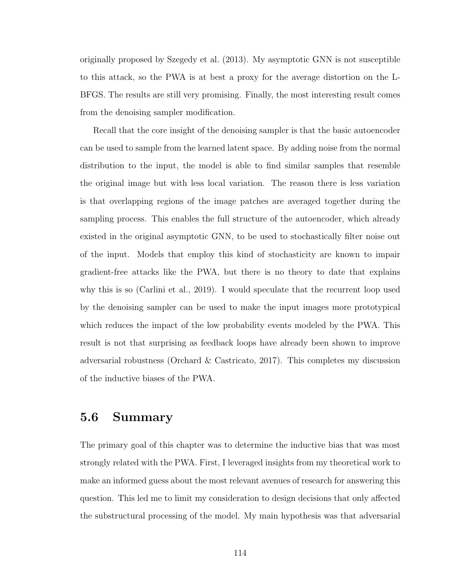originally proposed by Szegedy et al. (2013). My asymptotic GNN is not susceptible to this attack, so the PWA is at best a proxy for the average distortion on the L-BFGS. The results are still very promising. Finally, the most interesting result comes from the denoising sampler modification.

Recall that the core insight of the denoising sampler is that the basic autoencoder can be used to sample from the learned latent space. By adding noise from the normal distribution to the input, the model is able to find similar samples that resemble the original image but with less local variation. The reason there is less variation is that overlapping regions of the image patches are averaged together during the sampling process. This enables the full structure of the autoencoder, which already existed in the original asymptotic GNN, to be used to stochastically filter noise out of the input. Models that employ this kind of stochasticity are known to impair gradient-free attacks like the PWA, but there is no theory to date that explains why this is so (Carlini et al., 2019). I would speculate that the recurrent loop used by the denoising sampler can be used to make the input images more prototypical which reduces the impact of the low probability events modeled by the PWA. This result is not that surprising as feedback loops have already been shown to improve adversarial robustness (Orchard & Castricato, 2017). This completes my discussion of the inductive biases of the PWA.

### 5.6 Summary

The primary goal of this chapter was to determine the inductive bias that was most strongly related with the PWA. First, I leveraged insights from my theoretical work to make an informed guess about the most relevant avenues of research for answering this question. This led me to limit my consideration to design decisions that only affected the substructural processing of the model. My main hypothesis was that adversarial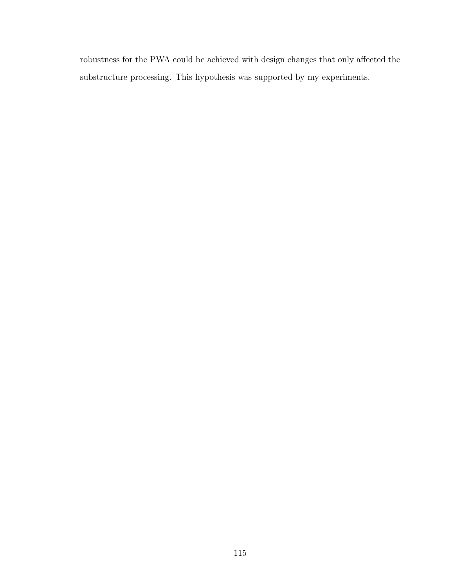robustness for the PWA could be achieved with design changes that only affected the substructure processing. This hypothesis was supported by my experiments.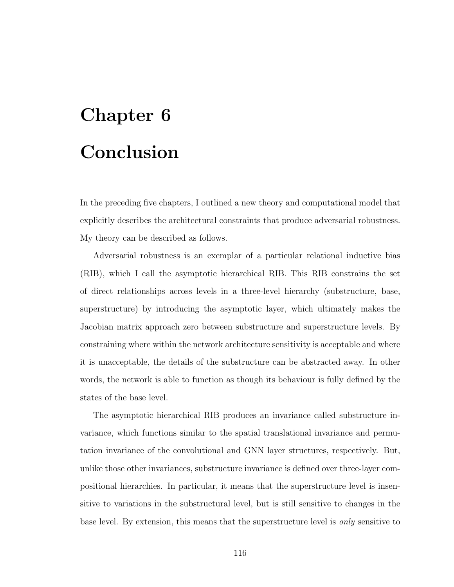# Chapter 6 Conclusion

In the preceding five chapters, I outlined a new theory and computational model that explicitly describes the architectural constraints that produce adversarial robustness. My theory can be described as follows.

Adversarial robustness is an exemplar of a particular relational inductive bias (RIB), which I call the asymptotic hierarchical RIB. This RIB constrains the set of direct relationships across levels in a three-level hierarchy (substructure, base, superstructure) by introducing the asymptotic layer, which ultimately makes the Jacobian matrix approach zero between substructure and superstructure levels. By constraining where within the network architecture sensitivity is acceptable and where it is unacceptable, the details of the substructure can be abstracted away. In other words, the network is able to function as though its behaviour is fully defined by the states of the base level.

The asymptotic hierarchical RIB produces an invariance called substructure invariance, which functions similar to the spatial translational invariance and permutation invariance of the convolutional and GNN layer structures, respectively. But, unlike those other invariances, substructure invariance is defined over three-layer compositional hierarchies. In particular, it means that the superstructure level is insensitive to variations in the substructural level, but is still sensitive to changes in the base level. By extension, this means that the superstructure level is only sensitive to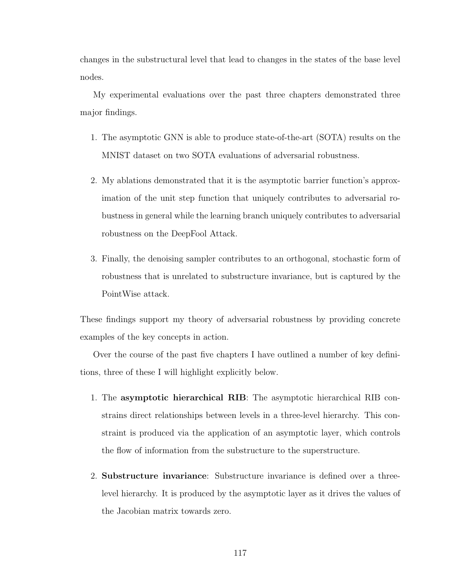changes in the substructural level that lead to changes in the states of the base level nodes.

My experimental evaluations over the past three chapters demonstrated three major findings.

- 1. The asymptotic GNN is able to produce state-of-the-art (SOTA) results on the MNIST dataset on two SOTA evaluations of adversarial robustness.
- 2. My ablations demonstrated that it is the asymptotic barrier function's approximation of the unit step function that uniquely contributes to adversarial robustness in general while the learning branch uniquely contributes to adversarial robustness on the DeepFool Attack.
- 3. Finally, the denoising sampler contributes to an orthogonal, stochastic form of robustness that is unrelated to substructure invariance, but is captured by the PointWise attack.

These findings support my theory of adversarial robustness by providing concrete examples of the key concepts in action.

Over the course of the past five chapters I have outlined a number of key definitions, three of these I will highlight explicitly below.

- 1. The asymptotic hierarchical RIB: The asymptotic hierarchical RIB constrains direct relationships between levels in a three-level hierarchy. This constraint is produced via the application of an asymptotic layer, which controls the flow of information from the substructure to the superstructure.
- 2. Substructure invariance: Substructure invariance is defined over a threelevel hierarchy. It is produced by the asymptotic layer as it drives the values of the Jacobian matrix towards zero.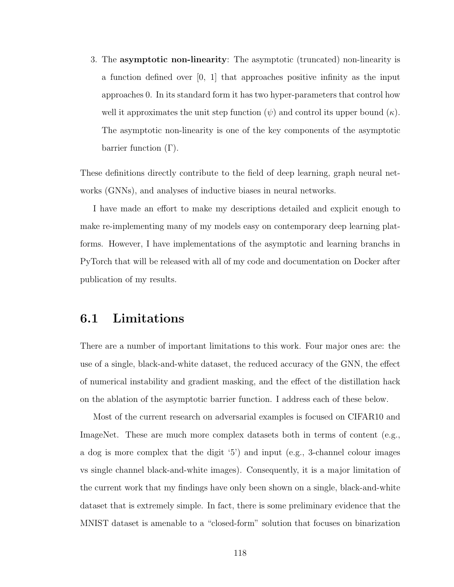3. The asymptotic non-linearity: The asymptotic (truncated) non-linearity is a function defined over [0, 1] that approaches positive infinity as the input approaches 0. In its standard form it has two hyper-parameters that control how well it approximates the unit step function  $(\psi)$  and control its upper bound  $(\kappa)$ . The asymptotic non-linearity is one of the key components of the asymptotic barrier function  $(Γ)$ .

These definitions directly contribute to the field of deep learning, graph neural networks (GNNs), and analyses of inductive biases in neural networks.

I have made an effort to make my descriptions detailed and explicit enough to make re-implementing many of my models easy on contemporary deep learning platforms. However, I have implementations of the asymptotic and learning branchs in PyTorch that will be released with all of my code and documentation on Docker after publication of my results.

### 6.1 Limitations

There are a number of important limitations to this work. Four major ones are: the use of a single, black-and-white dataset, the reduced accuracy of the GNN, the effect of numerical instability and gradient masking, and the effect of the distillation hack on the ablation of the asymptotic barrier function. I address each of these below.

Most of the current research on adversarial examples is focused on CIFAR10 and ImageNet. These are much more complex datasets both in terms of content (e.g., a dog is more complex that the digit '5') and input (e.g., 3-channel colour images vs single channel black-and-white images). Consequently, it is a major limitation of the current work that my findings have only been shown on a single, black-and-white dataset that is extremely simple. In fact, there is some preliminary evidence that the MNIST dataset is amenable to a "closed-form" solution that focuses on binarization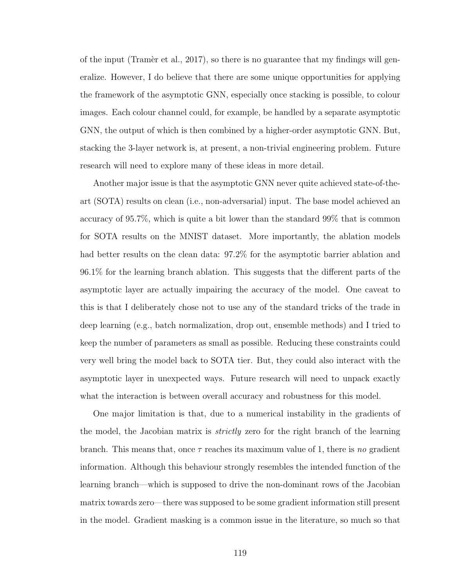of the input (Tramer et al., 2017), so there is no guarantee that my findings will generalize. However, I do believe that there are some unique opportunities for applying the framework of the asymptotic GNN, especially once stacking is possible, to colour images. Each colour channel could, for example, be handled by a separate asymptotic GNN, the output of which is then combined by a higher-order asymptotic GNN. But, stacking the 3-layer network is, at present, a non-trivial engineering problem. Future research will need to explore many of these ideas in more detail.

Another major issue is that the asymptotic GNN never quite achieved state-of-theart (SOTA) results on clean (i.e., non-adversarial) input. The base model achieved an accuracy of 95.7%, which is quite a bit lower than the standard 99% that is common for SOTA results on the MNIST dataset. More importantly, the ablation models had better results on the clean data:  $97.2\%$  for the asymptotic barrier ablation and 96.1% for the learning branch ablation. This suggests that the different parts of the asymptotic layer are actually impairing the accuracy of the model. One caveat to this is that I deliberately chose not to use any of the standard tricks of the trade in deep learning (e.g., batch normalization, drop out, ensemble methods) and I tried to keep the number of parameters as small as possible. Reducing these constraints could very well bring the model back to SOTA tier. But, they could also interact with the asymptotic layer in unexpected ways. Future research will need to unpack exactly what the interaction is between overall accuracy and robustness for this model.

One major limitation is that, due to a numerical instability in the gradients of the model, the Jacobian matrix is *strictly* zero for the right branch of the learning branch. This means that, once  $\tau$  reaches its maximum value of 1, there is no gradient information. Although this behaviour strongly resembles the intended function of the learning branch—which is supposed to drive the non-dominant rows of the Jacobian matrix towards zero—there was supposed to be some gradient information still present in the model. Gradient masking is a common issue in the literature, so much so that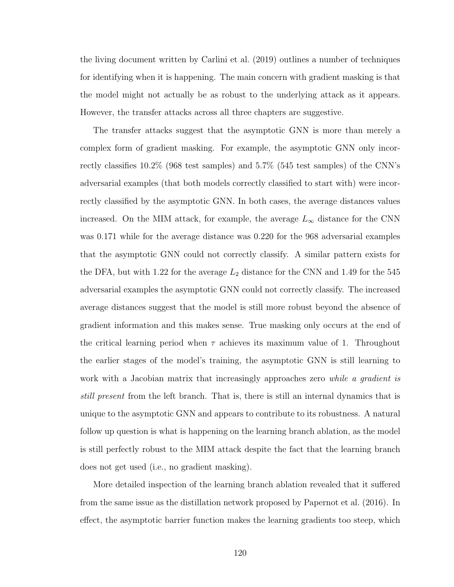the living document written by Carlini et al. (2019) outlines a number of techniques for identifying when it is happening. The main concern with gradient masking is that the model might not actually be as robust to the underlying attack as it appears. However, the transfer attacks across all three chapters are suggestive.

The transfer attacks suggest that the asymptotic GNN is more than merely a complex form of gradient masking. For example, the asymptotic GNN only incorrectly classifies 10.2% (968 test samples) and 5.7% (545 test samples) of the CNN's adversarial examples (that both models correctly classified to start with) were incorrectly classified by the asymptotic GNN. In both cases, the average distances values increased. On the MIM attack, for example, the average  $L_{\infty}$  distance for the CNN was 0.171 while for the average distance was 0.220 for the 968 adversarial examples that the asymptotic GNN could not correctly classify. A similar pattern exists for the DFA, but with 1.22 for the average  $L_2$  distance for the CNN and 1.49 for the 545 adversarial examples the asymptotic GNN could not correctly classify. The increased average distances suggest that the model is still more robust beyond the absence of gradient information and this makes sense. True masking only occurs at the end of the critical learning period when  $\tau$  achieves its maximum value of 1. Throughout the earlier stages of the model's training, the asymptotic GNN is still learning to work with a Jacobian matrix that increasingly approaches zero *while a gradient is* still present from the left branch. That is, there is still an internal dynamics that is unique to the asymptotic GNN and appears to contribute to its robustness. A natural follow up question is what is happening on the learning branch ablation, as the model is still perfectly robust to the MIM attack despite the fact that the learning branch does not get used (i.e., no gradient masking).

More detailed inspection of the learning branch ablation revealed that it suffered from the same issue as the distillation network proposed by Papernot et al. (2016). In effect, the asymptotic barrier function makes the learning gradients too steep, which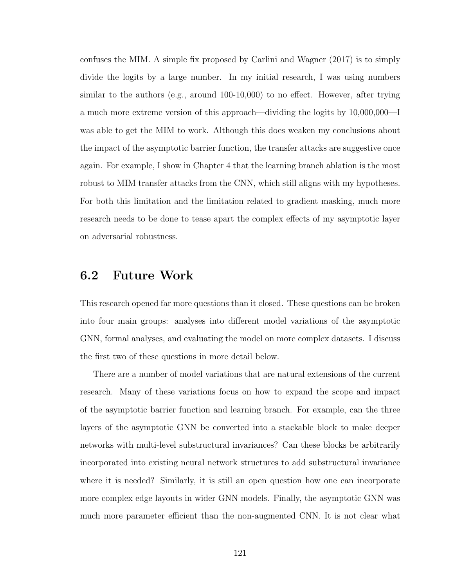confuses the MIM. A simple fix proposed by Carlini and Wagner (2017) is to simply divide the logits by a large number. In my initial research, I was using numbers similar to the authors (e.g., around 100-10,000) to no effect. However, after trying a much more extreme version of this approach—dividing the logits by 10,000,000—I was able to get the MIM to work. Although this does weaken my conclusions about the impact of the asymptotic barrier function, the transfer attacks are suggestive once again. For example, I show in Chapter 4 that the learning branch ablation is the most robust to MIM transfer attacks from the CNN, which still aligns with my hypotheses. For both this limitation and the limitation related to gradient masking, much more research needs to be done to tease apart the complex effects of my asymptotic layer on adversarial robustness.

### 6.2 Future Work

This research opened far more questions than it closed. These questions can be broken into four main groups: analyses into different model variations of the asymptotic GNN, formal analyses, and evaluating the model on more complex datasets. I discuss the first two of these questions in more detail below.

There are a number of model variations that are natural extensions of the current research. Many of these variations focus on how to expand the scope and impact of the asymptotic barrier function and learning branch. For example, can the three layers of the asymptotic GNN be converted into a stackable block to make deeper networks with multi-level substructural invariances? Can these blocks be arbitrarily incorporated into existing neural network structures to add substructural invariance where it is needed? Similarly, it is still an open question how one can incorporate more complex edge layouts in wider GNN models. Finally, the asymptotic GNN was much more parameter efficient than the non-augmented CNN. It is not clear what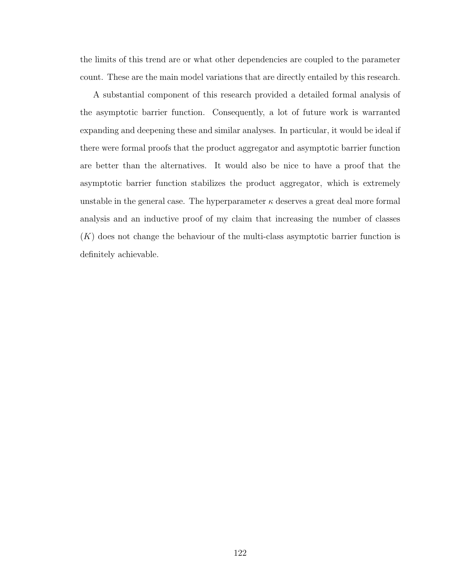the limits of this trend are or what other dependencies are coupled to the parameter count. These are the main model variations that are directly entailed by this research.

A substantial component of this research provided a detailed formal analysis of the asymptotic barrier function. Consequently, a lot of future work is warranted expanding and deepening these and similar analyses. In particular, it would be ideal if there were formal proofs that the product aggregator and asymptotic barrier function are better than the alternatives. It would also be nice to have a proof that the asymptotic barrier function stabilizes the product aggregator, which is extremely unstable in the general case. The hyperparameter  $\kappa$  deserves a great deal more formal analysis and an inductive proof of my claim that increasing the number of classes  $(K)$  does not change the behaviour of the multi-class asymptotic barrier function is definitely achievable.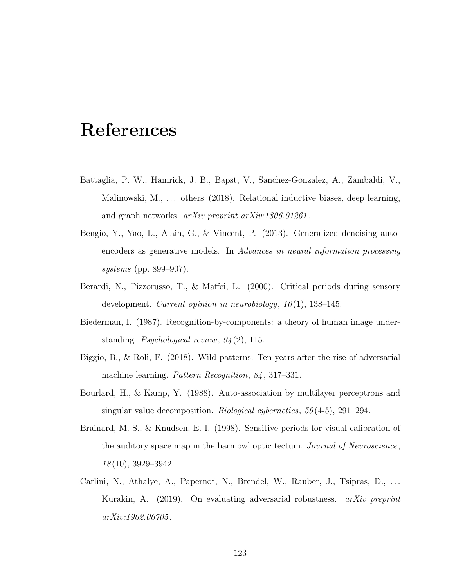# References

- Battaglia, P. W., Hamrick, J. B., Bapst, V., Sanchez-Gonzalez, A., Zambaldi, V., Malinowski, M., ... others (2018). Relational inductive biases, deep learning, and graph networks. arXiv preprint arXiv:1806.01261 .
- Bengio, Y., Yao, L., Alain, G., & Vincent, P. (2013). Generalized denoising autoencoders as generative models. In Advances in neural information processing systems (pp. 899–907).
- Berardi, N., Pizzorusso, T., & Maffei, L. (2000). Critical periods during sensory development. Current opinion in neurobiology,  $10(1)$ , 138–145.
- Biederman, I. (1987). Recognition-by-components: a theory of human image understanding. Psychological review, 94 (2), 115.
- Biggio, B., & Roli, F. (2018). Wild patterns: Ten years after the rise of adversarial machine learning. *Pattern Recognition*, 84, 317–331.
- Bourlard, H., & Kamp, Y. (1988). Auto-association by multilayer perceptrons and singular value decomposition. *Biological cybernetics*, 59(4-5), 291–294.
- Brainard, M. S., & Knudsen, E. I. (1998). Sensitive periods for visual calibration of the auditory space map in the barn owl optic tectum. Journal of Neuroscience, 18 (10), 3929–3942.
- Carlini, N., Athalye, A., Papernot, N., Brendel, W., Rauber, J., Tsipras, D., ... Kurakin, A. (2019). On evaluating adversarial robustness. arXiv preprint arXiv:1902.06705 .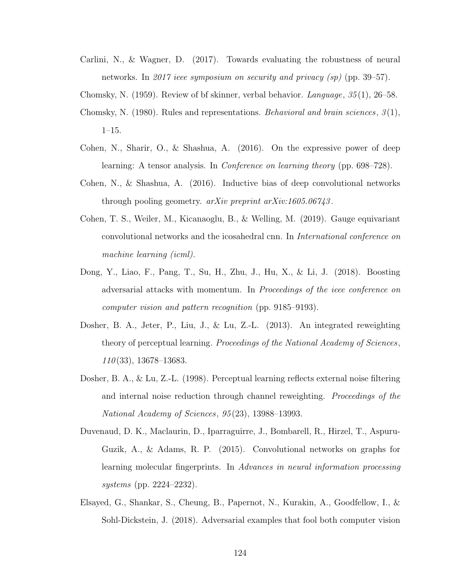Carlini, N., & Wagner, D. (2017). Towards evaluating the robustness of neural networks. In 2017 ieee symposium on security and privacy (sp) (pp. 39–57).

Chomsky, N. (1959). Review of bf skinner, verbal behavior. Language,  $35(1)$ , 26–58.

- Chomsky, N. (1980). Rules and representations. *Behavioral and brain sciences*,  $\mathcal{S}(1)$ , 1–15.
- Cohen, N., Sharir, O., & Shashua, A. (2016). On the expressive power of deep learning: A tensor analysis. In Conference on learning theory (pp. 698–728).
- Cohen, N., & Shashua, A. (2016). Inductive bias of deep convolutional networks through pooling geometry.  $a r Xiv$  preprint  $a r Xiv$ :1605.06743.
- Cohen, T. S., Weiler, M., Kicanaoglu, B., & Welling, M. (2019). Gauge equivariant convolutional networks and the icosahedral cnn. In International conference on machine learning (icml).
- Dong, Y., Liao, F., Pang, T., Su, H., Zhu, J., Hu, X., & Li, J. (2018). Boosting adversarial attacks with momentum. In Proceedings of the ieee conference on computer vision and pattern recognition (pp. 9185–9193).
- Dosher, B. A., Jeter, P., Liu, J., & Lu, Z.-L. (2013). An integrated reweighting theory of perceptual learning. Proceedings of the National Academy of Sciences,  $110(33)$ , 13678-13683.
- Dosher, B. A., & Lu, Z.-L. (1998). Perceptual learning reflects external noise filtering and internal noise reduction through channel reweighting. Proceedings of the National Academy of Sciences, 95 (23), 13988–13993.
- Duvenaud, D. K., Maclaurin, D., Iparraguirre, J., Bombarell, R., Hirzel, T., Aspuru-Guzik, A., & Adams, R. P. (2015). Convolutional networks on graphs for learning molecular fingerprints. In Advances in neural information processing systems (pp. 2224–2232).
- Elsayed, G., Shankar, S., Cheung, B., Papernot, N., Kurakin, A., Goodfellow, I., & Sohl-Dickstein, J. (2018). Adversarial examples that fool both computer vision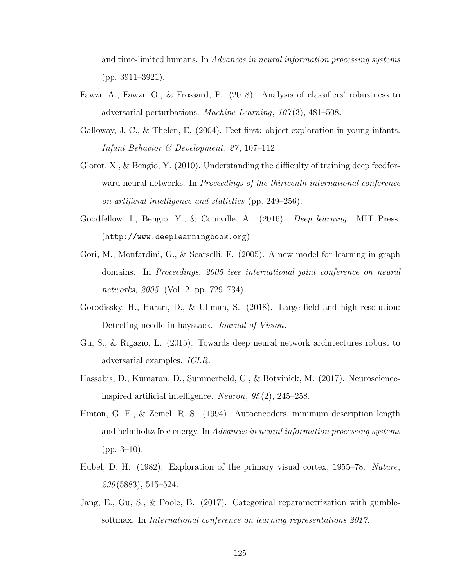and time-limited humans. In Advances in neural information processing systems (pp. 3911–3921).

- Fawzi, A., Fawzi, O., & Frossard, P. (2018). Analysis of classifiers' robustness to adversarial perturbations. Machine Learning, 107(3), 481-508.
- Galloway, J. C., & Thelen, E. (2004). Feet first: object exploration in young infants. Infant Behavior & Development, 27, 107-112.
- Glorot, X., & Bengio, Y. (2010). Understanding the difficulty of training deep feedforward neural networks. In *Proceedings of the thirteenth international conference* on artificial intelligence and statistics (pp. 249–256).
- Goodfellow, I., Bengio, Y., & Courville, A. (2016). *Deep learning*. MIT Press. (http://www.deeplearningbook.org)
- Gori, M., Monfardini, G., & Scarselli, F. (2005). A new model for learning in graph domains. In Proceedings. 2005 ieee international joint conference on neural networks, 2005. (Vol. 2, pp. 729–734).
- Gorodissky, H., Harari, D., & Ullman, S. (2018). Large field and high resolution: Detecting needle in haystack. Journal of Vision.
- Gu, S., & Rigazio, L. (2015). Towards deep neural network architectures robust to adversarial examples. ICLR.
- Hassabis, D., Kumaran, D., Summerfield, C., & Botvinick, M. (2017). Neuroscienceinspired artificial intelligence. Neuron, 95 (2), 245–258.
- Hinton, G. E., & Zemel, R. S. (1994). Autoencoders, minimum description length and helmholtz free energy. In Advances in neural information processing systems  $(pp. 3-10).$
- Hubel, D. H. (1982). Exploration of the primary visual cortex, 1955–78. Nature, 299 (5883), 515–524.
- Jang, E., Gu, S., & Poole, B. (2017). Categorical reparametrization with gumblesoftmax. In International conference on learning representations 2017.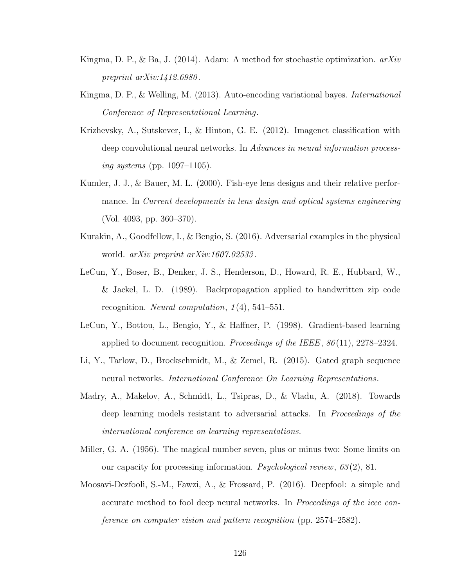- Kingma, D. P., & Ba, J. (2014). Adam: A method for stochastic optimization.  $arXiv$ preprint arXiv:1412.6980.
- Kingma, D. P., & Welling, M. (2013). Auto-encoding variational bayes. International Conference of Representational Learning.
- Krizhevsky, A., Sutskever, I., & Hinton, G. E. (2012). Imagenet classification with deep convolutional neural networks. In Advances in neural information processing systems (pp. 1097–1105).
- Kumler, J. J., & Bauer, M. L. (2000). Fish-eye lens designs and their relative performance. In Current developments in lens design and optical systems engineering (Vol. 4093, pp. 360–370).
- Kurakin, A., Goodfellow, I., & Bengio, S. (2016). Adversarial examples in the physical world. *arXiv preprint arXiv:1607.02533*.
- LeCun, Y., Boser, B., Denker, J. S., Henderson, D., Howard, R. E., Hubbard, W., & Jackel, L. D. (1989). Backpropagation applied to handwritten zip code recognition. Neural computation,  $1(4)$ , 541–551.
- LeCun, Y., Bottou, L., Bengio, Y., & Haffner, P. (1998). Gradient-based learning applied to document recognition. Proceedings of the IEEE,  $86(11)$ , 2278–2324.
- Li, Y., Tarlow, D., Brockschmidt, M., & Zemel, R. (2015). Gated graph sequence neural networks. International Conference On Learning Representations.
- Madry, A., Makelov, A., Schmidt, L., Tsipras, D., & Vladu, A. (2018). Towards deep learning models resistant to adversarial attacks. In Proceedings of the international conference on learning representations.
- Miller, G. A. (1956). The magical number seven, plus or minus two: Some limits on our capacity for processing information. Psychological review,  $63(2)$ , 81.
- Moosavi-Dezfooli, S.-M., Fawzi, A., & Frossard, P. (2016). Deepfool: a simple and accurate method to fool deep neural networks. In Proceedings of the ieee conference on computer vision and pattern recognition (pp. 2574–2582).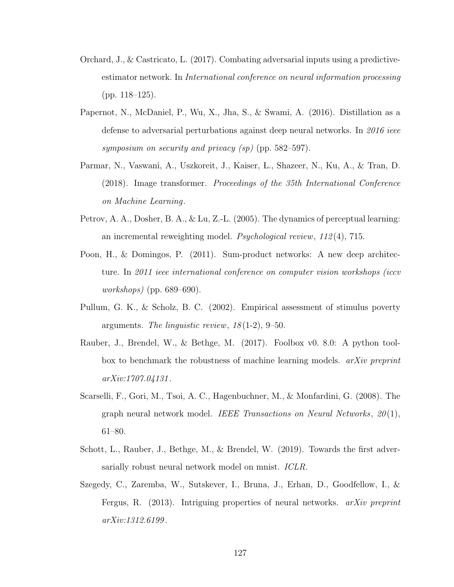- Orchard, J., & Castricato, L. (2017). Combating adversarial inputs using a predictiveestimator network. In International conference on neural information processing (pp. 118–125).
- Papernot, N., McDaniel, P., Wu, X., Jha, S., & Swami, A. (2016). Distillation as a defense to adversarial perturbations against deep neural networks. In 2016 ieee symposium on security and privacy  $(sp)$  (pp. 582–597).
- Parmar, N., Vaswani, A., Uszkoreit, J., Kaiser, L., Shazeer, N., Ku, A., & Tran, D. (2018). Image transformer. Proceedings of the 35th International Conference on Machine Learning.
- Petrov, A. A., Dosher, B. A., & Lu, Z.-L. (2005). The dynamics of perceptual learning: an incremental reweighting model. *Psychological review*,  $112(4)$ , 715.
- Poon, H., & Domingos, P. (2011). Sum-product networks: A new deep architecture. In 2011 ieee international conference on computer vision workshops (iccv workshops) (pp. 689–690).
- Pullum, G. K., & Scholz, B. C. (2002). Empirical assessment of stimulus poverty arguments. The linguistic review,  $18(1-2)$ , 9-50.
- Rauber, J., Brendel, W., & Bethge, M. (2017). Foolbox v0. 8.0: A python toolbox to benchmark the robustness of machine learning models. *arXiv preprint* arXiv:1707.04131 .
- Scarselli, F., Gori, M., Tsoi, A. C., Hagenbuchner, M., & Monfardini, G. (2008). The graph neural network model. IEEE Transactions on Neural Networks,  $20(1)$ , 61–80.
- Schott, L., Rauber, J., Bethge, M., & Brendel, W. (2019). Towards the first adversarially robust neural network model on mnist. ICLR.
- Szegedy, C., Zaremba, W., Sutskever, I., Bruna, J., Erhan, D., Goodfellow, I., & Fergus, R. (2013). Intriguing properties of neural networks. arXiv preprint arXiv:1312.6199 .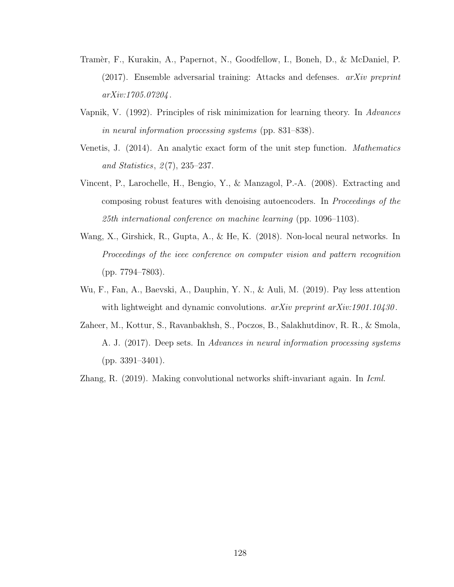- Tram`er, F., Kurakin, A., Papernot, N., Goodfellow, I., Boneh, D., & McDaniel, P.  $(2017)$ . Ensemble adversarial training: Attacks and defenses. *arXiv preprint* arXiv:1705.07204 .
- Vapnik, V. (1992). Principles of risk minimization for learning theory. In Advances in neural information processing systems (pp. 831–838).
- Venetis, J. (2014). An analytic exact form of the unit step function. Mathematics and Statistics,  $2(7)$ ,  $235-237$ .
- Vincent, P., Larochelle, H., Bengio, Y., & Manzagol, P.-A. (2008). Extracting and composing robust features with denoising autoencoders. In Proceedings of the 25th international conference on machine learning (pp. 1096–1103).
- Wang, X., Girshick, R., Gupta, A., & He, K. (2018). Non-local neural networks. In Proceedings of the ieee conference on computer vision and pattern recognition (pp. 7794–7803).
- Wu, F., Fan, A., Baevski, A., Dauphin, Y. N., & Auli, M. (2019). Pay less attention with lightweight and dynamic convolutions.  $arXiv$  preprint  $arXiv:1901.10430$ .
- Zaheer, M., Kottur, S., Ravanbakhsh, S., Poczos, B., Salakhutdinov, R. R., & Smola, A. J. (2017). Deep sets. In Advances in neural information processing systems (pp. 3391–3401).

Zhang, R. (2019). Making convolutional networks shift-invariant again. In *Icml*.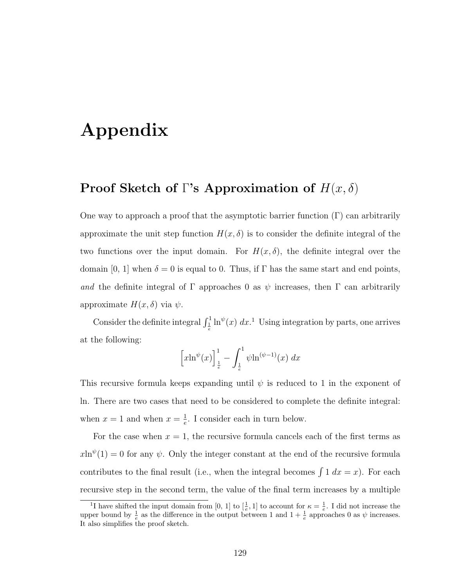# Appendix

### Proof Sketch of Γ's Approximation of  $H(x, \delta)$

One way to approach a proof that the asymptotic barrier function  $(\Gamma)$  can arbitrarily approximate the unit step function  $H(x, \delta)$  is to consider the definite integral of the two functions over the input domain. For  $H(x, \delta)$ , the definite integral over the domain [0, 1] when  $\delta = 0$  is equal to 0. Thus, if  $\Gamma$  has the same start and end points, and the definite integral of Γ approaches 0 as  $\psi$  increases, then Γ can arbitrarily approximate  $H(x,\delta)$  via  $\psi$ .

Consider the definite integral  $\int_{\frac{1}{e}}^1 \ln^{\psi}(x) dx$ .<sup>1</sup> Using integration by parts, one arrives at the following:

$$
\[x\ln^{\psi}(x)\]_{\frac{1}{e}}^{1} - \int_{\frac{1}{e}}^{1} \psi \ln^{(\psi - 1)}(x) \, dx
$$

This recursive formula keeps expanding until  $\psi$  is reduced to 1 in the exponent of ln. There are two cases that need to be considered to complete the definite integral: when  $x=1$  and when  $x=\frac{1}{e}$  $\frac{1}{e}$ . I consider each in turn below.

For the case when  $x = 1$ , the recursive formula cancels each of the first terms as  $x\ln^{\psi}(1) = 0$  for any  $\psi$ . Only the integer constant at the end of the recursive formula contributes to the final result (i.e., when the integral becomes  $\int 1 dx = x$ ). For each recursive step in the second term, the value of the final term increases by a multiple

<sup>&</sup>lt;sup>1</sup>I have shifted the input domain from [0, 1] to  $\left[\frac{1}{e},1\right]$  to account for  $\kappa = \frac{1}{e}$ . I did not increase the upper bound by  $\frac{1}{e}$  as the difference in the output between 1 and  $1 + \frac{1}{e}$  approaches 0 as  $\psi$  increases. It also simplifies the proof sketch.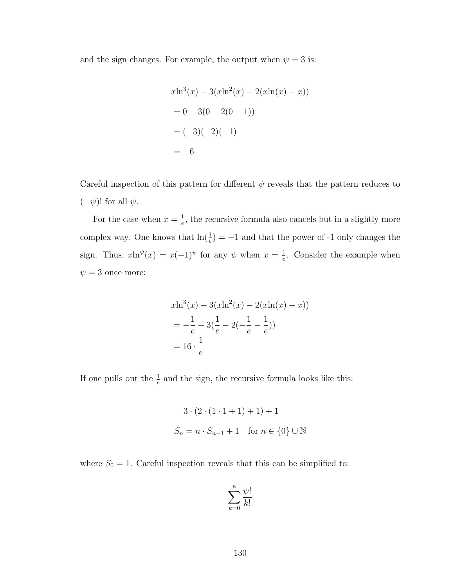and the sign changes. For example, the output when  $\psi = 3$  is:

$$
x\ln^3(x) - 3(x\ln^2(x) - 2(x\ln(x) - x))
$$
  
= 0 - 3(0 - 2(0 - 1))  
= (-3)(-2)(-1)  
= -6

Careful inspection of this pattern for different  $\psi$  reveals that the pattern reduces to  $(-\psi)!$  for all  $\psi$ .

For the case when  $x=\frac{1}{e}$  $\frac{1}{e}$ , the recursive formula also cancels but in a slightly more complex way. One knows that  $\ln(\frac{1}{e}) = -1$  and that the power of -1 only changes the sign. Thus,  $x\ln^{\psi}(x) = x(-1)^{\psi}$  for any  $\psi$  when  $x = \frac{1}{e}$  $\frac{1}{e}$ . Consider the example when  $\psi = 3$  once more:

$$
x\ln^3(x) - 3(x\ln^2(x) - 2(x\ln(x) - x))
$$
  
=  $-\frac{1}{e} - 3(\frac{1}{e} - 2(-\frac{1}{e} - \frac{1}{e}))$   
=  $16 \cdot \frac{1}{e}$ 

If one pulls out the  $\frac{1}{e}$  and the sign, the recursive formula looks like this:

$$
3 \cdot (2 \cdot (1 \cdot 1 + 1) + 1) + 1
$$
  

$$
S_n = n \cdot S_{n-1} + 1 \text{ for } n \in \{0\} \cup \mathbb{N}
$$

where  $S_0 = 1$ . Careful inspection reveals that this can be simplified to:

$$
\sum_{k=0}^{\psi} \frac{\psi!}{k!}
$$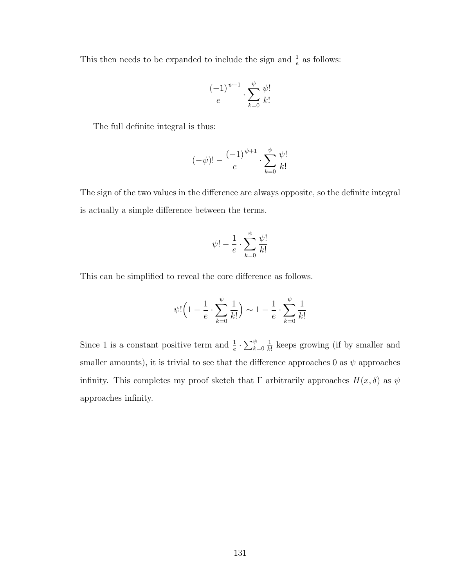This then needs to be expanded to include the sign and  $\frac{1}{e}$  as follows:

$$
\frac{(-1)^{\psi+1}}{e} \cdot \sum_{k=0}^{\psi} \frac{\psi!}{k!}
$$

The full definite integral is thus:

$$
(-\psi)! - \frac{(-1)^{\psi+1}}{e} \cdot \sum_{k=0}^{\psi} \frac{\psi!}{k!}
$$

The sign of the two values in the difference are always opposite, so the definite integral is actually a simple difference between the terms.

$$
\psi!-\frac{1}{e}\cdot\sum_{k=0}^{\psi}\frac{\psi!}{k!}
$$

This can be simplified to reveal the core difference as follows.

$$
\psi! \left(1 - \frac{1}{e} \cdot \sum_{k=0}^{\psi} \frac{1}{k!} \right) \sim 1 - \frac{1}{e} \cdot \sum_{k=0}^{\psi} \frac{1}{k!}
$$

Since 1 is a constant positive term and  $\frac{1}{e} \cdot \sum_{k=0}^{\psi}$ 1  $\frac{1}{k!}$  keeps growing (if by smaller and smaller amounts), it is trivial to see that the difference approaches 0 as  $\psi$  approaches infinity. This completes my proof sketch that  $\Gamma$  arbitrarily approaches  $H(x, \delta)$  as  $\psi$ approaches infinity.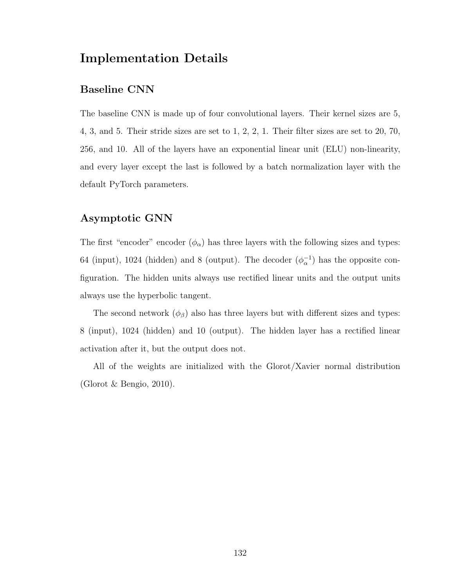### Implementation Details

#### Baseline CNN

The baseline CNN is made up of four convolutional layers. Their kernel sizes are 5, 4, 3, and 5. Their stride sizes are set to 1, 2, 2, 1. Their filter sizes are set to 20, 70, 256, and 10. All of the layers have an exponential linear unit (ELU) non-linearity, and every layer except the last is followed by a batch normalization layer with the default PyTorch parameters.

#### Asymptotic GNN

The first "encoder" encoder  $(\phi_{\alpha})$  has three layers with the following sizes and types: 64 (input), 1024 (hidden) and 8 (output). The decoder  $(\phi_{\alpha}^{-1})$  has the opposite configuration. The hidden units always use rectified linear units and the output units always use the hyperbolic tangent.

The second network  $(\phi_{\beta})$  also has three layers but with different sizes and types: 8 (input), 1024 (hidden) and 10 (output). The hidden layer has a rectified linear activation after it, but the output does not.

All of the weights are initialized with the Glorot/Xavier normal distribution (Glorot & Bengio, 2010).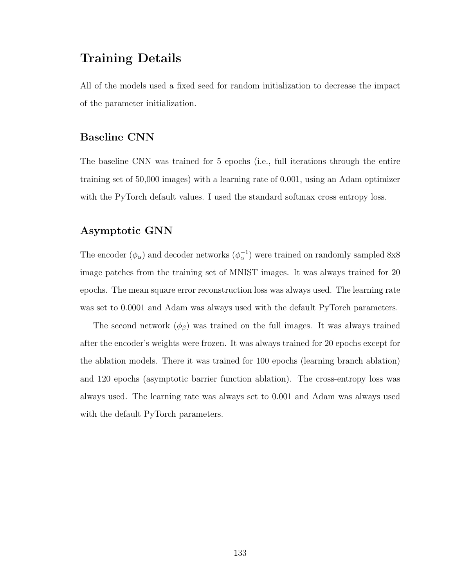### Training Details

All of the models used a fixed seed for random initialization to decrease the impact of the parameter initialization.

#### Baseline CNN

The baseline CNN was trained for 5 epochs (i.e., full iterations through the entire training set of 50,000 images) with a learning rate of 0.001, using an Adam optimizer with the PyTorch default values. I used the standard softmax cross entropy loss.

### Asymptotic GNN

The encoder  $(\phi_{\alpha})$  and decoder networks  $(\phi_{\alpha}^{-1})$  were trained on randomly sampled 8x8 image patches from the training set of MNIST images. It was always trained for 20 epochs. The mean square error reconstruction loss was always used. The learning rate was set to 0.0001 and Adam was always used with the default PyTorch parameters.

The second network  $(\phi_{\beta})$  was trained on the full images. It was always trained after the encoder's weights were frozen. It was always trained for 20 epochs except for the ablation models. There it was trained for 100 epochs (learning branch ablation) and 120 epochs (asymptotic barrier function ablation). The cross-entropy loss was always used. The learning rate was always set to 0.001 and Adam was always used with the default PyTorch parameters.